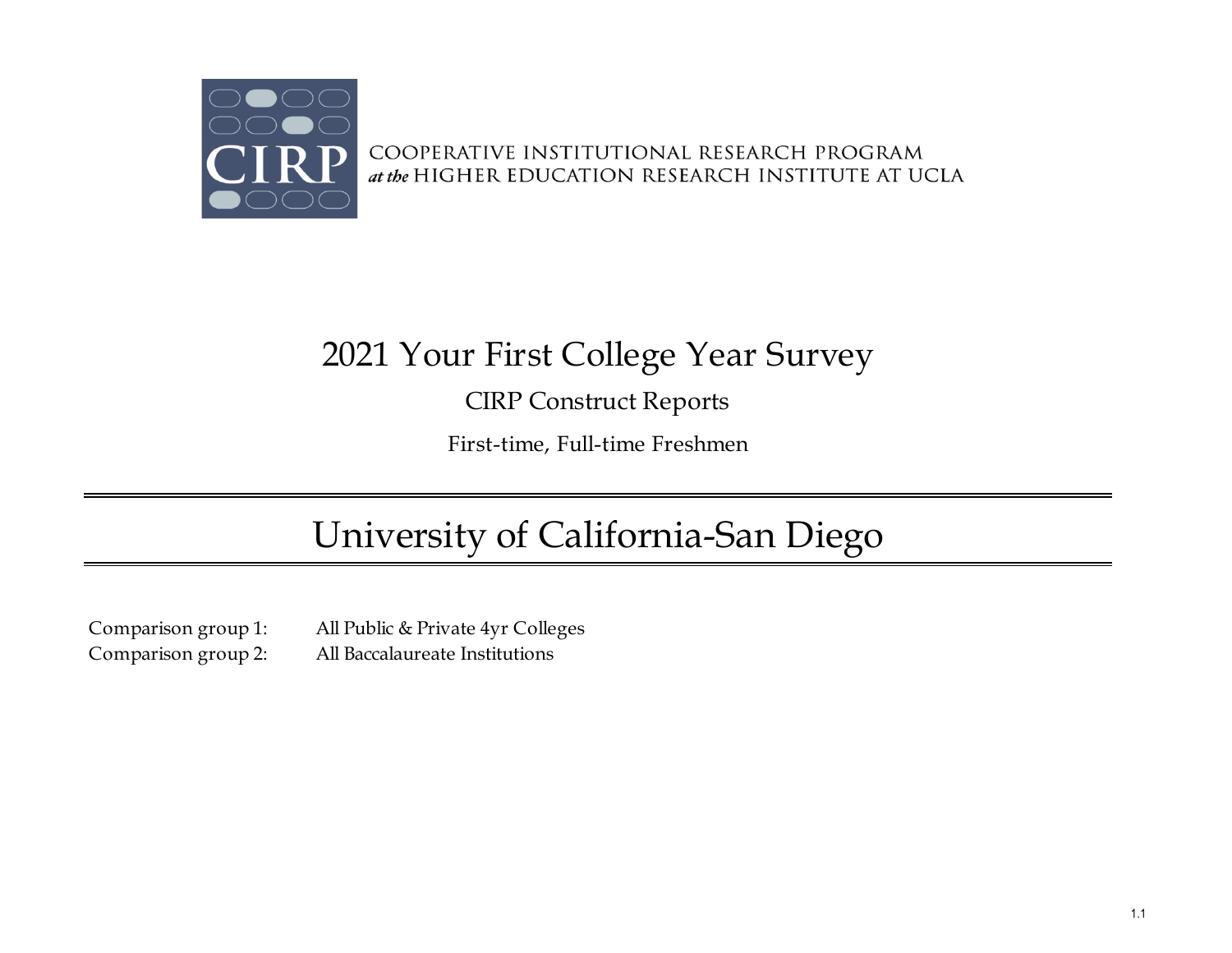

COOPERATIVE INSTITUTIONAL RESEARCH PROGRAM at the HIGHER EDUCATION RESEARCH INSTITUTE AT UCLA

# 2021 Your First College Year Survey

CIRP Construct Reports

First-time, Full-time Freshmen

# University of California-San Diego

Comparison group 1: All Public & Private 4yr Colleges Comparison group 2: All Baccalaureate Institutions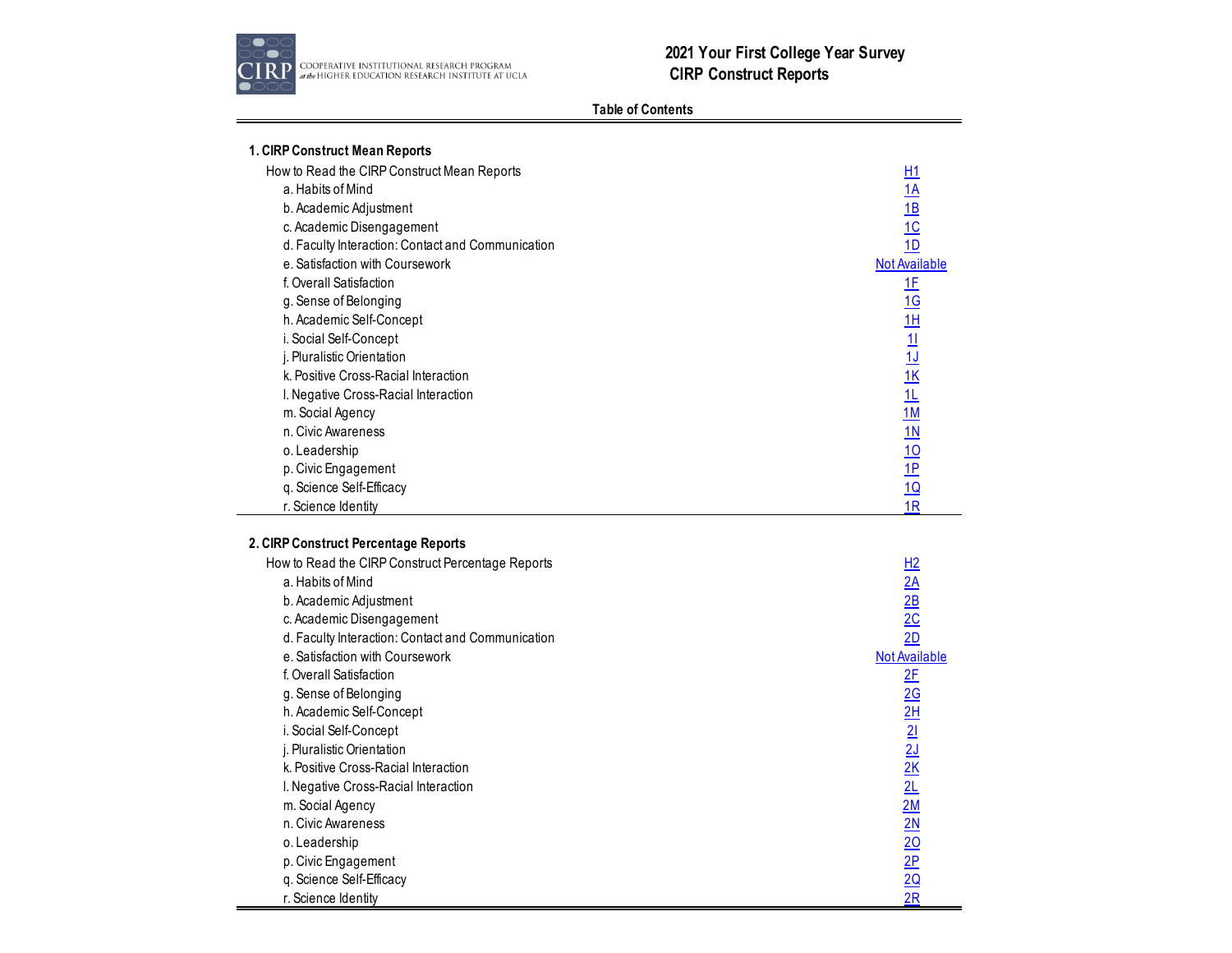

# **Table of Contents**

| 1. CIRP Construct Mean Reports<br>How to Read the CIRP Construct Mean Reports<br>a. Habits of Mind<br>b. Academic Adjustment<br>c. Academic Disengagement<br>d. Faculty Interaction: Contact and Communication<br>e. Satisfaction with Coursework<br>f. Overall Satisfaction<br>g. Sense of Belonging<br>h. Academic Self-Concept<br>i. Social Self-Concept<br>j. Pluralistic Orientation<br>k. Positive Cross-Racial Interaction<br>I. Negative Cross-Racial Interaction<br>m. Social Agency | H1<br>$\frac{1A}{1B}$<br>$\frac{1}{10}$<br><b>Not Available</b><br>1E<br>$\frac{10 \text{ H}}{11 \text{ H}} \frac{11 \text{ K}}{11 \text{ H}} \frac{11 \text{ M}}{11 \text{ H}} \frac{10 \text{ P}}{10 \text{ P}} \frac{10 \text{ H}}{1 \text{ R}}$ |
|-----------------------------------------------------------------------------------------------------------------------------------------------------------------------------------------------------------------------------------------------------------------------------------------------------------------------------------------------------------------------------------------------------------------------------------------------------------------------------------------------|-----------------------------------------------------------------------------------------------------------------------------------------------------------------------------------------------------------------------------------------------------|
| n. Civic Awareness<br>o. Leadership                                                                                                                                                                                                                                                                                                                                                                                                                                                           |                                                                                                                                                                                                                                                     |
| p. Civic Engagement                                                                                                                                                                                                                                                                                                                                                                                                                                                                           |                                                                                                                                                                                                                                                     |
| q. Science Self-Efficacy                                                                                                                                                                                                                                                                                                                                                                                                                                                                      |                                                                                                                                                                                                                                                     |
| r. Science Identity                                                                                                                                                                                                                                                                                                                                                                                                                                                                           |                                                                                                                                                                                                                                                     |
|                                                                                                                                                                                                                                                                                                                                                                                                                                                                                               |                                                                                                                                                                                                                                                     |
| 2. CIRP Construct Percentage Reports                                                                                                                                                                                                                                                                                                                                                                                                                                                          |                                                                                                                                                                                                                                                     |
| How to Read the CIRP Construct Percentage Reports                                                                                                                                                                                                                                                                                                                                                                                                                                             | H2                                                                                                                                                                                                                                                  |
| a. Habits of Mind                                                                                                                                                                                                                                                                                                                                                                                                                                                                             |                                                                                                                                                                                                                                                     |
| b. Academic Adjustment                                                                                                                                                                                                                                                                                                                                                                                                                                                                        | $\frac{2A}{2B}$                                                                                                                                                                                                                                     |
| c. Academic Disengagement                                                                                                                                                                                                                                                                                                                                                                                                                                                                     |                                                                                                                                                                                                                                                     |
| d. Faculty Interaction: Contact and Communication                                                                                                                                                                                                                                                                                                                                                                                                                                             | 2D                                                                                                                                                                                                                                                  |
| e. Satisfaction with Coursework                                                                                                                                                                                                                                                                                                                                                                                                                                                               | <b>Not Available</b>                                                                                                                                                                                                                                |
| f. Overall Satisfaction                                                                                                                                                                                                                                                                                                                                                                                                                                                                       |                                                                                                                                                                                                                                                     |
|                                                                                                                                                                                                                                                                                                                                                                                                                                                                                               |                                                                                                                                                                                                                                                     |
| g. Sense of Belonging                                                                                                                                                                                                                                                                                                                                                                                                                                                                         |                                                                                                                                                                                                                                                     |
| h. Academic Self-Concept                                                                                                                                                                                                                                                                                                                                                                                                                                                                      |                                                                                                                                                                                                                                                     |
| i. Social Self-Concept                                                                                                                                                                                                                                                                                                                                                                                                                                                                        |                                                                                                                                                                                                                                                     |
| j. Pluralistic Orientation                                                                                                                                                                                                                                                                                                                                                                                                                                                                    |                                                                                                                                                                                                                                                     |
| k. Positive Cross-Racial Interaction                                                                                                                                                                                                                                                                                                                                                                                                                                                          |                                                                                                                                                                                                                                                     |
| I. Negative Cross-Racial Interaction                                                                                                                                                                                                                                                                                                                                                                                                                                                          |                                                                                                                                                                                                                                                     |
| m. Social Agency                                                                                                                                                                                                                                                                                                                                                                                                                                                                              |                                                                                                                                                                                                                                                     |
| n. Civic Awareness                                                                                                                                                                                                                                                                                                                                                                                                                                                                            |                                                                                                                                                                                                                                                     |
| o. Leadership                                                                                                                                                                                                                                                                                                                                                                                                                                                                                 |                                                                                                                                                                                                                                                     |
| p. Civic Engagement                                                                                                                                                                                                                                                                                                                                                                                                                                                                           |                                                                                                                                                                                                                                                     |
| q. Science Self-Efficacy<br>r. Science Identity                                                                                                                                                                                                                                                                                                                                                                                                                                               | <u>2F 2G 2H 2I 2J 2K 2L 2M 2N 2O 2P 2Q</u> 2R                                                                                                                                                                                                       |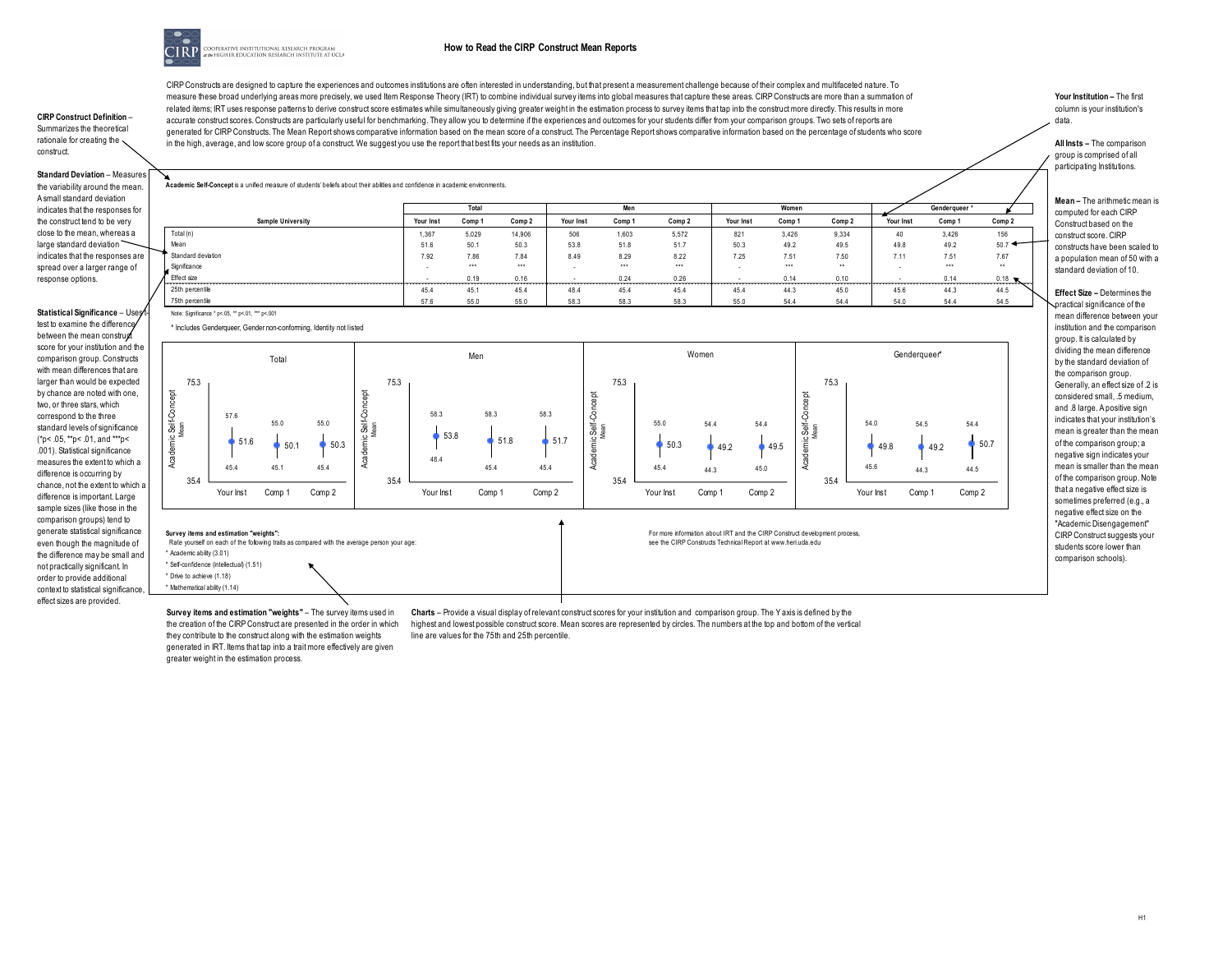

#### **How to Read the CIRP Construct Mean Reports**

**CIRP Construct Definition** – Summarizes the theoretical rationale for creating the construct.

**Standard Deviation** – Measures the variability around the mean. A small standard deviation indicates that the responses for the construct tend to be very close to the mean, whereas a large standard deviation indicates that the responses are spread over a larger range of response options.

**Statistical Significance** – Uses<sup>t</sup>

test to examine the difference between the mean construct score for your institution and the comparison group. Constructs with mean differences that are larger than would be expected by chance are noted with one, two, or three stars, which correspond to the three standard levels of significance (\*p< .05, \*\*p< .01, and \*\*\*p< .001). Statistical significance measures the extent to which a difference is occurring by chance, not the extent to which a difference is important. Large sample sizes (like those in the comparison groups) tend to generate statistical significance even though the magnitude of the difference may be small and not practically significant. In order to provide additional context to statistical significance, effect sizes are provided.

CIRP Constructs are designed to capture the experiences and outcomes institutions are often interested in understanding, but that present a measurement challenge because of their complex and multifaceted nature. To measure these broad underlying areas more precisely, we used Item Response Theory (IRT) to combine individual survey items into global measures that capture these areas. CIRP Constructs are more than a summation of related items; IRT uses response patterns to derive construct score estimates while simultaneously giving greater weight in the estimation process to survey items that tap into the construct more directly. This results in accurate construct scores. Constructs are particularly useful for benchmarking. They allow you to determine if the experiences and outcomes for your students differ from your comparison groups. Two sets of reports are generated for CIRP Constructs. The Mean Report shows comparative information based on the mean score of a construct. The Percentage Report shows comparative information based on the percentage of students who score in the high, average, and low score group of a construct. We suggest you use the report that best fits your needs as an institution.

**Your Institution –** The first column is your institution's data.

**All Insts –** The comparison group is comprised of all participating Institutions.

**Genderqueer \***

**Mean –** The arithmetic mean is computed for each CIRP Construct based on the construct score. CIRP constructs have been scaled to a population mean of 50 with a standard deviation of 10.

**Effect Size –** Determines the practical significance of the mean difference between your institution and the comparison group. It is calculated by dividing the mean difference by the standard deviation of the comparison group. Generally, an effect size of .2 is considered small, .5 medium, and .8 large. A positive sign indicates that your institution's mean is greater than the mean of the comparison group; a negative sign indicates your mean is smaller than the mean of the comparison group. Note that a negative effect size is sometimes preferred (e.g., a negative effect size on the "Academic Disengagement" CIRP Construct suggests your students score lower than comparison schools).

\* Includes Genderqueer, Gender non-conforming, Identity not listed

**Academic Self-Concept** is a unified measure of students' beliefs about their abilities and confidence in academic environments.

Note: Significance \* p<.05, \*\* p<.01, \*\*\* p<.001



Rate yourself on each of the following traits as compared with the average person your age \* Academic ability (3.01)

\* Self-confidence (intellectual) (1.51) \* Drive to achieve (1.18) \* Mathematical ability (1.14)

**Survey items and estimation "weights"** – The survey items used in the creation of the CIRP Construct are presented in the order in which they contribute to the construct along with the estimation weights generated in IRT. Items that tap into a trait more effectively are given greater weight in the estimation process.

**Charts** – Provide a visual display of relevant construct scores for your institution and comparison group. The Y axis is defined by the highest and lowest possible construct score. Mean scores are represented by circles. The numbers at the top and bottom of the vertical line are values for the 75th and 25th percentile.

see the CIRP Constructs Technical Report at www.heri.uda.edu

**Sample University Your Inst Comp 1 Comp 2 Your Inst Comp 1 Comp 2 Your Inst Comp 1 Comp 2 Your Inst Comp 1 Comp 2**

**Total Men Women**

Total (n) 1,367 5,029 14,906 506 1,603 5,572 821 3,426 9,334 40 3,426 156 156 Mean 51.6 50.1 50.3 53.8 51.8 51.7 50.3 49.2 49.5 49.8 49.2 50.7 Standard deviation 7.92 7.86 7.84 8.49 8.29 8.22 7.25 7.51 7.50 7.11 7.51 7.67 Significance - \*\*\* - \*\*\* - \*\*\* - \*\*\* - \*\*\* - \*\*\* - \*\*\* - \*\*\* - \*\*\* - \*\*\* - \*\*\* - \*\*\* - \*\*\* - \*\*\* - \*\*\* - \*\*\* - \*\* Effect size - 2.14 0.18 - 0.19 0.16 - 0.24 0.26 - 0.14 0.10 - 0.14 0.18 25th percentile 45.4 45.1 45.4 48.4 45.4 45.4 45.4 44.3 45.0 45.6 44.3 44.5 75th percentile 57.6 55.0 55.0 58.3 58.3 58.3 55.0 54.4 54.4 54.0 54.4 54.5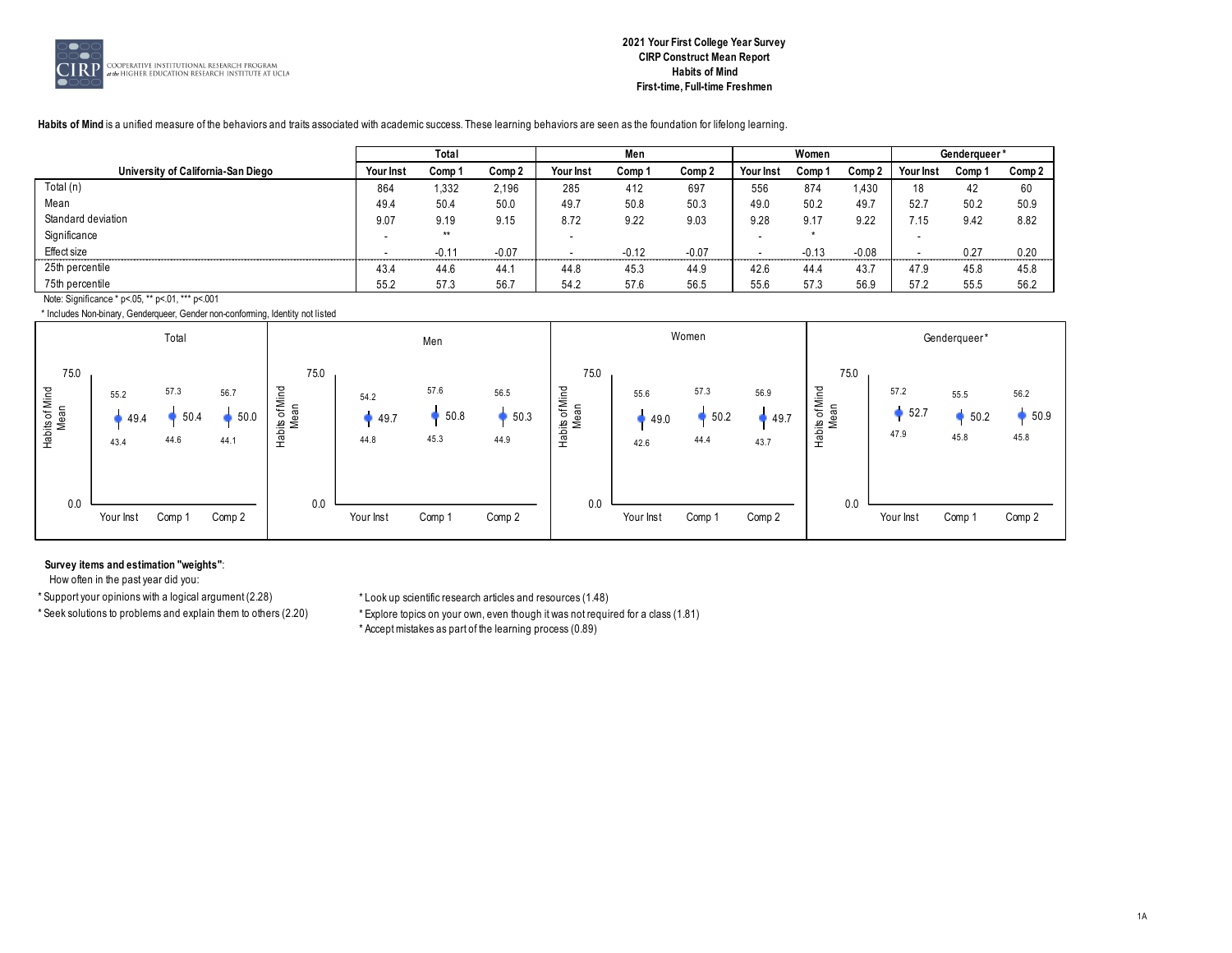

# **2021 Your First College Year Survey CIRP Construct Mean Report Habits of Mind First-time, Full-time Freshmen**

#### **Habits of Mind** is a unified measure of the behaviors and traits associated with academic success. These learning behaviors are seen as the foundation for lifelong learning.

|                                                  |                  | Total   |         |           | Men     |         |           | Women   |         |           | Genderaueer* |        |
|--------------------------------------------------|------------------|---------|---------|-----------|---------|---------|-----------|---------|---------|-----------|--------------|--------|
| University of California-San Diego               | <b>Your Inst</b> | Comp 1  | Comp 2  | Your Inst | Comp 1  | Comp 2  | Your Inst | Comp 1  | Comp 2  | Your Inst | Comp 1       | Comp 2 |
| Total (n)                                        | 864              | 1,332   | 2,196   | 285       | 412     | 697     | 556       | 874     | .430    | 18        | 42           | 60     |
| Mean                                             | 49.4             | 50.4    | 50.0    | 49.7      | 50.8    | 50.3    | 49.0      | 50.2    | 49.7    | 52.7      | 50.2         | 50.9   |
| Standard deviation                               | 9.07             | 9.19    | 9.15    | 8.72      | 9.22    | 9.03    | 9.28      | 9.17    | 9.22    | 7.15      | 9.42         | 8.82   |
| Significance                                     |                  | $**$    |         |           |         |         |           |         |         |           |              |        |
| Effect size                                      |                  | $-0.11$ | $-0.07$ |           | $-0.12$ | $-0.07$ |           | $-0.13$ | $-0.08$ |           | 0.27         | 0.20   |
| 25th percentile                                  | 43.4             | 44.6    | 44.1    | 44.8      | 45.3    | 44.9    | 42.6      | 44.4    | 43.7    | 47.9      | 45.8         | 45.8   |
| 75th percentile                                  | 55.2             | 57.3    | 56.7    | 54.2      | 57.6    | 56.5    | 55.6      | 57.3    | 56.9    | 57.2      | 55.5         | 56.2   |
| Note: Significance * p<.05, ** p<.01, *** p<.001 |                  |         |         |           |         |         |           |         |         |           |              |        |

\* Includes Non-binary, Genderqueer, Gender non-conforming, Identity not listed



#### **Survey items and estimation "weights"**:

How often in the past year did you:

\* Support your opinions with a logical argument (2.28) \* Look up scientific research articles and resources (1.48)

\* Seek solutions to problems and explain them to others (2.20) \* Explore topics on your own, even though it was not required for a class (1.81) \* Accept mistakes as part of the learning process (0.89)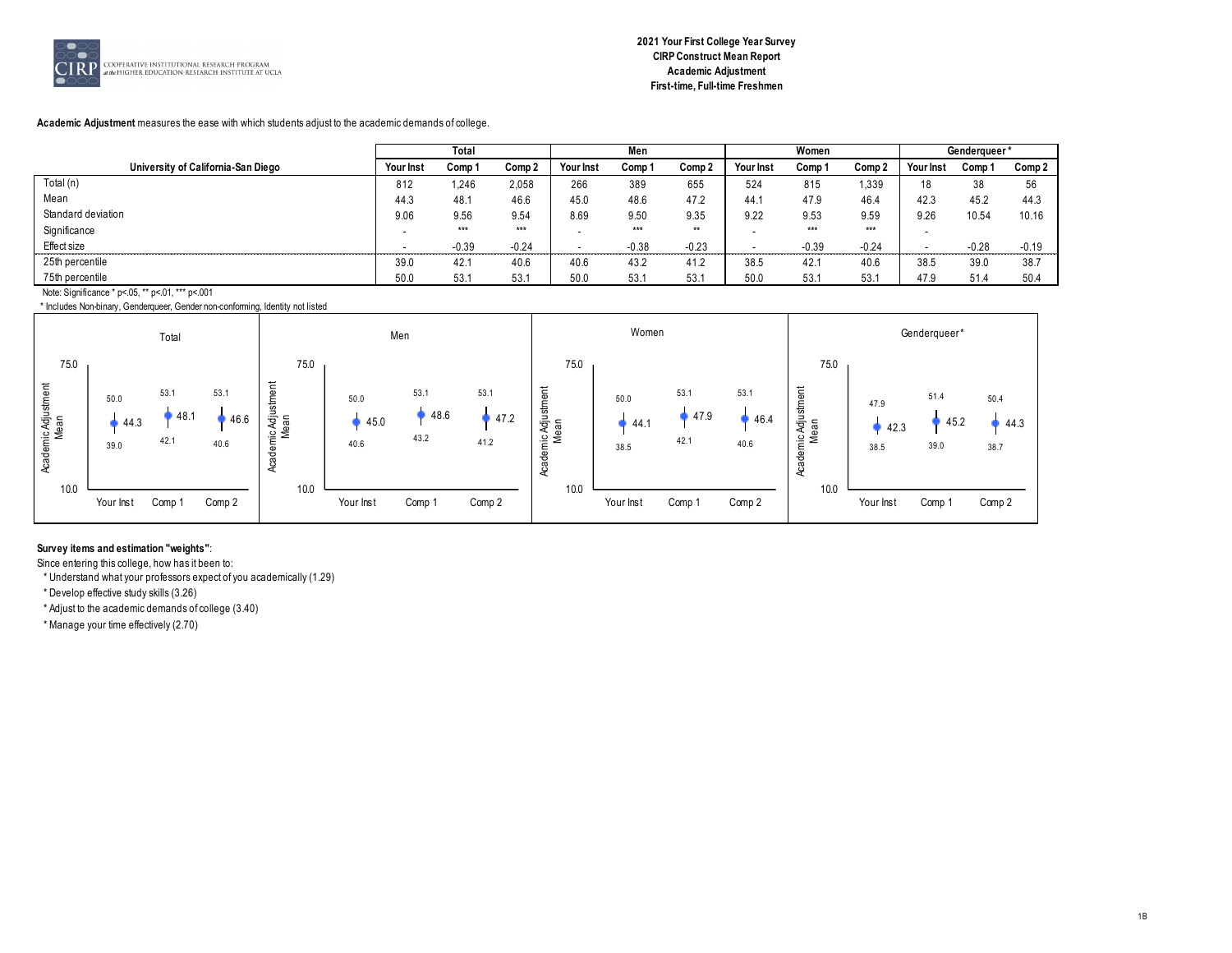

# **Academic Adjustment** measures the ease with which students adjust to the academic demands of college.

|                                                  |           | Total   |         |           | Men     |         |           | Women   |         |              | Genderqueer* |         |
|--------------------------------------------------|-----------|---------|---------|-----------|---------|---------|-----------|---------|---------|--------------|--------------|---------|
| University of California-San Diego               | Your Inst | Comp 1  | Comp 2  | Your Inst | Comp 1  | Comp 2  | Your Inst | Comp 1  | Comp 2  | Your Inst    | Comp '       | Comp 2  |
| Total (n)                                        | 812       | 1.246   | 2.058   | 266       | 389     | 655     | 524       | 815     | .339    | 18           | 38           | 56      |
| Mean                                             | 44.3      | 48.1    | 46.6    | 45.0      | 48.6    | 47.2    | 44.1      | 47.9    | 46.4    | 42.3         | 45.2         | 44.3    |
| Standard deviation                               | 9.06      | 9.56    | 9.54    | 8.69      | 9.50    | 9.35    | 9.22      | 9.53    | 9.59    | 9.26         | 10.54        | 10.16   |
| Significance                                     |           | $***$   | $***$   |           | $***$   | $**$    |           | $***$   | $***$   |              |              |         |
| Effect size                                      | .         | $-0.39$ | $-0.24$ |           | $-0.38$ | $-0.23$ |           | $-0.39$ | $-0.24$ | ------------ | $-0.28$      | $-0.19$ |
| 25th percentile                                  | 39.0      | 42.1    | 40.6    | 40.6      | 43.2    | 41.2    | 38.5      | 42.     | 40.6    | 38.5         | 39.0         | 38.     |
| 75th percentile                                  | 50.0      | 53.1    | 53.1    | 50.0      | 53.1    | 53.1    | 50.0      | 53.1    | 53.7    | 47.9         | 51.4         | 50.4    |
| Note: Significance * p<.05, ** p<.01, *** p<.001 |           |         |         |           |         |         |           |         |         |              |              |         |

\* Includes Non-binary, Genderqueer, Gender non-conforming, Identity not listed



# **Survey items and estimation "weights"**:

Since entering this college, how has it been to:

\* Understand what your professors expect of you academically (1.29)

\* Develop effective study skills (3.26)

\* Adjust to the academic demands of college (3.40)

\* Manage your time effectively (2.70)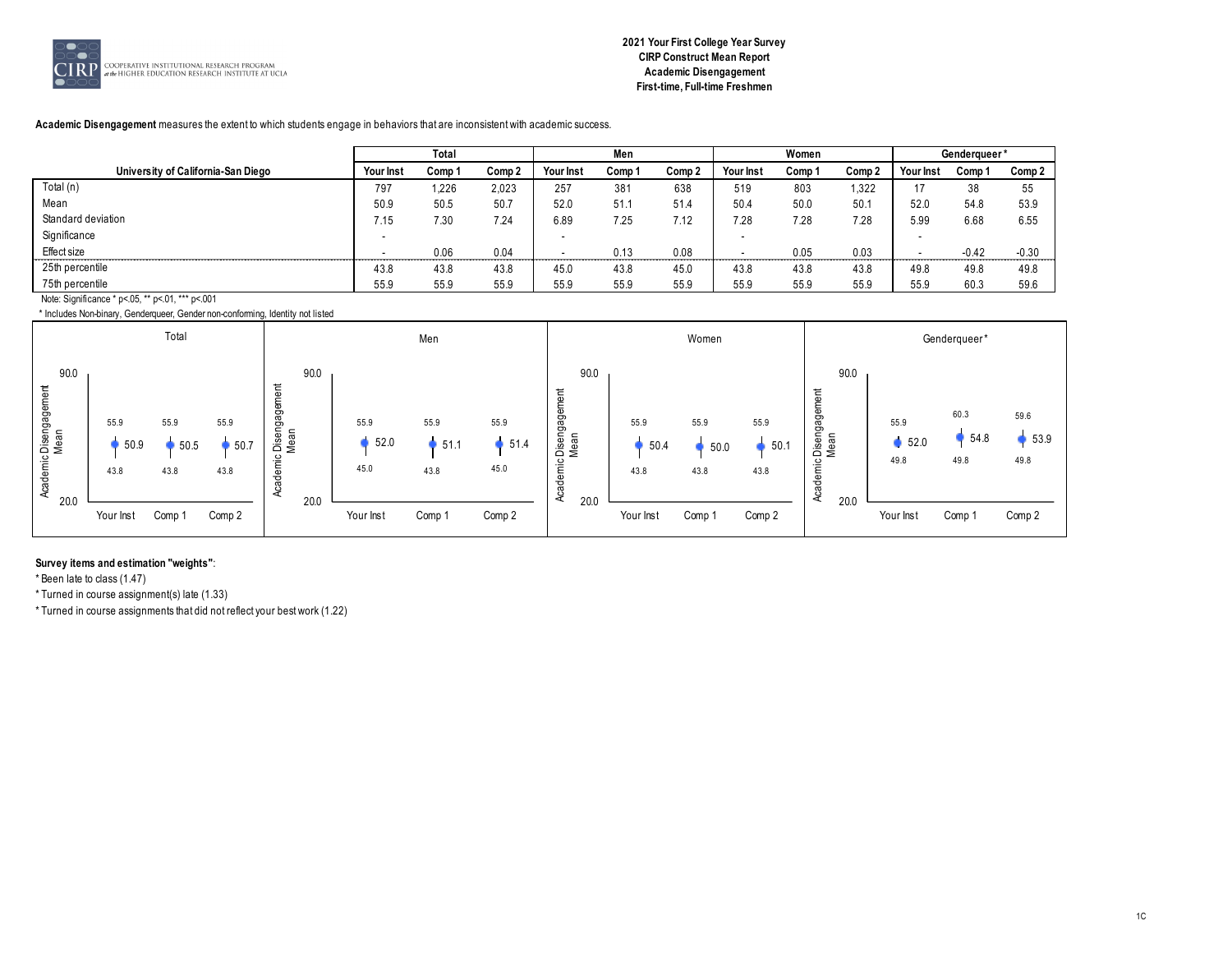

# **2021 Your First College Year Survey CIRP Construct Mean Report Academic Disengagement First-time, Full-time Freshmen**

# **Academic Disengagement** measures the extent to which students engage in behaviors that are inconsistent with academic success.

|                                                  |           | Total  |        |           | Men    |        |           | Women  |        |           | Genderqueer* |         |
|--------------------------------------------------|-----------|--------|--------|-----------|--------|--------|-----------|--------|--------|-----------|--------------|---------|
| University of California-San Diego               | Your Inst | Comp 1 | Comp 2 | Your Inst | Comp 1 | Comp 2 | Your Inst | Comp 1 | Comp 2 | Your Inst | Comp 1       | Comp 2  |
| Total $(n)$                                      | 797       | 1,226  | 2,023  | 257       | 381    | 638    | 519       | 803    | 1,322  | 47        | 38           | 55      |
| Mean                                             | 50.9      | 50.5   | 50.7   | 52.0      | 51.1   | 51.4   | 50.4      | 50.0   | 50.1   | 52.0      | 54.8         | 53.9    |
| Standard deviation                               | 7.15      | 7.30   | 7.24   | 6.89      | 7.25   | 7.12   | 28        | 7.28   | 7.28   | 5.99      | 6.68         | 6.55    |
| Significance                                     |           |        |        |           |        |        |           |        |        |           |              |         |
| Effect size                                      |           | 0.06   | 0.04   |           | 0.13   | 0.08   |           | 0.05   | 0.03   |           | $-0.42$      | $-0.30$ |
| 25th percentile                                  | 43.8      | 43.8   | 43.8   | 45.0      | 43.8   | 45.0   | 43.8      | 43.8   | 43.8   | 49.8      | 49.8         | 49.8    |
| 75th percentile                                  | 55.9      | 55.9   | 55.9   | 55.9      | 55.9   | 55.9   | 55.9      | 55.9   | 55.9   | 55.9      | 60.3         | 59.6    |
| Note: Significance * p<.05, ** p<.01, *** p<.001 |           |        |        |           |        |        |           |        |        |           |              |         |

\* Includes Non-binary, Genderqueer, Gender non-conforming, Identity not listed



#### **Survey items and estimation "weights"**:

\* Been late to class (1.47)

\* Turned in course assignment(s) late (1.33)

\* Turned in course assignments that did not reflect your best work (1.22)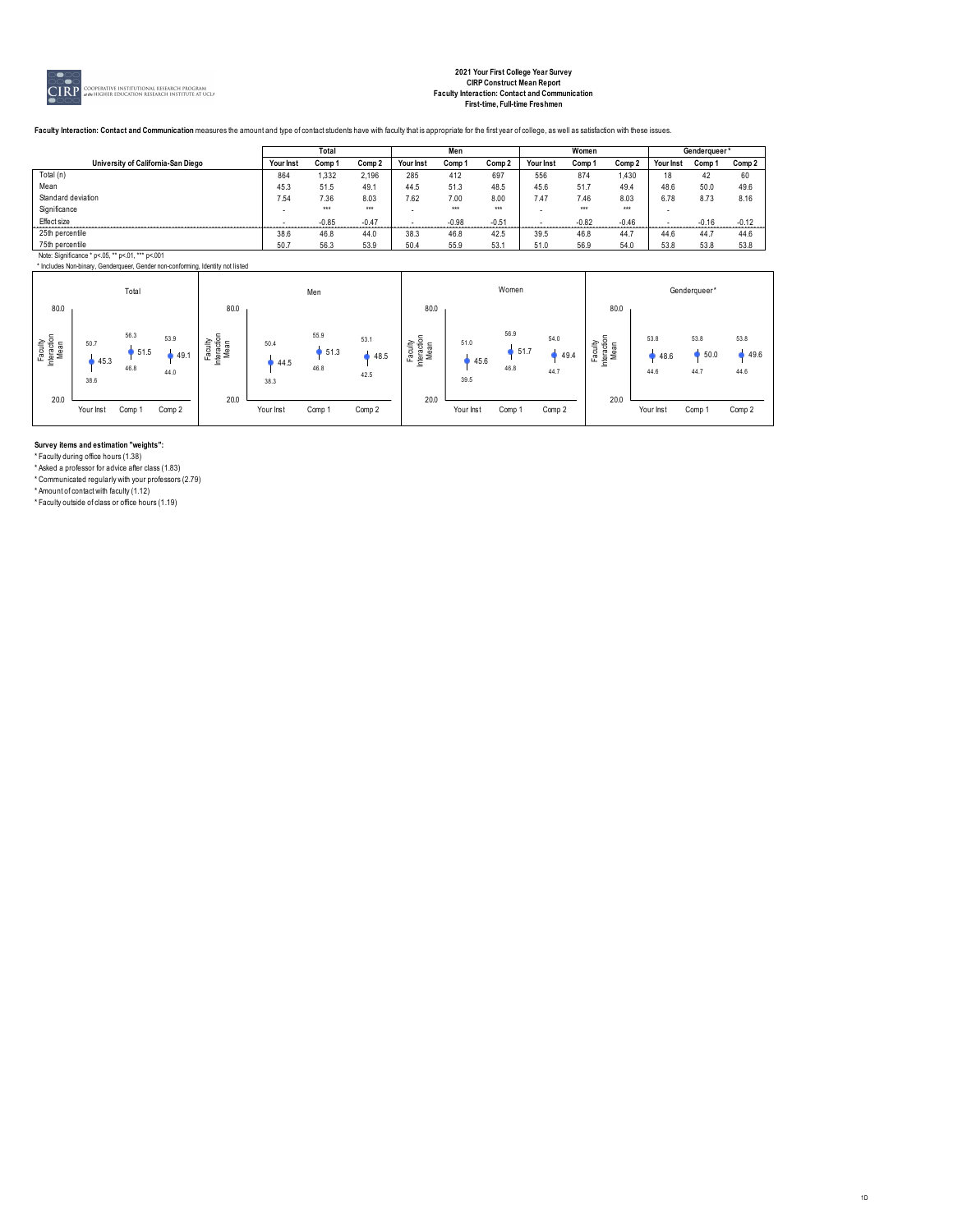

# **2021 Your First College Year Survey CIRP Construct Mean Report Faculty Interaction: Contact and Communication First-time, Full-time Freshmen**

1D

Faculty Interaction: Contact and Communication measures the amount and type of contact students have with faculty that is appropriate for the first year of college, as well as satisfaction with these issues.

|                                                                                |           | Total   |         |           | Men     |         |           | Women   |         |           | Genderqueer* |         |
|--------------------------------------------------------------------------------|-----------|---------|---------|-----------|---------|---------|-----------|---------|---------|-----------|--------------|---------|
| University of California-San Diego                                             | Your Inst | Comp 1  | Comp 2  | Your Inst | Comp 1  | Comp 2  | Your Inst | Comp 1  | Comp 2  | Your Inst | Comp 1       | Comp 2  |
| Total (n)                                                                      | 864       | .332    | 2,196   | 285       | 412     | 697     | 556       | 874     | 1.430   |           | 42           | 60      |
| Mean                                                                           | 45.3      | 51.5    | 49.1    | 44.5      | 51.3    | 48.5    | 45.6      | 51.7    | 49.4    | 48.6      | 50.0         | 49.6    |
| Standard deviation                                                             | 7.54      | 7.36    | 8.03    | 7.62      | 7.00    | 8.00    | 7.47      | 7.46    | 8.03    | 6.78      | 8.73         | 8.16    |
| Significance                                                                   | . .       | $***$   | $***$   |           | $***$   | $***$   |           | $***$   | $***$   |           |              |         |
| Effect size                                                                    |           | $-0.85$ | $-0.47$ |           | $-0.98$ | $-0.51$ |           | $-0.82$ | $-0.46$ |           | $-0.16$      | $-0.12$ |
| 25th percentile                                                                | 38.6      | 46.8    | 44.0    | 38.3      | 46.8    | 42.5    | 39.5      | 46.8    | 44.7    | 44.6      | 44.7         | 44.6    |
| 75th percentile                                                                | 50.7      | 56.3    | 53.9    | 50.4      | 55.9    | 53.1    | 51.0      | 56.9    | 54.0    | 53.8      | 53.8         | 53.8    |
| Note: Significance * p<.05, ** p<.01, *** p<.001                               |           |         |         |           |         |         |           |         |         |           |              |         |
| * Includes Non-binary, Genderqueer, Gender non-conforming, Identity not listed |           |         |         |           |         |         |           |         |         |           |              |         |

|                                |                      | Total                |                      |                                |                      | Men                  |                      |                                                 |                      | Women                  |                      |                                |                      | Genderqueer*         |                      |
|--------------------------------|----------------------|----------------------|----------------------|--------------------------------|----------------------|----------------------|----------------------|-------------------------------------------------|----------------------|------------------------|----------------------|--------------------------------|----------------------|----------------------|----------------------|
| 80.0                           |                      |                      |                      | 80.0                           |                      |                      |                      | 80.0                                            |                      |                        |                      | 80.0                           |                      |                      |                      |
| Faculty<br>Interaction<br>Mean | 50.7<br>45.3<br>38.6 | 56.3<br>51.5<br>46.8 | 53.9<br>49.1<br>44.0 | Faculty<br>Interaction<br>Mean | 50.4<br>44.5<br>38.3 | 55.9<br>51.3<br>46.8 | 53.1<br>48.5<br>42.5 | Faculty<br><b>teraction</b><br><b>Mean</b><br>흐 | 51.0<br>45.6<br>39.5 | 56.9<br>, 51.7<br>46.8 | 54.0<br>49.4<br>44.7 | Faculty<br>Interaction<br>Mean | 53.8<br>48.6<br>44.6 | 53.8<br>50.0<br>44.7 | 53.8<br>49.6<br>44.6 |
| 20.0                           | Your Inst            | Comp 1               | Comp 2               | 20.0                           | Your Inst            | Comp 1               | Comp 2               | 20.0                                            | Your Inst            | Comp 1                 | Comp 2               | 20.0                           | Your Inst            | Comp                 | Comp 2               |

**Survey items and estimation "weights":**

\* Faculty during office hours (1.38)

\* Asked a professor for advice after class (1.83) \* Communicated regularly with your professors (2.79) \* Amount of contact with faculty (1.12) \* Faculty outside of class or office hours (1.19)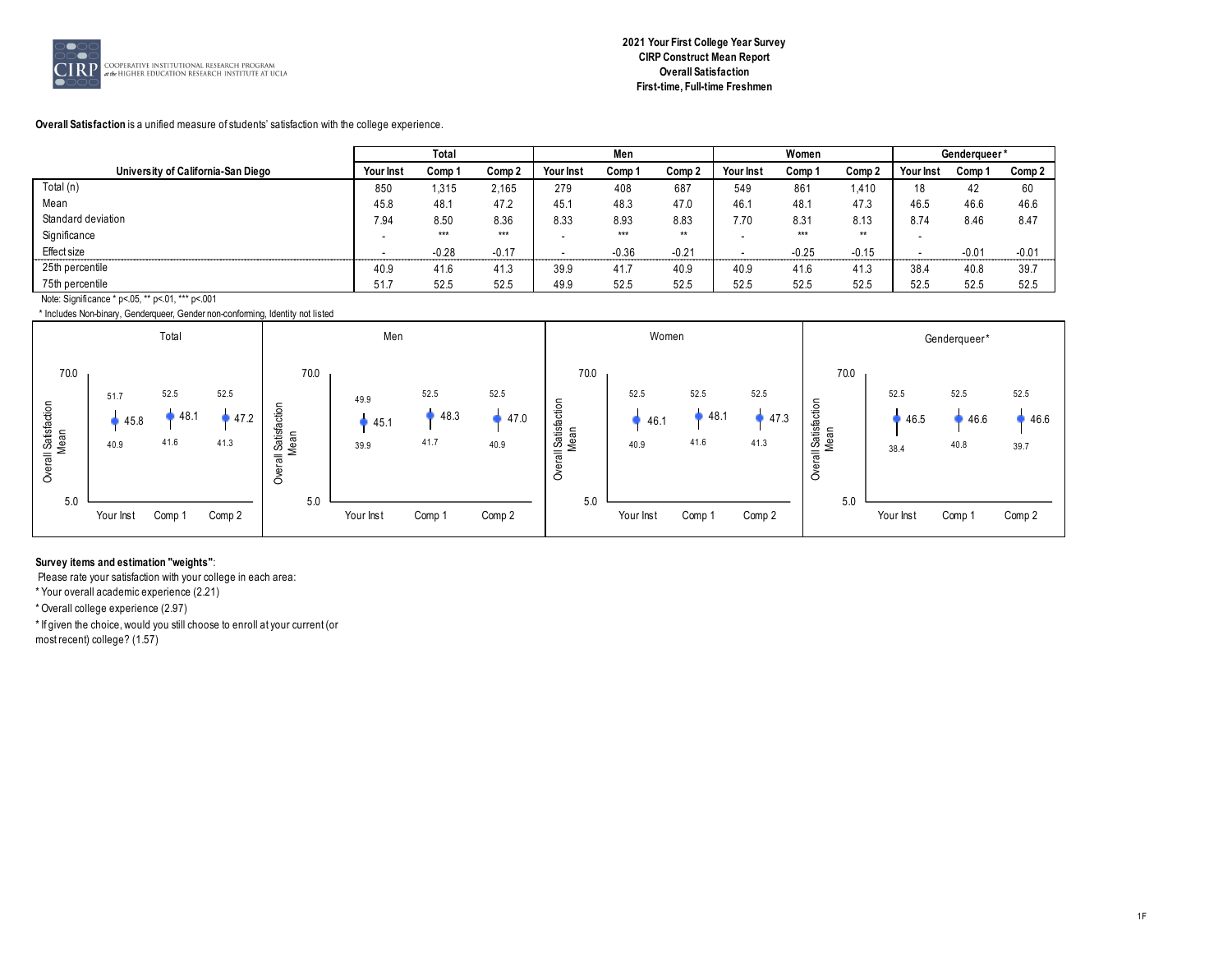

# **Overall Satisfaction** is a unified measure of students' satisfaction with the college experience.

|                                                  |           | Total   |                   |                  | Men     |         |           | Women   |         |           | Genderqueer* |         |
|--------------------------------------------------|-----------|---------|-------------------|------------------|---------|---------|-----------|---------|---------|-----------|--------------|---------|
| University of California-San Diego               | Your Inst | Comp 1  | Comp <sub>2</sub> | <b>Your Inst</b> | Comp 1  | Comp 2  | Your Inst | Comp 1  | Comp 2  | Your Inst | Comp 1       | Comp 2  |
| Total (n)                                        | 850       | 1,315   | 2,165             | 279              | 408     | 687     | 549       | 861     | 1,410   | 18        | 42           | 60      |
| Mean                                             | 45.8      | 48.1    | 47.2              | 45.1             | 48.3    | 47.0    | 46.1      | 48.1    | 47.3    | 46.5      | 46.6         | 46.6    |
| Standard deviation                               | 7.94      | 8.50    | 8.36              | 8.33             | 8.93    | 8.83    | 7.70      | 8.31    | 8.13    | 8.74      | 8.46         | 8.47    |
| Significance                                     |           | $***$   | $***$             |                  | $***$   | $**$    |           | $***$   | $**$    |           |              |         |
| Effect size                                      |           | $-0.28$ | $-0.17$           |                  | $-0.36$ | $-0.21$ |           | $-0.25$ | $-0.15$ |           | $-0.01$      | $-0.01$ |
| 25th percentile                                  | 40.9      | 41.6    | 41.3              | 39.9             | 41.7    | 40.9    | 40.9      | 41.6    | 41.3    | 38.4      | 40.8         | 39.7    |
| 75th percentile                                  | 51.7      | 52.5    | 52.5              | 49.9             | 52.5    | 52.5    | 52.5      | 52.5    | 52.5    | 52.5      | 52.5         | 52.5    |
| Note: Significance * p<.05, ** p<.01, *** p<.001 |           |         |                   |                  |         |         |           |         |         |           |              |         |

\* Includes Non-binary, Genderqueer, Gender non-conforming, Identity not listed



# **Survey items and estimation "weights"**:

Please rate your satisfaction with your college in each area:

\* Your overall academic experience (2.21)

\* Overall college experience (2.97)

\* If given the choice, would you still choose to enroll at your current (or

most recent) college? (1.57)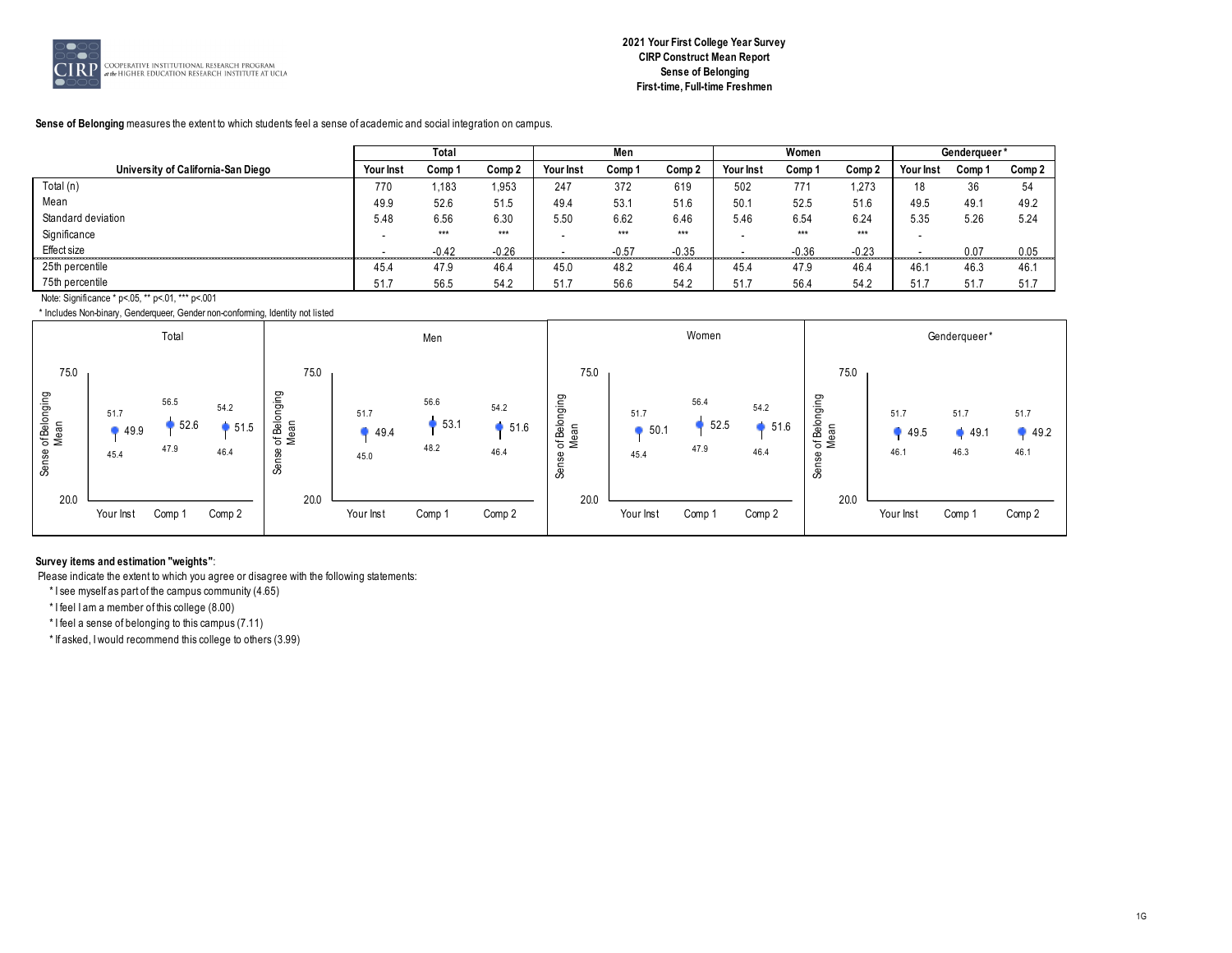

#### **Sense of Belonging** measures the extent to which students feel a sense of academic and social integration on campus.

|                                                  |           | Total   |         |           | Men     |         |           | Women   |         |                  | Genderaueer* |        |
|--------------------------------------------------|-----------|---------|---------|-----------|---------|---------|-----------|---------|---------|------------------|--------------|--------|
| University of California-San Diego               | Your Inst | Comp 1  | Comp 2  | Your Inst | Comp 1  | Comp 2  | Your Inst | Comp 1  | Comp 2  | <b>Your Inst</b> | Comp 1       | Comp 2 |
| Total (n)                                        | 770       | 1,183   | .953    | 247       | 372     | 619     | 502       | 771     | 1,273   | 18               | 36           | 54     |
| Mean                                             | 49.9      | 52.6    | 51.5    | 49.4      | 53.1    | 51.6    | 50.7      | 52.5    | 51.6    | 49.5             | 49.1         | 49.2   |
| Standard deviation                               | 5.48      | 6.56    | 6.30    | 5.50      | 6.62    | 6.46    | 5.46      | 6.54    | 6.24    | 5.35             | 5.26         | 5.24   |
| Significance                                     |           | $***$   | ***     |           | $***$   | $***$   |           | $***$   | $***$   |                  |              |        |
| Effect size                                      |           | $-0.42$ | $-0.26$ |           | $-0.57$ | $-0.35$ |           | $-0.36$ | $-0.23$ |                  | 0.07         | 0.05   |
| 25th percentile                                  | 45.4      | 47.9    | 46.4    | 45.0      | 48.2    | 46.4    | 45.4      | 47.9    | 46.4    | 46.1             | 46.3         | 46.'   |
| 75th percentile                                  | 51.7      | 56.5    | 54.2    | 51.7      | 56.6    | 54.2    | 51.7      | 56.4    | 54.2    | 51.7             | 51.7         | 51.7   |
| Note: Significance * p<.05, ** p<.01, *** p<.001 |           |         |         |           |         |         |           |         |         |                  |              |        |

\* Includes Non-binary, Genderqueer, Gender non-conforming, Identity not listed



# **Survey items and estimation "weights"**:

Please indicate the extent to which you agree or disagree with the following statements:

\* I see myself as part of the campus community (4.65)

\* I feel I am a member of this college (8.00)

\* I feel a sense of belonging to this campus (7.11)

\* If asked, I would recommend this college to others (3.99)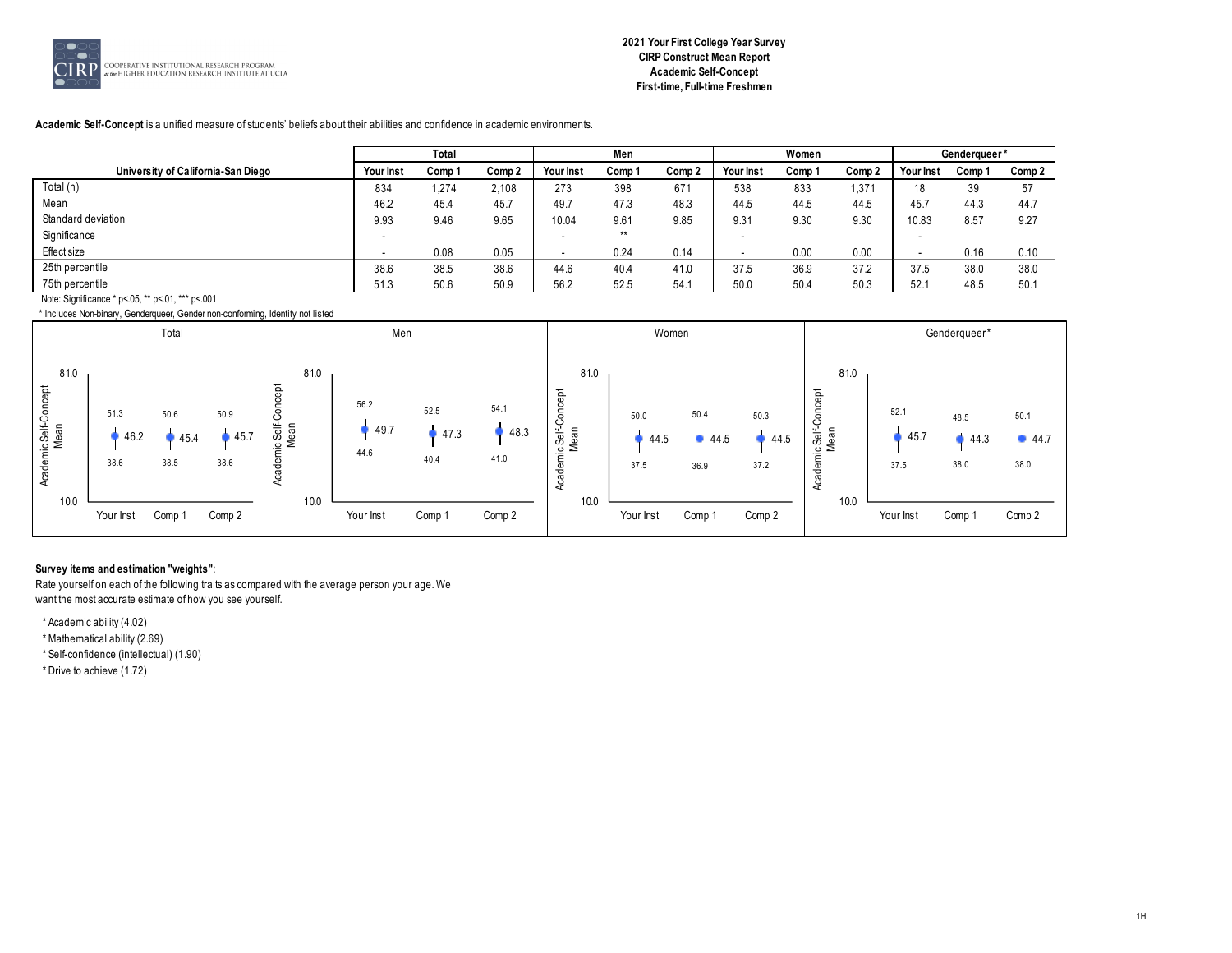

# **2021 Your First College Year Survey CIRP Construct Mean Report Academic Self-Concept First-time, Full-time Freshmen**

**Academic Self-Concept** is a unified measure of students' beliefs about their abilities and confidence in academic environments.

|                                                  |           | Total  |        |           | Men    |        |           | Women  |        |                  | Genderqueer* |        |
|--------------------------------------------------|-----------|--------|--------|-----------|--------|--------|-----------|--------|--------|------------------|--------------|--------|
| University of California-San Diego               | Your Inst | Comp 1 | Comp 2 | Your Inst | Comp 1 | Comp 2 | Your Inst | Comp 1 | Comp 2 | <b>Your Inst</b> | Comp 1       | Comp 2 |
| Total $(n)$                                      | 834       | 1,274  | 2.108  | 273       | 398    | 671    | 538       | 833    | 1,371  | 18               | 39           | 57     |
| Mean                                             | 46.2      | 45.4   | 45.7   | 49.7      | 47.3   | 48.3   | 44.5      | 44.5   | 44.5   | 45.7             | 44.3         | 44.7   |
| Standard deviation                               | 9.93      | 9.46   | 9.65   | 10.04     | 9.61   | 9.85   | 9.31      | 9.30   | 9.30   | 10.83            | 8.57         | 9.27   |
| Significance                                     |           |        |        |           | $**$   |        |           |        |        |                  |              |        |
| Effect size                                      |           | 0.08   | 0.05   |           | 0.24   | 0.14   |           | 0.00   | 0.00   |                  | 0.16         | 0.10   |
| 25th percentile                                  | 38.6      | 38.5   | 38.6   | 44.6      | 40.4   | 41.0   | 37.5      | 36.9   | 37.2   | 37.5             | 38.0         | 38.0   |
| 75th percentile                                  | 51.3      | 50.6   | 50.9   | 56.2      | 52.5   | 54.    | 50.0      | 50.4   | 50.3   | 52.7             | 48.5         | 50.1   |
| Note: Significance * p<.05, ** p<.01, *** p<.001 |           |        |        |           |        |        |           |        |        |                  |              |        |

\* Includes Non-binary, Genderqueer, Gender non-conforming, Identity not listed



# **Survey items and estimation "weights"**:

Rate yourself on each of the following traits as compared with the average person your age. We want the most accurate estimate of how you see yourself.

\* Academic ability (4.02)

\* Mathematical ability (2.69)

\* Self-confidence (intellectual) (1.90)

\* Drive to achieve (1.72)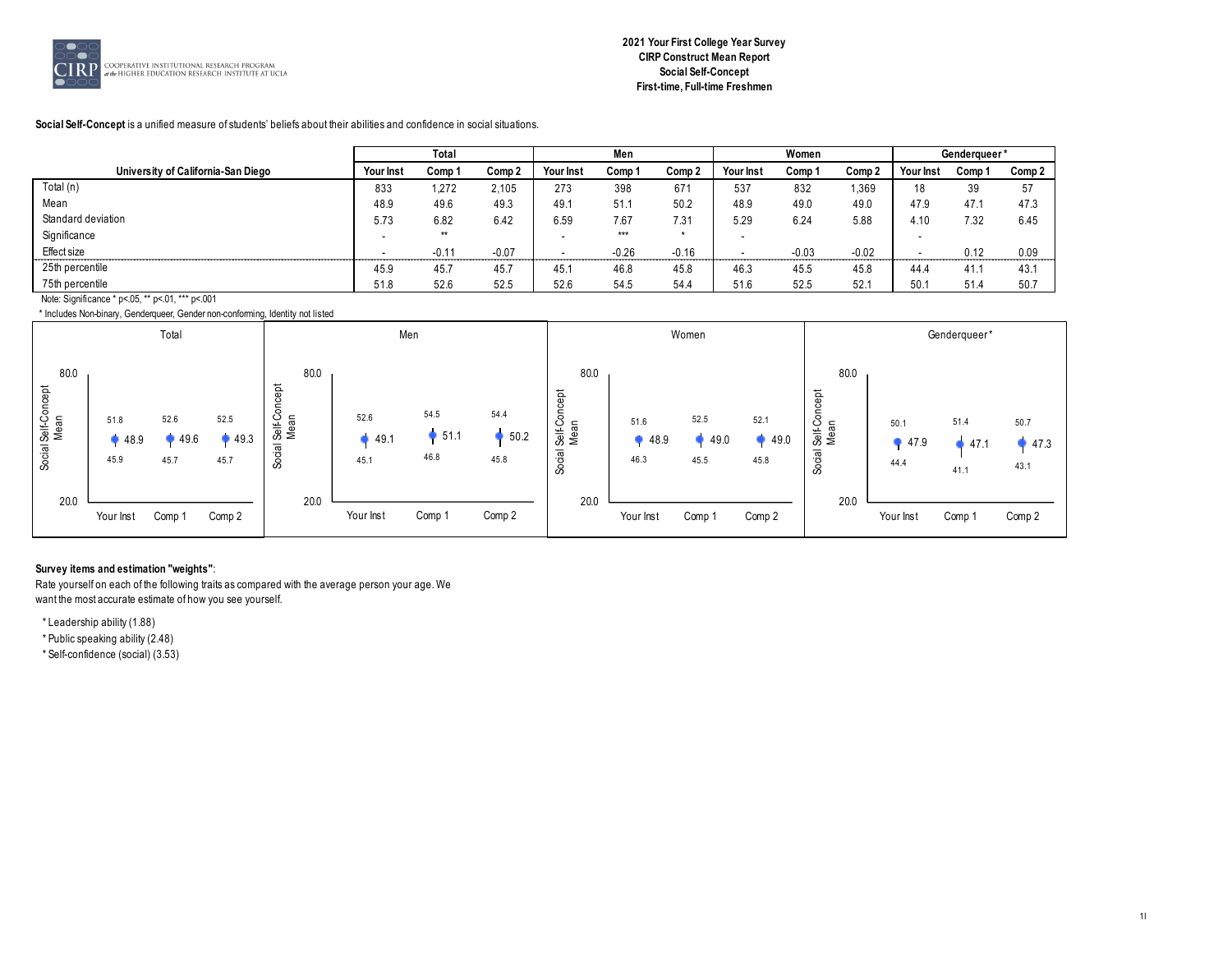

# **2021 Your First College Year Survey CIRP Construct Mean Report Social Self-Concept First-time, Full-time Freshmen**

#### **Social Self-Concept** is a unified measure of students' beliefs about their abilities and confidence in social situations.

|                                                  |           | Total   |         |                  | Men     |         |           | Women   |         |           | Genderqueer* |        |
|--------------------------------------------------|-----------|---------|---------|------------------|---------|---------|-----------|---------|---------|-----------|--------------|--------|
| University of California-San Diego               | Your Inst | Comp 1  | Comp 2  | <b>Your Inst</b> | Comp 1  | Comp 2  | Your Inst | Comp 1  | Comp 2  | Your Inst | Comp 1       | Comp 2 |
| Total (n)                                        | 833       | 1,272   | 2,105   | 273              | 398     | 671     | 537       | 832     | 1,369   | 18        | 39           | 57     |
| Mean                                             | 48.9      | 49.6    | 49.3    | 49.1             | 51.1    | 50.2    | 48.9      | 49.0    | 49.0    | 47.9      | 47.1         | 47.3   |
| Standard deviation                               | 5.73      | 6.82    | 6.42    | 6.59             | 7.67    | 7.31    | 5.29      | 6.24    | 5.88    | 4.10      | 7.32         | 6.45   |
| Significance                                     |           | $**$    |         |                  | $***$   |         |           |         |         |           |              |        |
| Effect size                                      |           | $-0.1'$ | $-0.07$ |                  | $-0.26$ | $-0.16$ |           | $-0.03$ | $-0.02$ |           | 0.12         | 0.09   |
| 25th percentile                                  | 45.9      | 45.7    | 45.7    | 45.1             | 46.8    | 45.8    | 46.3      | 45.5    | 45.8    | 44.4      | 41.1         | 43.7   |
| 75th percentile                                  | 51.8      | 52.6    | 52.5    | 52.6             | 54.5    | 54.4    | 51.6      | 52.5    | 52.1    | 50.1      | 51.4         | 50.7   |
| Note: Significance * p<.05, ** p<.01, *** p<.001 |           |         |         |                  |         |         |           |         |         |           |              |        |

\* Includes Non-binary, Genderqueer, Gender non-conforming, Identity not listed

|                                     |                      | Total                |                      |                                     |                      | Men                    |                      |                                        |                      | Women                |                      |                                                     |                      | Genderqueer*         |                      |
|-------------------------------------|----------------------|----------------------|----------------------|-------------------------------------|----------------------|------------------------|----------------------|----------------------------------------|----------------------|----------------------|----------------------|-----------------------------------------------------|----------------------|----------------------|----------------------|
| 80.0<br>Social Self-Concept<br>Mean | 51.8<br>48.9<br>45.9 | 52.6<br>49.6<br>45.7 | 52.5<br>49.3<br>45.7 | 80.0<br>oncept<br>Self-Co<br>Social | 52.6<br>49.1<br>45.1 | 54.5<br>• 51.1<br>46.8 | 54.4<br>50.2<br>45.8 | 80.0<br>Self-Concept<br>Mean<br>Social | 51.6<br>48.9<br>46.3 | 52.5<br>49.0<br>45.5 | 52.1<br>49.0<br>45.8 | 80.0<br>Self-Concept<br>Mean<br>$\overline{a}$<br>8 | 50.1<br>47.9<br>44.4 | 51.4<br>47.1<br>41.1 | 50.7<br>47.3<br>43.1 |
| 20.0                                | Your Inst            | Comp 1               | Comp 2               | 20.0                                | Your Inst            | Comp 1                 | Comp 2               | 20.0                                   | Your Inst            | Comp 1               | Comp 2               | 20.0                                                | Your Inst            | Comp 1               | Comp 2               |

# **Survey items and estimation "weights"**:

Rate yourself on each of the following traits as compared with the average person your age. We want the most accurate estimate of how you see yourself.

\* Leadership ability (1.88)

\* Public speaking ability (2.48)

\* Self-confidence (social) (3.53)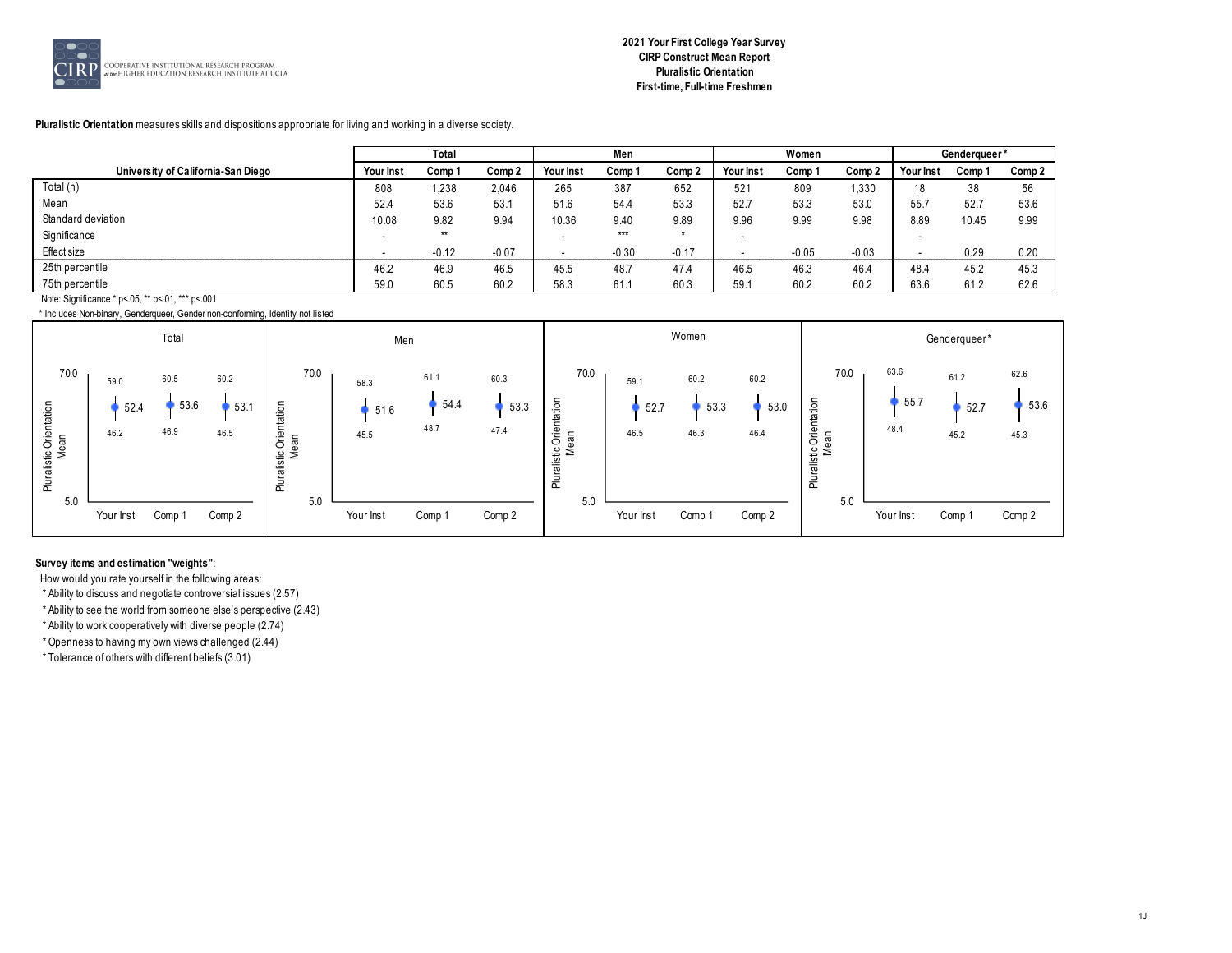

# **2021 Your First College Year Survey CIRP Construct Mean Report Pluralistic Orientation First-time, Full-time Freshmen**

#### **Pluralistic Orientation** measures skills and dispositions appropriate for living and working in a diverse society.

|                                                  |           | Total   |         |           | Men     |         |           | Women   |         |                  | Genderqueer* |        |
|--------------------------------------------------|-----------|---------|---------|-----------|---------|---------|-----------|---------|---------|------------------|--------------|--------|
| University of California-San Diego               | Your Inst | Comp 1  | Comp 2  | Your Inst | Comp 1  | Comp 2  | Your Inst | Comp 1  | Comp 2  | <b>Your Inst</b> | Comp 1       | Comp 2 |
| Total (n)                                        | 808       | 1,238   | 2,046   | 265       | 387     | 652     | 521       | 809     | 1,330   | 18               | 38           | 56     |
| Mean                                             | 52.4      | 53.6    | 53.1    | 51.6      | 54.4    | 53.3    | 52.7      | 53.3    | 53.0    | 55.7             | 52.7         | 53.6   |
| Standard deviation                               | 10.08     | 9.82    | 9.94    | 10.36     | 9.40    | 9.89    | 9.96      | 9.99    | 9.98    | 8.89             | 10.45        | 9.99   |
| Significance                                     |           | $**$    |         |           | $***$   |         |           |         |         |                  |              |        |
| Effect size                                      |           | $-0.12$ | $-0.07$ |           | $-0.30$ | $-0.17$ |           | $-0.05$ | $-0.03$ |                  | 0.29         | 0.20   |
| 25th percentile                                  | 46.2      | 46.9    | 46.5    | 45.5      | 48.7    | 47.4    | 46.5      | 46.3    | 46.4    | 48.4             | 45.2         | 45.3   |
| 75th percentile                                  | 59.0      | 60.5    | 60.2    | 58.3      | 61.1    | 60.3    | 59.7      | 60.2    | 60.2    | 63.6             | 61.2         | 62.6   |
| Note: Significance * p<.05, ** p<.01, *** p<.001 |           |         |         |           |         |         |           |         |         |                  |              |        |

\* Includes Non-binary, Genderqueer, Gender non-conforming, Identity not listed



#### **Survey items and estimation "weights"**:

How would you rate yourself in the following areas:

\* Ability to discuss and negotiate controversial issues (2.57)

\* Ability to see the world from someone else's perspective (2.43)

\* Ability to work cooperatively with diverse people (2.74)

\* Openness to having my own views challenged (2.44)

\* Tolerance of others with different beliefs (3.01)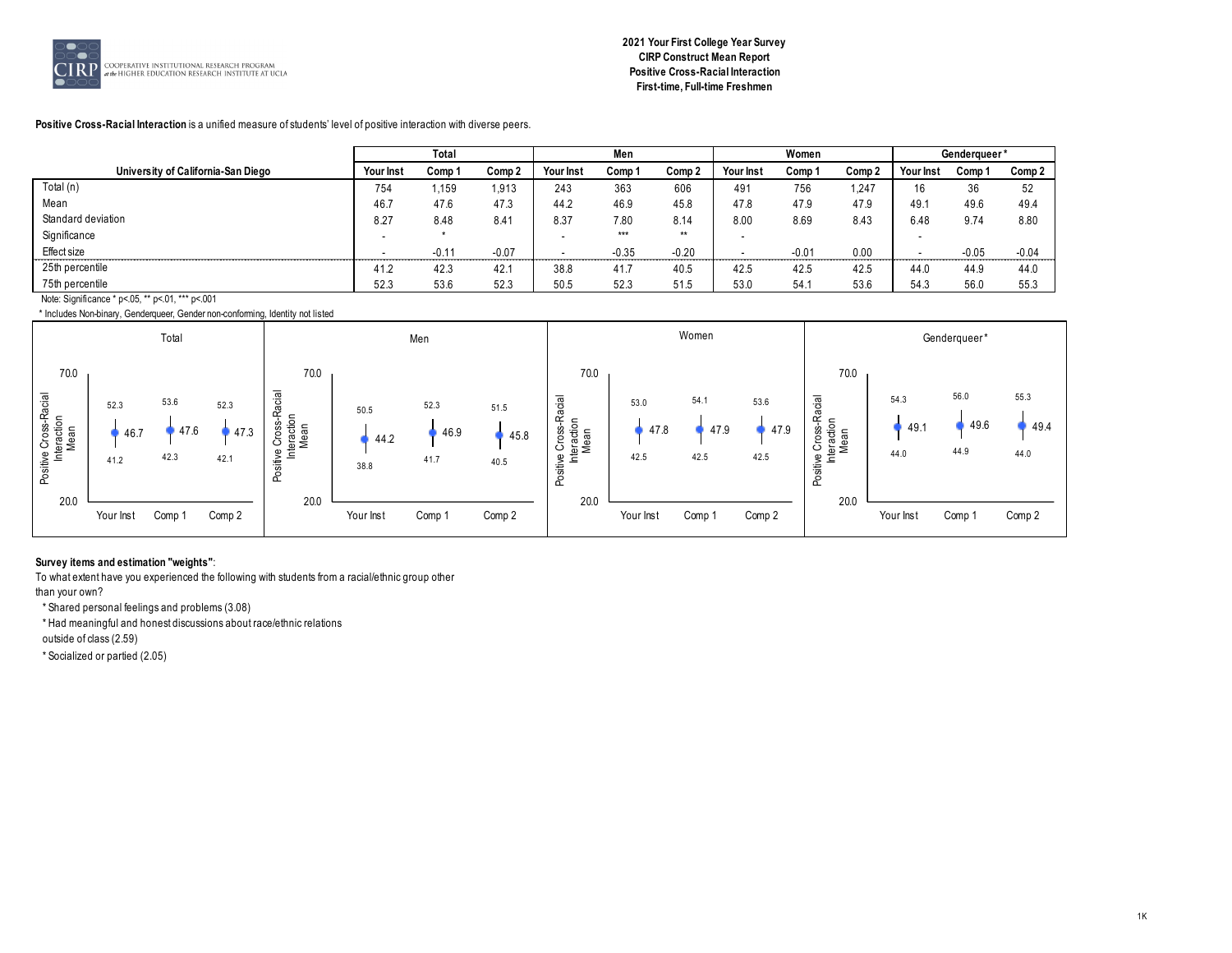

# **2021 Your First College Year Survey CIRP Construct Mean Report Positive Cross-Racial Interaction First-time, Full-time Freshmen**

#### **Positive Cross-Racial Interaction** is a unified measure of students' level of positive interaction with diverse peers.

|                                                  |           | Total   |         |           | Men     |         |           | Women   |        |           | Genderqueer* |         |
|--------------------------------------------------|-----------|---------|---------|-----------|---------|---------|-----------|---------|--------|-----------|--------------|---------|
| University of California-San Diego               | Your Inst | Comp 1  | Comp 2  | Your Inst | Comp 1  | Comp 2  | Your Inst | Comp 1  | Comp 2 | Your Inst | Comp 1       | Comp 2  |
| Total (n)                                        | 754       | i,159   | 1,913   | 243       | 363     | 606     | 491       | 756     | 1,247  | 16        | 36           | 52      |
| Mean                                             | 46.7      | 47.6    | 47.3    | 44.2      | 46.9    | 45.8    | 47.8      | 47.9    | 47.9   | 49.1      | 49.6         | 49.4    |
| Standard deviation                               | 8.27      | 8.48    | 8.41    | 8.37      | 7.80    | 8.14    | 8.00      | 8.69    | 8.43   | 6.48      | 9.74         | 8.80    |
| Significance                                     |           |         |         |           | $***$   | $**$    |           |         |        |           |              |         |
| Effect size                                      |           | $-0.14$ | $-0.07$ |           | $-0.35$ | $-0.20$ |           | $-0.01$ | 0.00   |           | $-0.05$      | $-0.04$ |
| 25th percentile                                  | 41.2      | 42.3    | 42.1    | 38.8      | 41.7    | 40.5    | 42.5      | 42.5    | 42.5   | 44.0      | 44.9         | 44.0    |
| 75th percentile                                  | 52.3      | 53.6    | 52.3    | 50.5      | 52.3    | 51.5    | 53.0      | 54.1    | 53.6   | 54.3      | 56.0         | 55.3    |
| Note: Significance * p<.05, ** p<.01, *** p<.001 |           |         |         |           |         |         |           |         |        |           |              |         |

\* Includes Non-binary, Genderqueer, Gender non-conforming, Identity not listed



#### **Survey items and estimation "weights"**:

To what extent have you experienced the following with students from a racial/ethnic group other

than your own?

\* Shared personal feelings and problems (3.08)

\* Had meaningful and honest discussions about race/ethnic relations

outside of class (2.59)

\* Socialized or partied (2.05)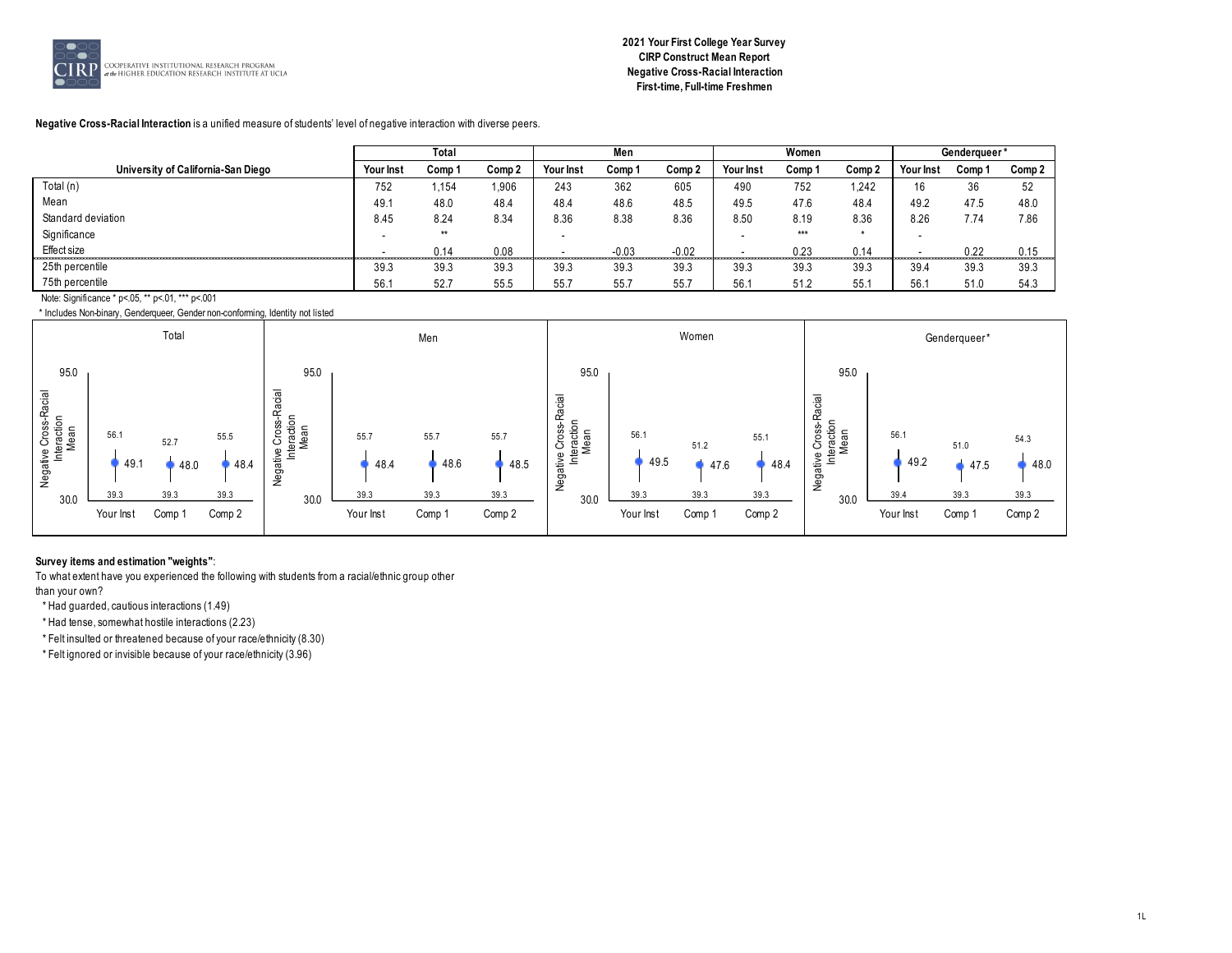

# **2021 Your First College Year Survey CIRP Construct Mean Report Negative Cross-Racial Interaction First-time, Full-time Freshmen**

#### **Negative Cross-Racial Interaction** is a unified measure of students' level of negative interaction with diverse peers.

|                                    |                          | Total  |                   |           | Men     |         |           | Women  |         |           | Genderqueer* |        |
|------------------------------------|--------------------------|--------|-------------------|-----------|---------|---------|-----------|--------|---------|-----------|--------------|--------|
| University of California-San Diego | <b>Your Inst</b>         | Comp 1 | Comp <sub>2</sub> | Your Inst | Comp 1  | Comp 2  | Your Inst | Comp 1 | Comp 2  | Your Inst | Comp 1       | Comp 2 |
| Total (n)                          | 752                      | 1,154  | 1,906             | 243       | 362     | 605     | 490       | 752    | 1,242   | 16        | 36           | 52     |
| Mean                               | 49.1                     | 48.0   | 48.4              | 48.4      | 48.6    | 48.5    | 49.5      | 47.6   | 48.4    | 49.2      | 47.5         | 48.0   |
| Standard deviation                 | 8.45                     | 8.24   | 8.34              | 8.36      | 8.38    | 8.36    | 8.50      | 8.19   | 8.36    | 8.26      | 7.74         | 7.86   |
| Significance                       | $\overline{\phantom{a}}$ | $**$   |                   |           |         |         |           | ***    | $\star$ |           |              |        |
| Effect size                        |                          | 0.14   | 0.08              |           | $-0.03$ | $-0.02$ |           | 0.23   | 0.14    |           | 0.22         | 0.15   |
| 25th percentile                    | 39.3                     | 39.3   | 39.3              | 39.3      | 39.3    | 39.3    | 39.3      | 39.3   | 39.3    | 39.4      | 39.3         | 39.3   |
| 75th percentile                    | 56.1                     | 52.7   | 55.5              | 55.7      | 55.7    | 55.7    | 56.7      | 51.2   | 55.1    | 56.7      | 51.0         | 54.3   |
| $\cdots$ $\cdots$ $\cdots$         |                          |        |                   |           |         |         |           |        |         |           |              |        |

Note: Significance \* p<.05, \*\* p<.01, \*\*\* p<.001



#### **Survey items and estimation "weights"**:

To what extent have you experienced the following with students from a racial/ethnic group other than your own?

\* Had guarded, cautious interactions (1.49)

\* Had tense, somewhat hostile interactions (2.23)

\* Felt insulted or threatened because of your race/ethnicity (8.30)

\* Felt ignored or invisible because of your race/ethnicity (3.96)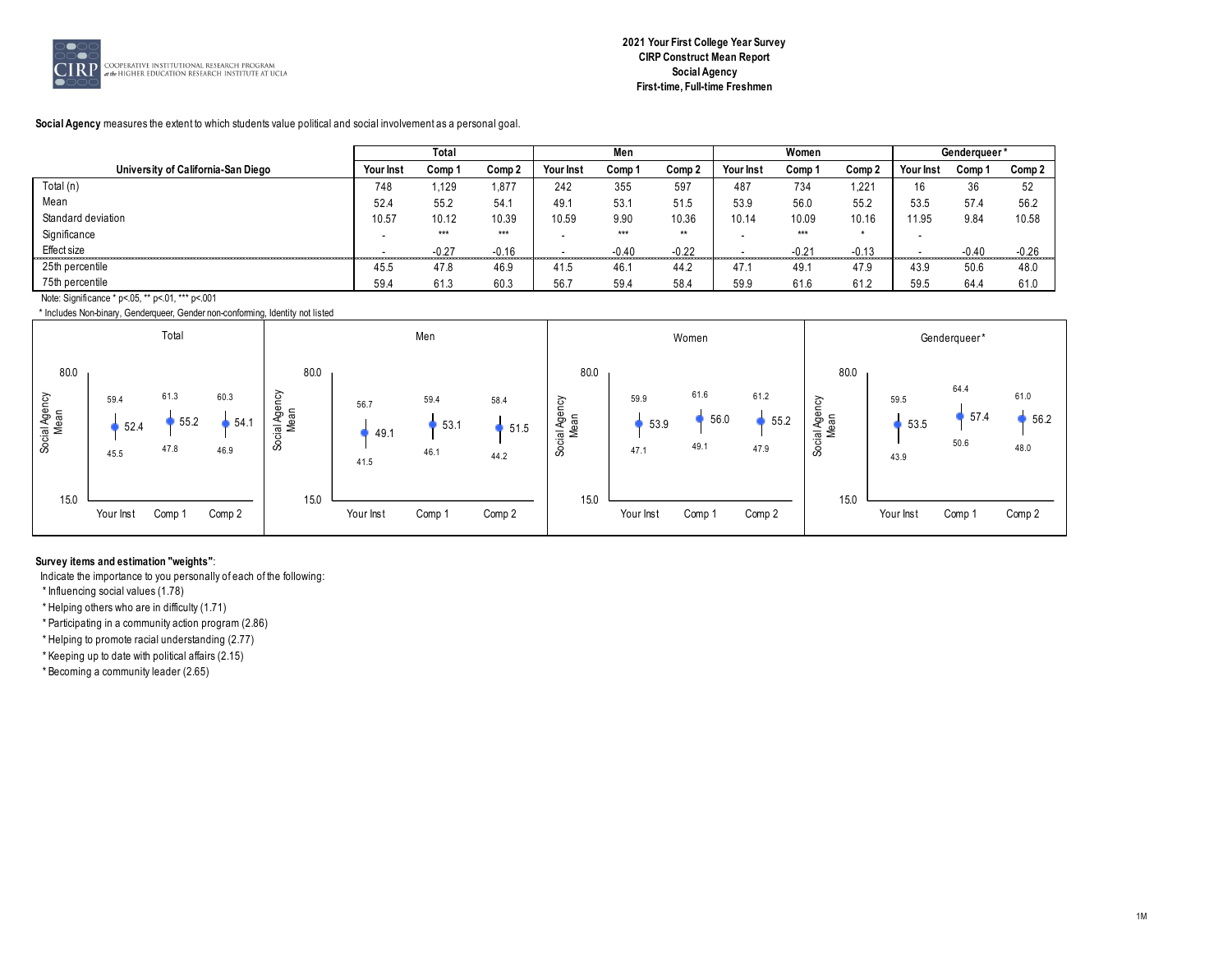

**Social Agency** measures the extent to which students value political and social involvement as a personal goal.

|                                           |                          | Total   |         |           | Men     |         |           | Women   |         |           | Genderqueer* |         |
|-------------------------------------------|--------------------------|---------|---------|-----------|---------|---------|-----------|---------|---------|-----------|--------------|---------|
| University of California-San Diego        | Your Inst                | Comp 1  | Comp 2  | Your Inst | Comp 1  | Comp 2  | Your Inst | Comp 1  | Comp 2  | Your Inst | Comp 1       | Comp 2  |
| Total (n)                                 | 748                      | l.129   | .877    | 242       | 355     | 597     | 487       | 734     | 1,221   | 16        | 36           | 52      |
| Mean                                      | 52.4                     | 55.2    | 54.1    | 49.1      | 53.1    | 51.5    | 53.9      | 56.0    | 55.2    | 53.5      | 57.4         | 56.2    |
| Standard deviation                        | 10.57                    | 10.12   | 10.39   | 10.59     | 9.90    | 10.36   | 10.14     | 10.09   | 10.16   | 11.95     | 9.84         | 10.58   |
| Significance                              |                          | $***$   | ***     |           | $***$   | $**$    |           | ***     | $\star$ |           |              |         |
| Effect size                               | $\overline{\phantom{a}}$ | $-0.27$ | $-0.16$ |           | $-0.40$ | $-0.22$ |           | $-0.21$ | $-0.13$ |           | $-0.40$      | $-0.26$ |
| 25th percentile                           | 45.5                     | 47.8    | 46.9    | 41.5      | 46.1    | 44.2    | 47.7      | 49.1    | 47.9    | 43.9      | 50.6         | 48.0    |
| 75th percentile                           | 59.4                     | 61.3    | 60.3    | 56.7      | 59.4    | 58.4    | 59.9      | 61.6    | 61.2    | 59.5      | 64.4         | 61.0    |
| <b>ALL OF THE ALL OF AN INVIANAL COAL</b> |                          |         |         |           |         |         |           |         |         |           |              |         |

Note: Significance \* p<.05, \*\* p<.01, \*\*\* p<.001 \* Includes Non-binary, Genderqueer, Gender non-conforming, Identity not listed



# **Survey items and estimation "weights"**:

Indicate the importance to you personally of each of the following:

\* Influencing social values (1.78)

\* Helping others who are in difficulty (1.71)

\* Participating in a community action program (2.86)

\* Helping to promote racial understanding (2.77)

\* Keeping up to date with political affairs (2.15)

\* Becoming a community leader (2.65)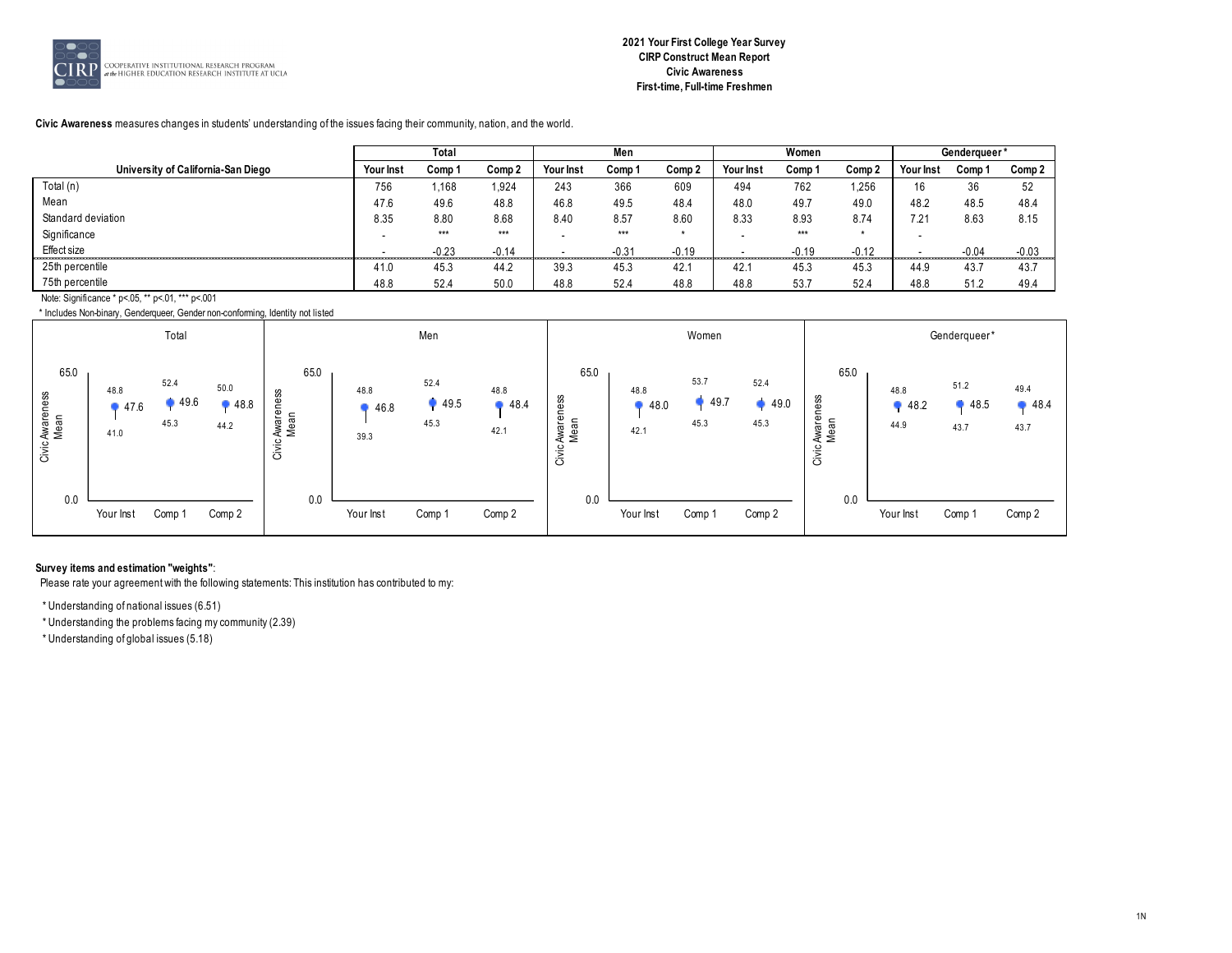

**Civic Awareness** measures changes in students' understanding of the issues facing their community, nation, and the world.

|                                           |                          | Total   |         |           | Men     |         |           | Women   |         |           | Genderqueer* |         |
|-------------------------------------------|--------------------------|---------|---------|-----------|---------|---------|-----------|---------|---------|-----------|--------------|---------|
| University of California-San Diego        | Your Inst                | Comp 1  | Comp 2  | Your Inst | Comp 1  | Comp 2  | Your Inst | Comp 1  | Comp 2  | Your Inst | Comp 1       | Comp 2  |
| Total (n)                                 | 756                      | 1,168   | 924.    | 243       | 366     | 609     | 494       | 762     | 1,256   | 16        | 36           | 52      |
| Mean                                      | 47.6                     | 49.6    | 48.8    | 46.8      | 49.5    | 48.4    | 48.0      | 49.7    | 49.0    | 48.2      | 48.5         | 48.4    |
| Standard deviation                        | 8.35                     | 8.80    | 8.68    | 8.40      | 8.57    | 8.60    | 8.33      | 8.93    | 8.74    | 7.21      | 8.63         | 8.15    |
| Significance                              |                          | $***$   | ***     |           | $***$   |         |           | ***     | $\star$ |           |              |         |
| Effect size                               | $\overline{\phantom{a}}$ | $-0.23$ | $-0.14$ |           | $-0.31$ | $-0.19$ |           | $-0.19$ | $-0.12$ |           | $-0.04$      | $-0.03$ |
| 25th percentile                           | 41.0                     | 45.3    | 44.2    | 39.3      | 45.3    | 42.1    | 42.7      | 45.3    | 45.3    | 44.9      | 43.7         | 43.7    |
| 75th percentile                           | 48.8                     | 52.4    | 50.0    | 48.8      | 52.4    | 48.8    | 48.8      | 53.7    | 52.4    | 48.8      | 51.2         | 49.4    |
| <b>ALL OF THE ALL OF AN INVIANAL COAL</b> |                          |         |         |           |         |         |           |         |         |           |              |         |

 \* Includes Non-binary, Genderqueer, Gender non-conforming, Identity not listed Note: Significance \* p<.05, \*\* p<.01, \*\*\* p<.001

|                                 |                      | Total                |                      |                                    |                      | Men                  |                      |                                    |                      | Women                |                      |                                    |                      | Genderqueer*         |                      |
|---------------------------------|----------------------|----------------------|----------------------|------------------------------------|----------------------|----------------------|----------------------|------------------------------------|----------------------|----------------------|----------------------|------------------------------------|----------------------|----------------------|----------------------|
| 65.0<br>Civic Awareness<br>Mean | 48.8<br>47.6<br>41.0 | 52.4<br>49.6<br>45.3 | 50.0<br>48.8<br>44.2 | 65.0<br>Awareness<br>Mean<br>Civic | 48.8<br>46.8<br>39.3 | 52.4<br>49.5<br>45.3 | 48.8<br>48.4<br>42.1 | 65.0<br>Awareness<br>Mean<br>Civic | 48.8<br>48.0<br>42.1 | 53.7<br>49.7<br>45.3 | 52.4<br>49.0<br>45.3 | 65.0<br>Awareness<br>Mean<br>Civic | 48.8<br>48.2<br>44.9 | 51.2<br>48.5<br>43.7 | 49.4<br>48.4<br>43.7 |
| 0.0                             |                      |                      |                      | 0.0                                |                      |                      |                      | 0.0                                |                      |                      |                      | 0.0                                |                      |                      |                      |
|                                 | Your Inst            | Comp 1               | Comp 2               |                                    | Your Inst            | Comp 1               | Comp 2               |                                    | Your Inst            | Comp 1               | Comp 2               |                                    | Your Inst            | Comp 1               | Comp 2               |

#### **Survey items and estimation "weights"**:

Please rate your agreement with the following statements: This institution has contributed to my:

\* Understanding of national issues (6.51)

\* Understanding the problems facing my community (2.39)

\* Understanding of global issues (5.18)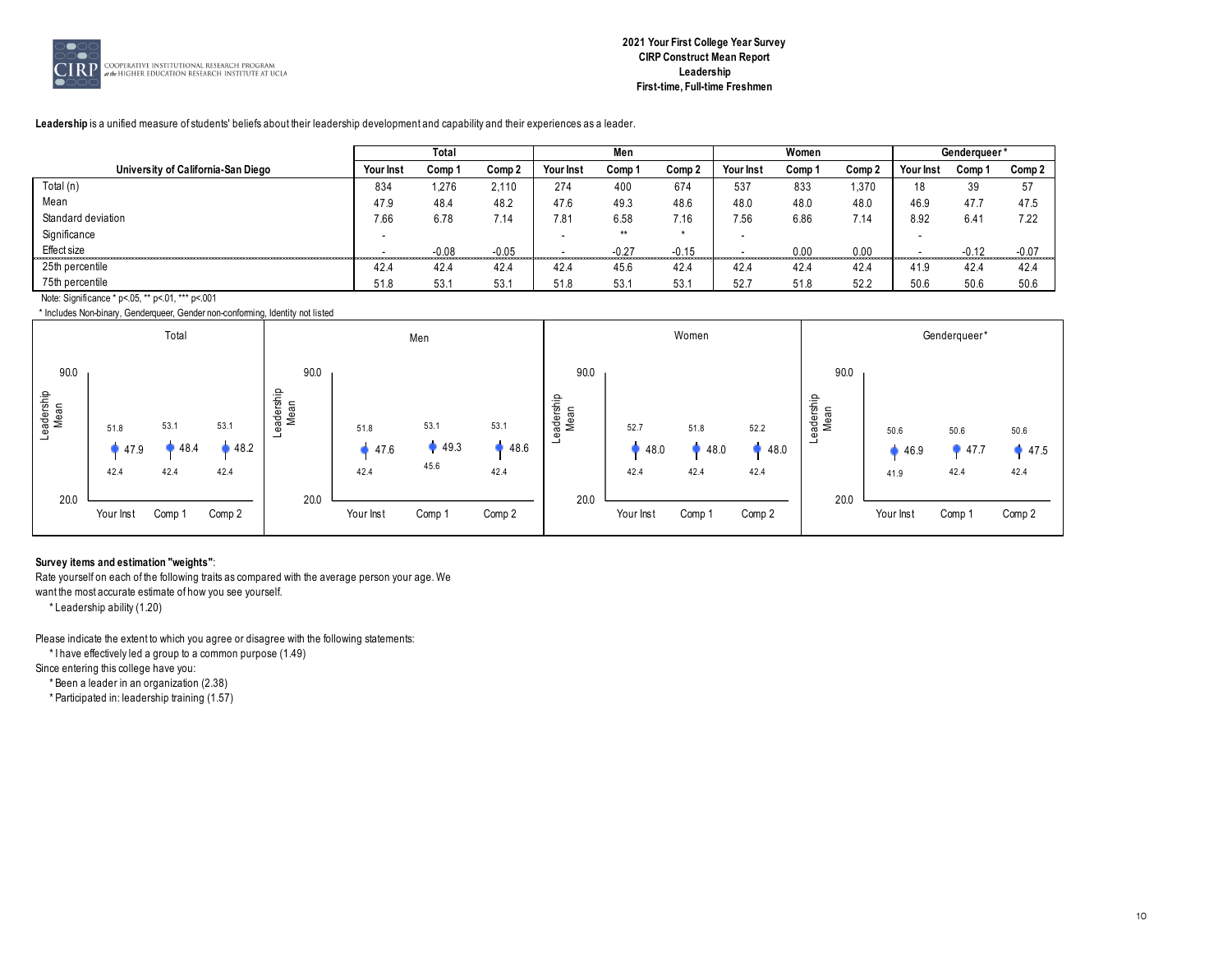

#### **Leadership** is a unified measure of students' beliefs about their leadership development and capability and their experiences as a leader.

|                                                  |           | Total   |         |                  | Men     |         |                  | Women  |        |                  | Genderqueer* |         |
|--------------------------------------------------|-----------|---------|---------|------------------|---------|---------|------------------|--------|--------|------------------|--------------|---------|
| University of California-San Diego               | Your Inst | Comp 1  | Comp 2  | <b>Your Inst</b> | Comp 1  | Comp 2  | <b>Your Inst</b> | Comp 1 | Comp 2 | <b>Your Inst</b> | Comp 1       | Comp 2  |
| Total (n)                                        | 834       | 276،    | 2.110   | 274              | 400     | 674     | 537              | 833    | 1,370  | 18               | 39           | 57      |
| Mean                                             | 47.9      | 48.4    | 48.2    | 47.6             | 49.3    | 48.6    | 48.0             | 48.0   | 48.0   | 46.9             | 47.7         | 47.5    |
| Standard deviation                               | 7.66      | 6.78    | 7.14    | 7.81             | 6.58    | 7.16    | 7.56             | 6.86   | 7.14   | 8.92             | 6.4          | 7.22    |
| Significance                                     |           |         |         |                  | $**$    |         |                  |        |        |                  |              |         |
| Effect size                                      | -         | $-0.08$ | $-0.05$ |                  | $-0.27$ | $-0.15$ |                  | 0.00   | 0.00   |                  | $-0.12$      | $-0.07$ |
| 25th percentile                                  | 42.4      | 42.4    | 42.4    | 42.4             | 45.6    | 42.4    | 42.4             | 42.4   | 42.4   | 41.9             | 42.4         | 42.4    |
| 75th percentile                                  | 51.8      | 53.1    | 53.1    | 51.8             | 53.1    | 53.1    | 52.7             | 51.8   | 52.2   | 50.6             | 50.6         | 50.6    |
| Note: Significance * p<.05, ** p<.01, *** p<.001 |           |         |         |                  |         |         |                  |        |        |                  |              |         |

\* Includes Non-binary, Genderqueer, Gender non-conforming, Identity not listed

|                            |                      | Total                |                      |                            |                      | Men                  |                      |                            |                      | Women                |                      |                                     |                      | Genderqueer*                   |                      |
|----------------------------|----------------------|----------------------|----------------------|----------------------------|----------------------|----------------------|----------------------|----------------------------|----------------------|----------------------|----------------------|-------------------------------------|----------------------|--------------------------------|----------------------|
| 90.0<br>Leadership<br>Mean | 51.8<br>47.9<br>42.4 | 53.1<br>48.4<br>42.4 | 53.1<br>48.2<br>42.4 | 90.0<br>.eadership<br>Mean | 51.8<br>47.6<br>42.4 | 53.1<br>49.3<br>45.6 | 53.1<br>48.6<br>42.4 | 90.0<br>Leadership<br>Mean | 52.7<br>48.0<br>42.4 | 51.8<br>48.0<br>42.4 | 52.2<br>48.0<br>42.4 | 90.0<br>eadership<br>Mean<br>$\Phi$ | 50.6<br>46.9<br>41.9 | 50.6<br>$\bullet$ 47.7<br>42.4 | 50.6<br>47.5<br>42.4 |
| 20.0                       | Your Inst            | Comp 1               | Comp 2               | 20.0                       | Your Inst            | Comp 1               | Comp 2               | 20.0                       | Your Inst            | Comp 1               | Comp 2               | 20.0                                | Your Inst            | Comp 1                         | Comp 2               |

#### **Survey items and estimation "weights"**:

Rate yourself on each of the following traits as compared with the average person your age. We

want the most accurate estimate of how you see yourself.

\* Leadership ability (1.20)

Please indicate the extent to which you agree or disagree with the following statements:

\* I have effectively led a group to a common purpose (1.49)

Since entering this college have you:

\* Been a leader in an organization (2.38)

\* Participated in: leadership training (1.57)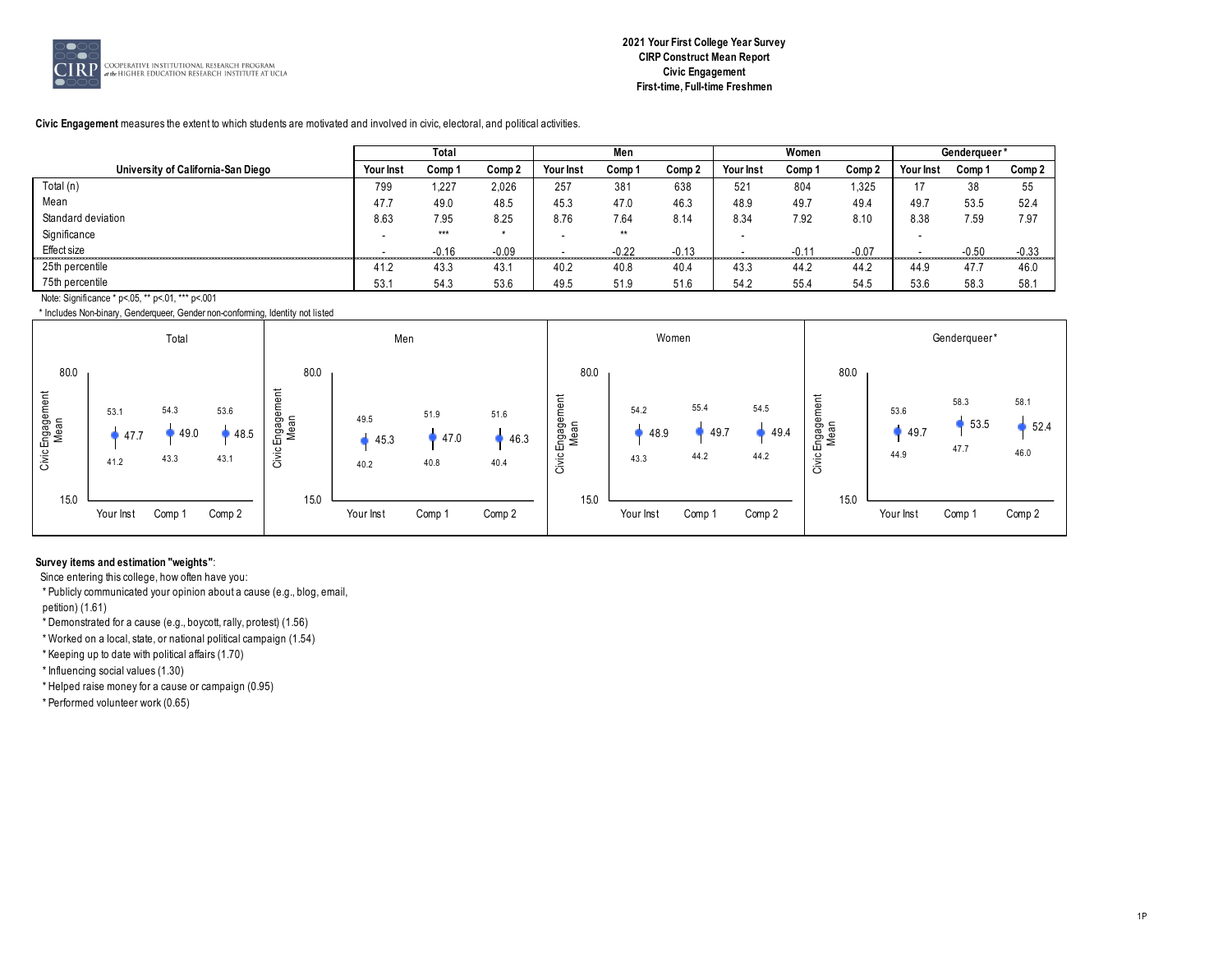

**Civic Engagement** measures the extent to which students are motivated and involved in civic, electoral, and political activities.

|                                                  |                  | Total   |         |           | Men     |         |                  | Women   |         |           | Genderqueer* |         |
|--------------------------------------------------|------------------|---------|---------|-----------|---------|---------|------------------|---------|---------|-----------|--------------|---------|
| University of California-San Diego               | <b>Your Inst</b> | Comp 1  | Comp 2  | Your Inst | Comp 1  | Comp 2  | <b>Your Inst</b> | Comp 1  | Comp 2  | Your Inst | Comp 1       | Comp 2  |
| Total (n)                                        | 799              | 1,227   | 2,026   | 257       | 381     | 638     | 521              | 804     | 1,325   |           | 38           | 55      |
| Mean                                             | 47.7             | 49.0    | 48.5    | 45.3      | 47.0    | 46.3    | 48.9             | 49.7    | 49.4    | 49.       | 53.5         | 52.4    |
| Standard deviation                               | 8.63             | 7.95    | 8.25    | 8.76      | 7.64    | 8.14    | 8.34             | 7.92    | 8.10    | 8.38      | 7.59         | 7.97    |
| Significance                                     |                  | $***$   | $\star$ |           | $**$    |         |                  |         |         |           |              |         |
| Effect size                                      |                  | $-0.16$ | $-0.09$ |           | $-0.22$ | $-0.13$ |                  | $-0.11$ | $-0.07$ |           | $-0.50$      | $-0.33$ |
| 25th percentile                                  | 41.2             | 43.3    | 43.1    | 40.2      | 40.8    | 40.4    | 43.3             | 44.2    | 44.2    | 44.9      | 47.7         | 46.0    |
| 75th percentile                                  | 53.7             | 54.3    | 53.6    | 49.5      | 51.9    | 51.6    | 54.2             | 55.4    | 54.5    | 53.6      | 58.3         | 58.1    |
| Note: Significance * p<.05, ** p<.01, *** p<.001 |                  |         |         |           |         |         |                  |         |         |           |              |         |

\* Includes Non-binary, Genderqueer, Gender non-conforming, Identity not listed



#### **Survey items and estimation "weights"**:

Since entering this college, how often have you:

\* Publicly communicated your opinion about a cause (e.g., blog, email,

petition) (1.61)

\* Demonstrated for a cause (e.g., boycott, rally, protest) (1.56)

\* Worked on a local, state, or national political campaign (1.54)

\* Keeping up to date with political affairs (1.70)

\* Influencing social values (1.30)

\* Helped raise money for a cause or campaign (0.95)

\* Performed volunteer work (0.65)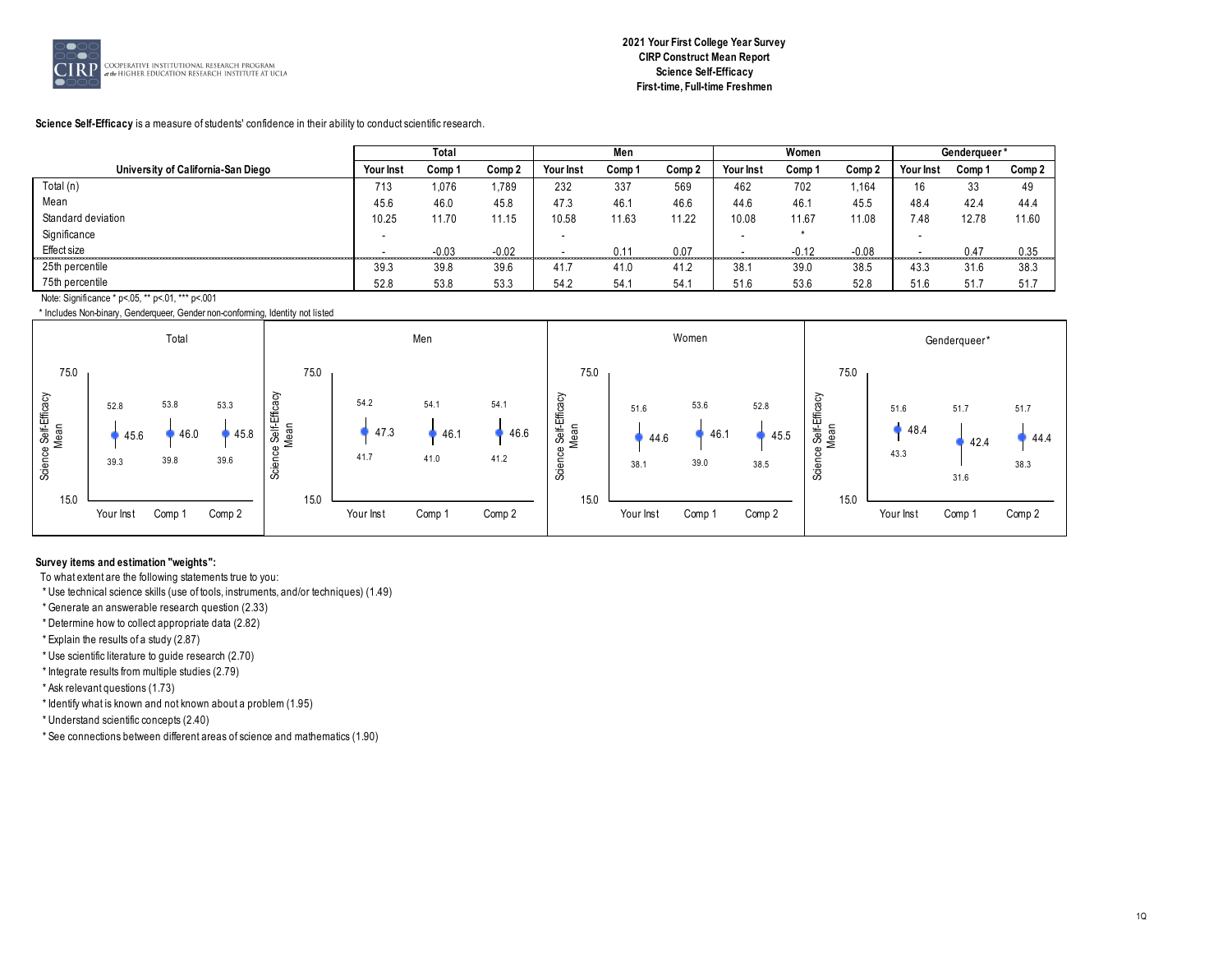

**Science Self-Efficacy** is a measure of students' confidence in their ability to conduct scientific research.

|                                               |                          | Total   |         |           | Men    |        |                          | Women   |         |           | Genderqueer' |        |
|-----------------------------------------------|--------------------------|---------|---------|-----------|--------|--------|--------------------------|---------|---------|-----------|--------------|--------|
| University of California-San Diego            | Your Inst                | Comp 1  | Comp 2  | Your Inst | Comp 1 | Comp 2 | Your Inst                | Comp 1  | Comp 2  | Your Inst | Comp 1       | Comp 2 |
| Total (n)                                     | 713                      | 1,076   | 1,789   | 232       | 337    | 569    | 462                      | 702     | 1,164   | 16        | 33           | 49     |
| Mean                                          | 45.6                     | 46.0    | 45.8    | 47.3      | 46.1   | 46.6   | 44.6                     | 46.1    | 45.5    | 48.4      | 42.4         | 44.4   |
| Standard deviation                            | 10.25                    | 11.70   | 11.15   | 10.58     | 11.63  | 11.22  | 10.08                    | 11.67   | 11.08   | 7.48      | 12.78        | 11.60  |
| Significance                                  | $\overline{\phantom{a}}$ |         |         |           |        |        | $\overline{\phantom{0}}$ |         |         |           |              |        |
| Effect size<br><br>-------------------------- |                          | $-0.03$ | $-0.02$ |           | 0.11   | 0.07   |                          | $-0.12$ | $-0.08$ |           | 0.47         | 0.35   |
| 25th percentile                               | 39.3                     | 39.8    | 39.6    | 41.       | 41.0   | 41.2   | 38.7                     | 39.0    | 38.5    | 43.3      | 31.6         | 38.3   |
| 75th percentile                               | 52.8                     | 53.8    | 53.3    | 54.2      | 54.1   | 54.1   | 51.6                     | 53.6    | 52.8    | 51.6      | 51.7         | 51.7   |
| $\cdots$ $\cdots$ $\cdots$                    |                          |         |         |           |        |        |                          |         |         |           |              |        |

Note: Significance \* p<.05, \*\* p<.01, \*\*\* p<.001

\* Includes Non-binary, Genderqueer, Gender non-conforming, Identity not listed



#### **Survey items and estimation "weights":**

To what extent are the following statements true to you:

\* Use technical science skills (use of tools, instruments, and/or techniques) (1.49)

\* Generate an answerable research question (2.33)

\* Determine how to collect appropriate data (2.82)

\* Explain the results of a study (2.87)

\* Use scientific literature to guide research (2.70)

\* Integrate results from multiple studies (2.79)

\* Ask relevant questions (1.73)

\* Identify what is known and not known about a problem (1.95)

\* Understand scientific concepts (2.40)

\* See connections between different areas of science and mathematics (1.90)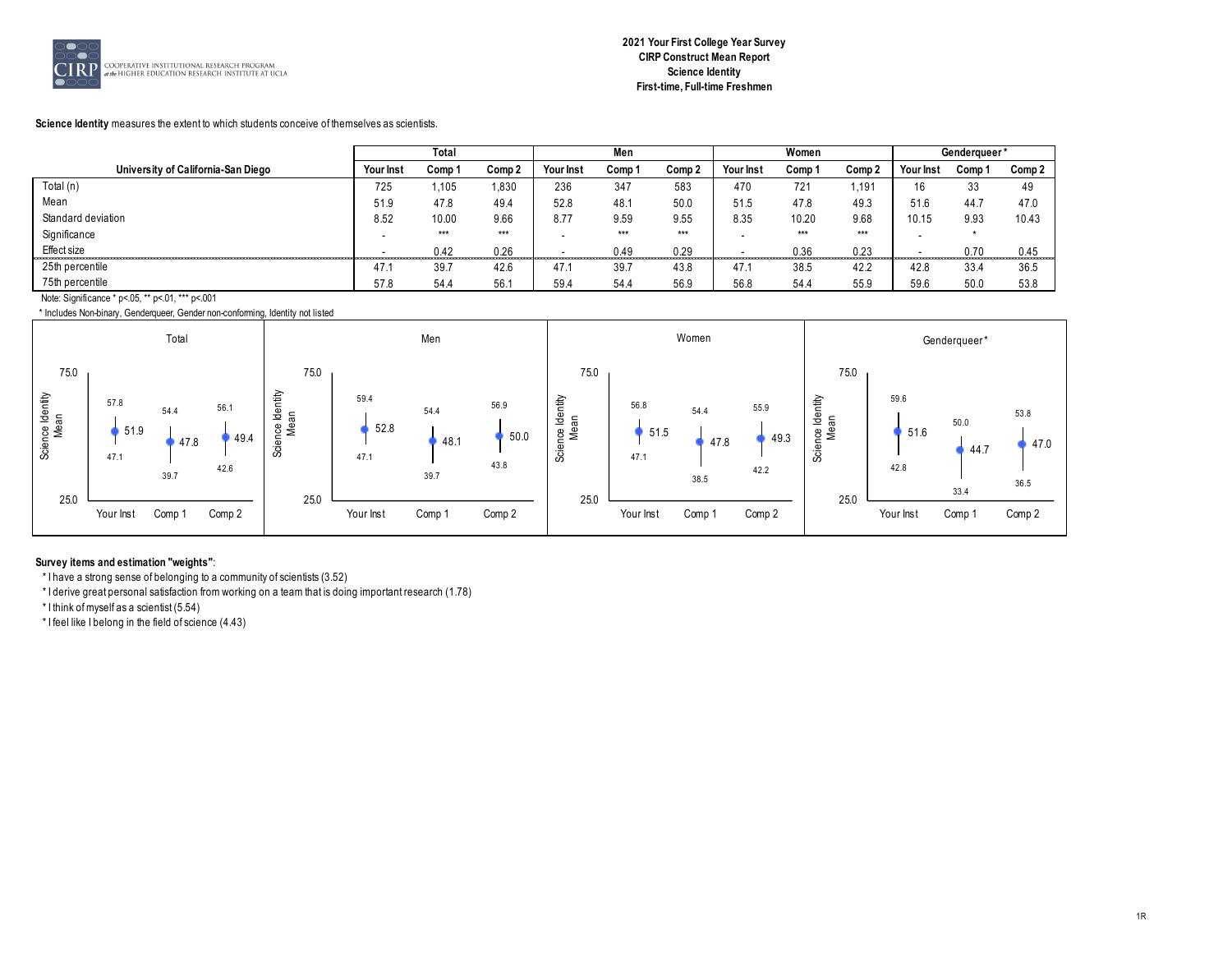

#### **Science Identity** measures the extent to which students conceive of themselves as scientists.

|                                    |                          | Total  |        |           | Men    |        |           | Women  |        |           | Genderaueer* |        |
|------------------------------------|--------------------------|--------|--------|-----------|--------|--------|-----------|--------|--------|-----------|--------------|--------|
| University of California-San Diego | <b>Your Inst</b>         | Comp 1 | Comp 2 | Your Inst | Comp 1 | Comp 2 | Your Inst | Comp 1 | Comp 2 | Your Inst | Comp 1       | Comp 2 |
| Total (n)                          | 725                      | 1,105  | 830    | 236       | 347    | 583    | 470       | 721    | 1.191  | 16        | 33           | 49     |
| Mean                               | 51.9                     | 47.8   | 49.4   | 52.8      | 48.1   | 50.0   | 51.5      | 47.8   | 49.3   | 51.6      | 44.7         | 47.0   |
| Standard deviation                 | 8.52                     | 10.00  | 9.66   | 8.77      | 9.59   | 9.55   | 8.35      | 10.20  | 9.68   | 10.15     | 9.93         | 10.43  |
| Significance                       | $\overline{\phantom{a}}$ | $***$  | $***$  |           | $***$  | $***$  |           | ***    | $***$  |           |              |        |
| Effect size                        |                          | 0.42   | 0.26   |           | 0.49   | 0.29   |           | 0.36   | 0.23   |           | 0.70         | 0.45   |
| 25th percentile                    | 47.1                     | 39.7   | 42.6   | 47.1      | 39.7   | 43.8   | 47.       | 38.5   | 42.2   | 42.8      | 33.4         | 36.5   |
| 75th percentile                    | 57.8                     | 54.4   | 56.1   | 59.4      | 54.4   | 56.9   | 56.8      | 54.4   | 55.9   | 59.6      | 50.0         | 53.8   |
| $\cdots$ $\cdots$ $\cdots$         |                          |        |        |           |        |        |           |        |        |           |              |        |

Note: Significance \* p<.05, \*\* p<.01, \*\*\* p<.001



#### **Survey items and estimation "weights"**:

\* I have a strong sense of belonging to a community of scientists (3.52)

\* I derive great personal satisfaction from working on a team that is doing important research (1.78)

\* I think of myself as a scientist (5.54)

\* I feel like I belong in the field of science (4.43)

53.8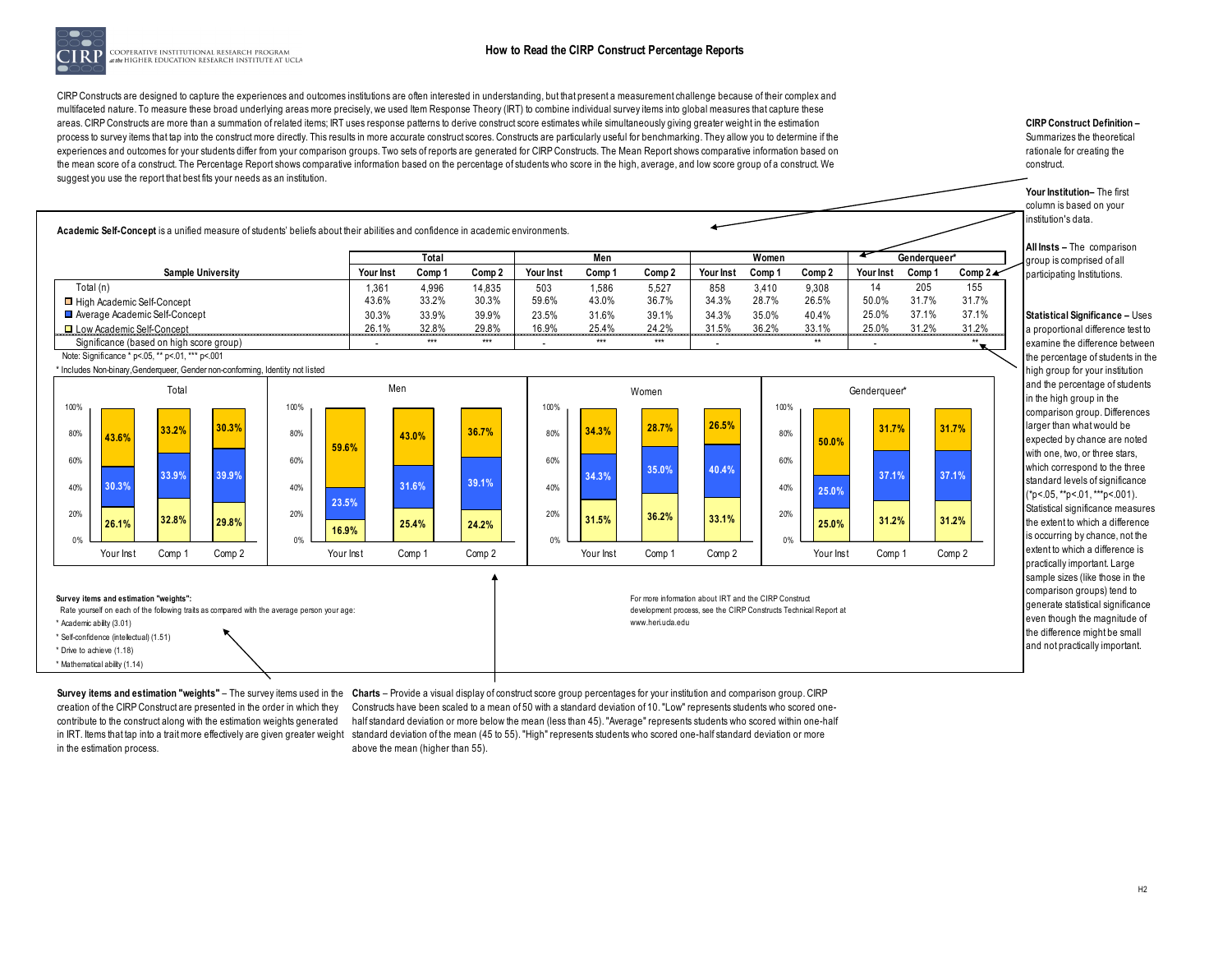

COOPERATIVE INSTITUTIONAL RESEARCH PROGRAM the HIGHER EDUCATION RESEARCH INSTITUTE AT UCLA

CIRP Constructs are designed to capture the experiences and outcomes institutions are often interested in understanding, but that present a measurement challenge because of their complex and multifaceted nature. To measure these broad underlying areas more precisely, we used Item Response Theory (IRT) to combine individual survey items into global measures that capture these areas. CIRP Constructs are more than a summation of related items; IRT uses response patterns to derive construct score estimates while simultaneously giving greater weight in the estimation process to survey items that tap into the construct more directly. This results in more accurate construct scores. Constructs are particularly useful for benchmarking. They allow you to determine if the experiences and outcomes for your students differ from your comparison groups. Two sets of reports are generated for CIRP Constructs. The Mean Report shows comparative information based on the mean score of a construct. The Percentage Report shows comparative information based on the percentage of students who score in the high, average, and low score group of a construct. We suggest you use the report that best fits your needs as an institution.

**CIRP Construct Definition –**  Summarizes the theoretical rationale for creating the construct.

**Your Institution–** The first column is based on your institution's data.

**All Insts –** The comparison group is comprised of all participating Institutions.

**Statistical Significance –** Uses a proportional difference test to examine the difference between the percentage of students in the high group for your institution and the percentage of students in the high group in the comparison group. Differences larger than what would be expected by chance are noted with one, two, or three stars, which correspond to the three standard levels of significance  $(*p<.05, **p<.01, **p<.001).$ Statistical significance measures the extent to which a difference is occurring by chance, not the extent to which a difference is practically important. Large sample sizes (like those in the comparison groups) tend to generate statistical significance even though the magnitude of the difference might be small and not practically important.

**Academic Self-Concept** is a unified measure of students' beliefs about their abilities and confidence in academic environments.

|                                                  |                  | Total  |                   |           | Men    |        |           | Women  |        |           | Genderaueer* |            |
|--------------------------------------------------|------------------|--------|-------------------|-----------|--------|--------|-----------|--------|--------|-----------|--------------|------------|
| <b>Sample University</b>                         | <b>Your Inst</b> | Comp 1 | Comp <sub>2</sub> | Your Inst | Comp 1 | Comp 2 | Your Inst | Comp 1 | Comp 2 | Your Inst | Comp 1       | Comp $2 -$ |
| Total (n)                                        | 1,361            | 4,996  | 14,835            | 503       | 1,586  | 5,527  | 858       | 3.410  | 9,308  |           | 205          | 155        |
| □ High Academic Self-Concept                     | 43.6%            | 33.2%  | 30.3%             | 59.6%     | 43.0%  | 36.7%  | 34.3%     | 28.7%  | 26.5%  | 50.0%     | 31.7%        | 31.7%      |
| Average Academic Self-Concept                    | 30.3%            | 33.9%  | 39.9%             | 23.5%     | 31.6%  | 39.1%  | 34.3%     | 35.0%  | 40.4%  | 25.0%     | 37.1%        | 37.1%      |
| □ Low Academic Self-Concept                      | 26.1%            | 32.8%  | 29.8%             | 16.9%     | 25.4%  | 24.2%  | 31.5%     | 36.2%  | 33.1%  | 25.0%     | 31.2%        | 31.2%      |
| Significance (based on high score group)         |                  | ***    | $***$             |           | ***    | ***    |           |        | $**$   |           |              | $**$       |
| Note: Significance * p<.05, ** p<.01, *** p<.001 |                  |        |                   |           |        |        |           |        |        |           |              |            |

\* Includes Non-binary,Genderqueer, Gender non-conforming, Identity not listed



creation of the CIRP Construct are presented in the order in which they contribute to the construct along with the estimation weights generated in the estimation process.

**Survey items and estimation "weights"** – The survey items used in the Charts – Provide a visual display of construct score group percentages for your institution and comparison group. CIRP in IRT. Items that tap into a trait more effectively are given greater weight standard deviation of the mean (45 to 55). "High" represents students who scored one-half standard deviation or more Constructs have been scaled to a mean of 50 with a standard deviation of 10. "Low" represents students who scored onehalf standard deviation or more below the mean (less than 45). "Average" represents students who scored within one-half above the mean (higher than 55).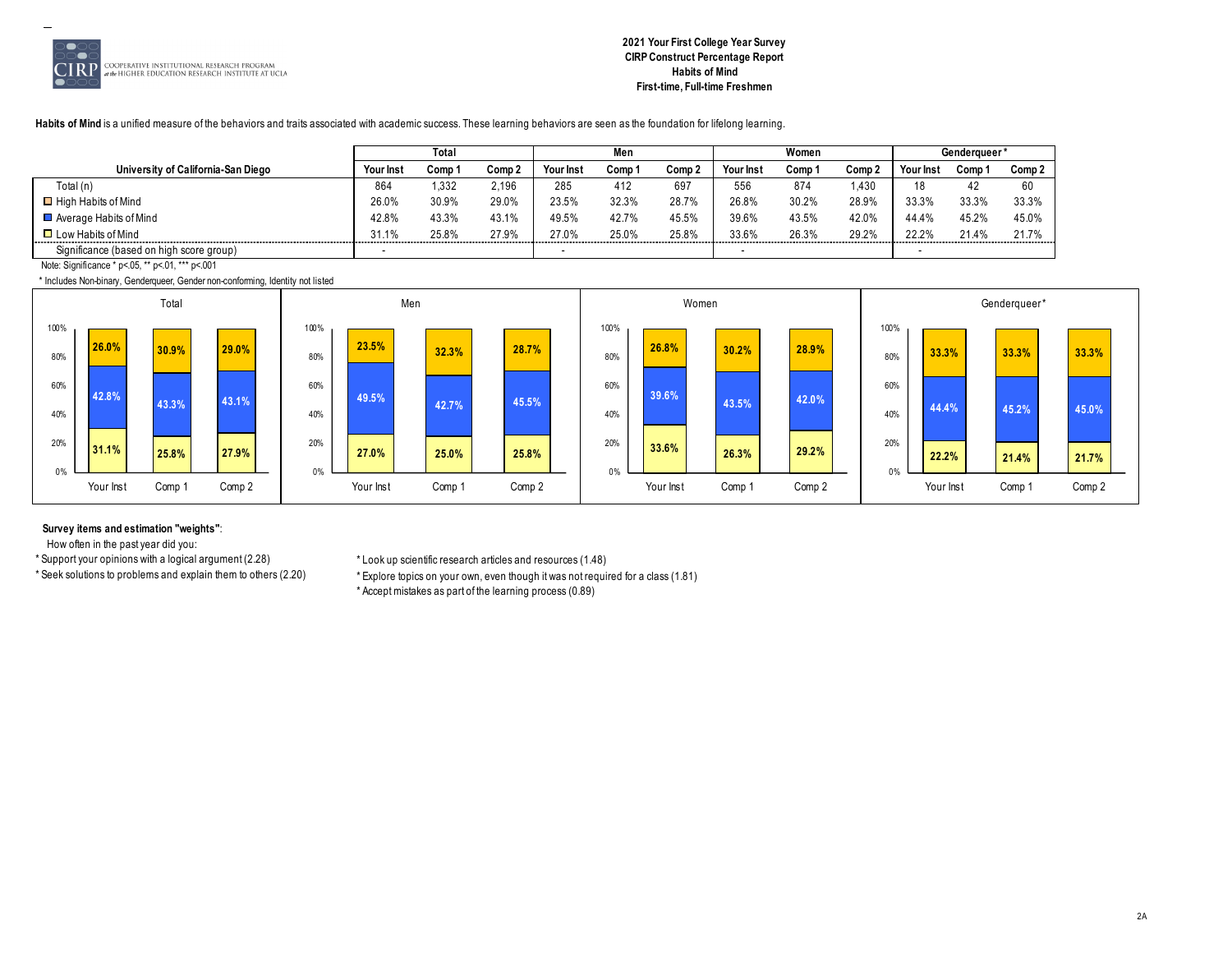

# **2021 Your First College Year Survey CIRP Construct Percentage Report Habits of Mind First-time, Full-time Freshmen**

**Habits of Mind** is a unified measure of the behaviors and traits associated with academic success. These learning behaviors are seen as the foundation for lifelong learning.

|                                          |                  | Total  |        |                  | Men    |        |           | Women |        |           | Genderaueer'     |        |
|------------------------------------------|------------------|--------|--------|------------------|--------|--------|-----------|-------|--------|-----------|------------------|--------|
| University of California-San Diego       | <b>Your Inst</b> | Comp 1 | Comp 2 | <b>Your Inst</b> | Comp 1 | Comp 2 | Your Inst | Comp  | Comp 2 | Your Inst | Comp             | Comp 2 |
| Total (n)                                | 864              | 332    | 2,196  | 285              | 412    | 697    | 556       | 874   | 1.430  | 18        | $\sqrt{2}$<br>44 | 60     |
| $\Box$ High Habits of Mind               | 26.0%            | 30.9%  | 29.0%  | 23.5%            | 32.3%  | 28.7%  | 26.8%     | 30.2% | 28.9%  | 33.3%     | 33.3%            | 33.3%  |
| $\Box$ Average Habits of Mind            | 42.8%            | 43.3%  | 43.1%  | 49.5%            | 42.7%  | 45.5%  | 39.6%     | 43.5% | 42.0%  | 44.4%     | 45.2%            | 45.0%  |
| $\Box$ Low Habits of Mind                | 31.1%            | 25.8%  | 27.9%  | 27.0%            | 25.0%  | 25.8%  | 33.6%     | 26.3% | 29.2%  | 22.2%     | 21.4%            | 21.7%  |
| Significance (based on high score group) |                  |        |        |                  |        |        |           |       |        |           |                  |        |

Note: Significance \* p<.05, \*\* p<.01, \*\*\* p<.001

\* Includes Non-binary, Genderqueer, Gender non-conforming, Identity not listed



#### **Survey items and estimation "weights"**:

How often in the past year did you:

\* Support your opinions with a logical argument (2.28) \* Look up scientific research articles and resources (1.48)

\* Explore topics on your own, even though it was not required for a class (1.81)

\* Accept mistakes as part of the learning process (0.89)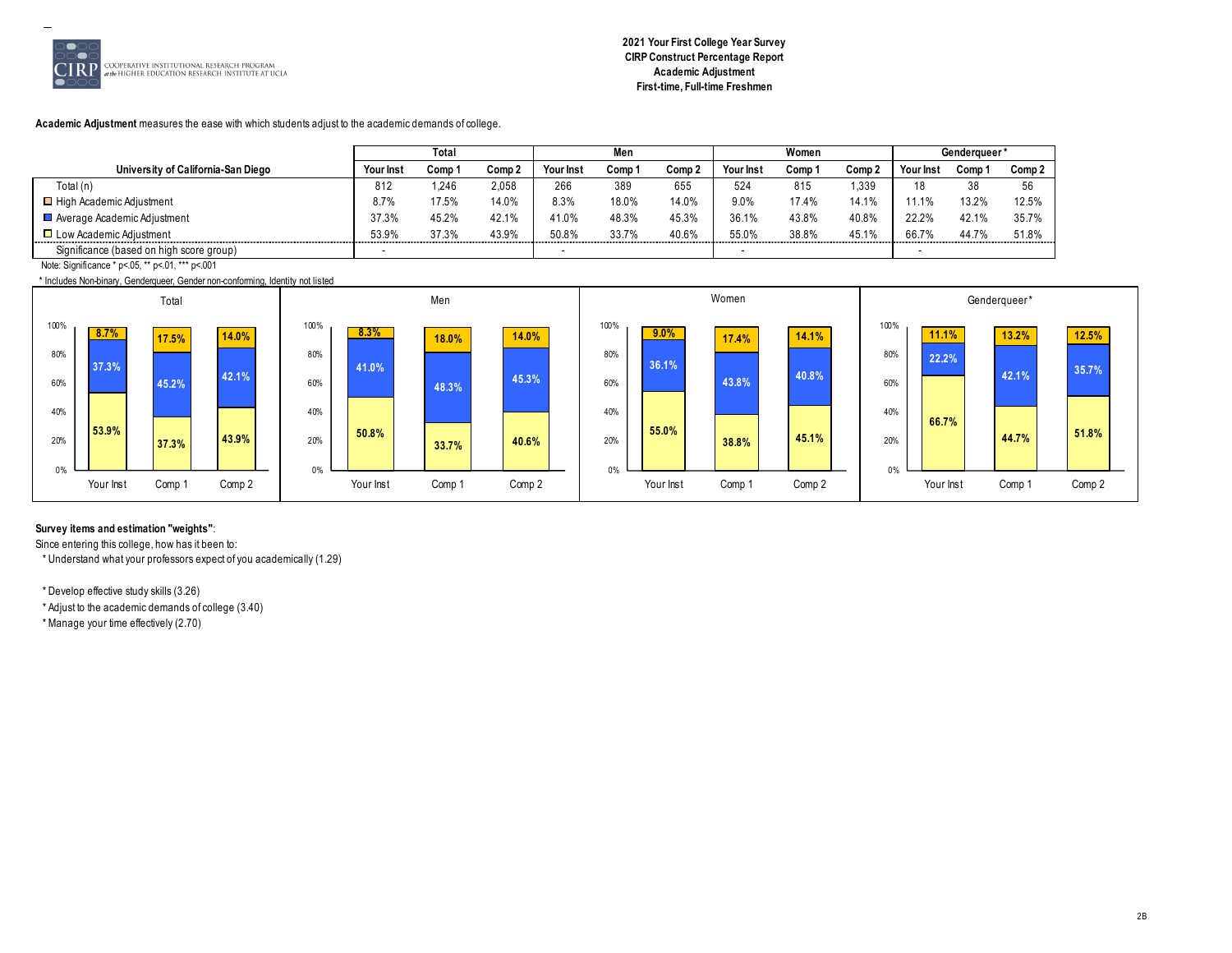

# **2021 Your First College Year Survey CIRP Construct Percentage Report Academic Adjustment First-time, Full-time Freshmen**

# **Academic Adjustment** measures the ease with which students adjust to the academic demands of college.

|                                          |                  | Total  |        |                  | Men    |           |                  | Women  |        |                         | <b>Genderaueer</b> |        |
|------------------------------------------|------------------|--------|--------|------------------|--------|-----------|------------------|--------|--------|-------------------------|--------------------|--------|
| University of California-San Diego       | <b>Your Inst</b> | Comp 1 | Comp 2 | <b>Your Inst</b> | Comp ' | Comp 2    | <b>Your Inst</b> | Comp ' | Comp 2 | Your Ins                | Comp               | Comp 2 |
| Total (n)                                | 812              | 246،   | 2.058  | 266              | 389    | 655       | 524              | 815    | 1.339  | 18                      | 38                 | 56     |
| $\Box$ High Academic Adjustment          | 8.7%             | 17.5%  | 14.0%  | 8.3%             | 18.0%  | 14.0%     | $9.0\%$          | 17.4%  | 14.1%  |                         | 13.2%              | 12.5%  |
| Average Academic Adjustment              | 37.3%            | 45.2%  | 42.1%  | 41.0%            | 48.3%  | 45.3%     | 36.1%            | 43.8%  | 40.8%  | 22.2%                   | 42.1%              | 35.7%  |
| $\Box$ Low Academic Adiustment           | 53.9%<br>.       | 37.3%  | 43.9%  | 50.8%<br>.       | 33.7%  | 40.6%<br> | 55.0%<br>.       | 38.8%  | 45.1%  | 66.7%<br>-------------- | 44.7%              | 51.8%  |
| Significance (based on high score group) |                  |        |        |                  |        |           |                  |        |        |                         |                    |        |

Note: Significance \* p<.05, \*\* p<.01, \*\*\* p<.001

\* Includes Non-binary, Genderqueer, Gender non-conforming, Identity not listed



# **Survey items and estimation "weights"**:

Since entering this college, how has it been to:

\* Understand what your professors expect of you academically (1.29)

\* Develop effective study skills (3.26)

\* Adjust to the academic demands of college (3.40)

\* Manage your time effectively (2.70)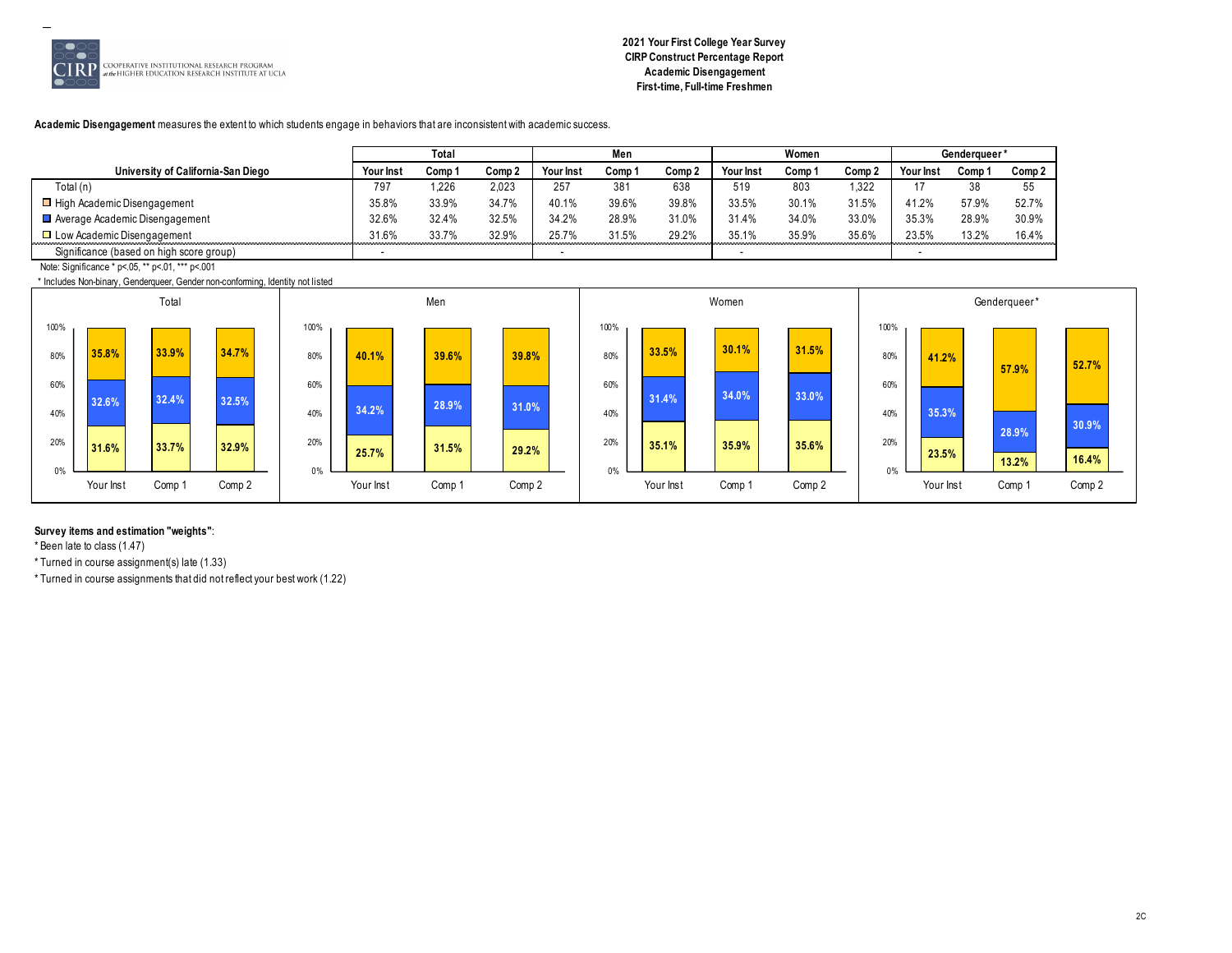

# **2021 Your First College Year Survey CIRP Construct Percentage Report Academic Disengagement First-time, Full-time Freshmen**

#### **Academic Disengagement** measures the extent to which students engage in behaviors that are inconsistent with academic success.

|                                          |           | Total  |                   |           | Men             |        |                  | Women  |        |           | Genderaueer' |        |
|------------------------------------------|-----------|--------|-------------------|-----------|-----------------|--------|------------------|--------|--------|-----------|--------------|--------|
| University of California-San Diego       | Your Inst | Comp 1 | Comp <sub>2</sub> | Your Inst | Comp '          | Comp 2 | <b>Your Inst</b> | Comp 1 | Comp 2 | Your Insy | Comp '       | Comp 2 |
| Total (n)                                | 797       | .226   | 2,023             | 257       | 38 <sup>7</sup> | 638    | 519              | 803    | 1.322  |           | 38           | 55     |
| □ High Academic Disengagement            | 35.8%     | 33.9%  | 34.7%             | 40.1%     | 39.6%           | 39.8%  | 33.5%            | 30.1%  | 31.5%  | 41.2%     | 57.9%        | 52.7%  |
| Average Academic Disengagement           | 32.6%     | 32.4%  | 32.5%             | 34.2%     | 28.9%           | 31.0%  | 31.4%            | 34.0%  | 33.0%  | 35.3%     | 28.9%        | 30.9%  |
| □ Low Academic Disengagement             | 31.6%     | 33.7%  | 32.9%             | 25.7%     | 31.5%           | 29.2%  | 35.1%            | 35.9%  | 35.6%  | 23.5%     | 13.2%        | 16.4%  |
| Significance (based on high score group) |           |        |                   |           |                 |        |                  |        |        |           |              |        |

Note: Significance \* p<.05, \*\* p<.01, \*\*\* p<.001

\* Includes Non-binary, Genderqueer, Gender non-conforming, Identity not listed



#### **Survey items and estimation "weights"**:

\* Been late to class (1.47)

\* Turned in course assignment(s) late (1.33)

\* Turned in course assignments that did not reflect your best work (1.22)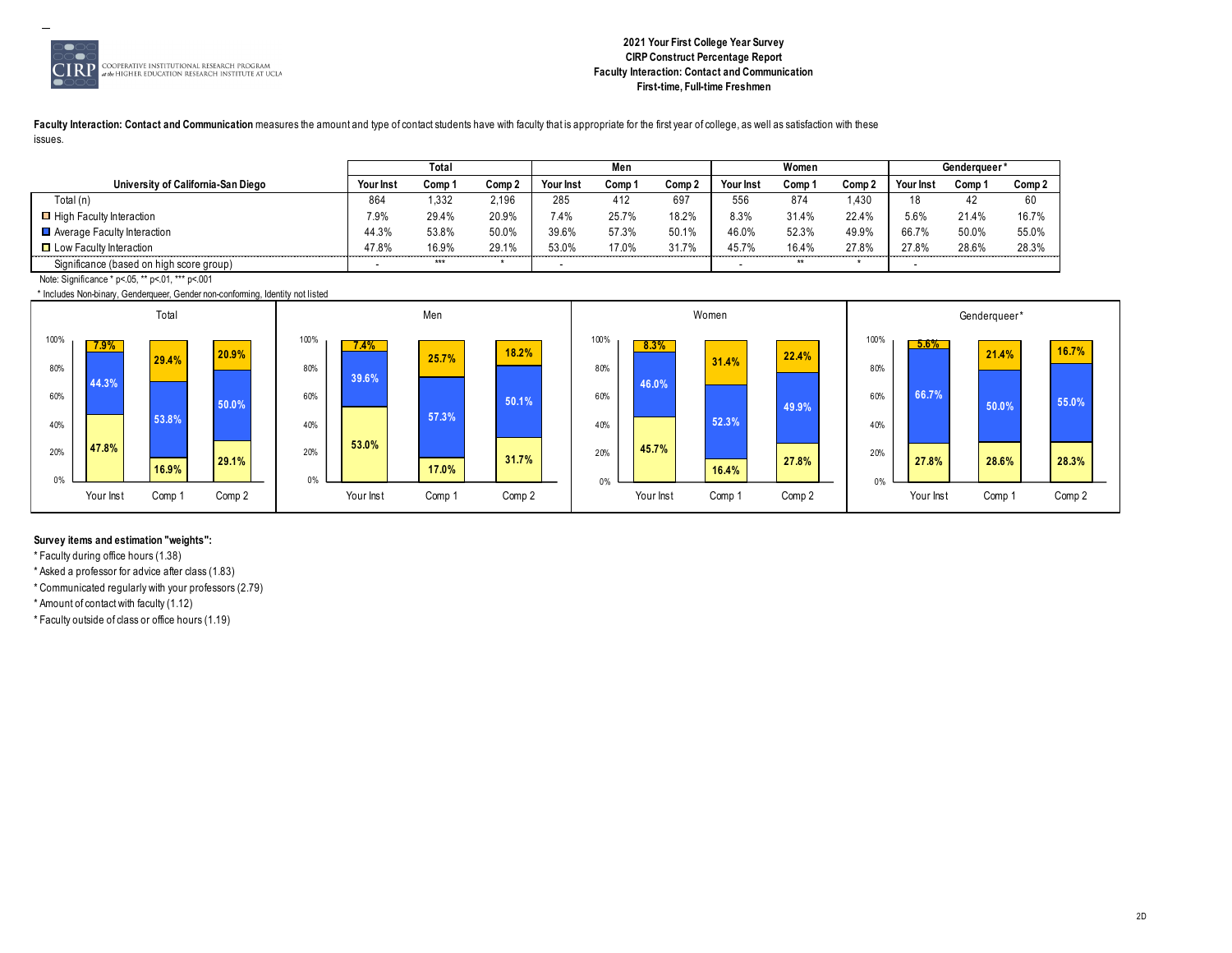

# **2021 Your First College Year Survey CIRP Construct Percentage Report Faculty Interaction: Contact and Communication First-time, Full-time Freshmen**

Faculty Interaction: Contact and Communication measures the amount and type of contact students have with faculty that is appropriate for the first year of college, as well as satisfaction with these issues.

|                                                                                                                                             |           | Total  |        |                  | Men    |        |           | Women  |        |           | Genderaueer* |                   |
|---------------------------------------------------------------------------------------------------------------------------------------------|-----------|--------|--------|------------------|--------|--------|-----------|--------|--------|-----------|--------------|-------------------|
| University of California-San Diego                                                                                                          | Your Inst | Comp 1 | Comp 2 | <b>Your Inst</b> | Comp 1 | Comp 2 | Your Inst | Comp 1 | Comp 2 | Your Inst | Comp 1       | Comp <sub>2</sub> |
| Total (n)                                                                                                                                   | 864       | 1,332  | 2,196  | 285              | 412    | 697    | 556       | 874    | .430   | 18        | 42           | 60                |
| □ High Faculty Interaction                                                                                                                  | 7.9%      | 29.4%  | 20.9%  | 7.4%             | 25.7%  | 18.2%  | 8.3%      | 31.4%  | 22.4%  | 5.6%      | 21.4%        | 16.7%             |
| $\blacksquare$ Average Faculty Interaction                                                                                                  | 44.3%     | 53.8%  | 50.0%  | 39.6%            | 57.3%  | 50.1%  | 46.0%     | 52.3%  | 49.9%  | 66.7%     | 50.0%        | 55.0%             |
| □ Low Faculty Interaction                                                                                                                   | 47.8%     | 16.9%  | 29.1%  | 53.0%            | 17.0%  | 31.7%  | 45.7%     | 16.4%  | 27.8%  | 27.8%     | 28.6%        | 28.3%             |
| Significance (based on high score group)                                                                                                    |           | ***    |        |                  |        |        |           | $***$  |        |           |              |                   |
| $N_{\rm H}$ (1) $N_{\rm H}$ (1) $N_{\rm H}$ (1) $N_{\rm H}$ (1) $N_{\rm H}$ (1) $N_{\rm H}$ (1) $N_{\rm H}$ (1) $N_{\rm H}$ (1) $N_{\rm H}$ |           |        |        |                  |        |        |           |        |        |           |              |                   |

Note: Significance \* p<.05, \*\* p<.01, \*\*\* p<.001

\* Includes Non-binary, Genderqueer, Gender non-conforming, Identity not listed



# **Survey items and estimation "weights":**

\* Faculty during office hours (1.38)

\* Asked a professor for advice after class (1.83)

\* Communicated regularly with your professors (2.79)

\* Amount of contact with faculty (1.12)

\* Faculty outside of class or office hours (1.19)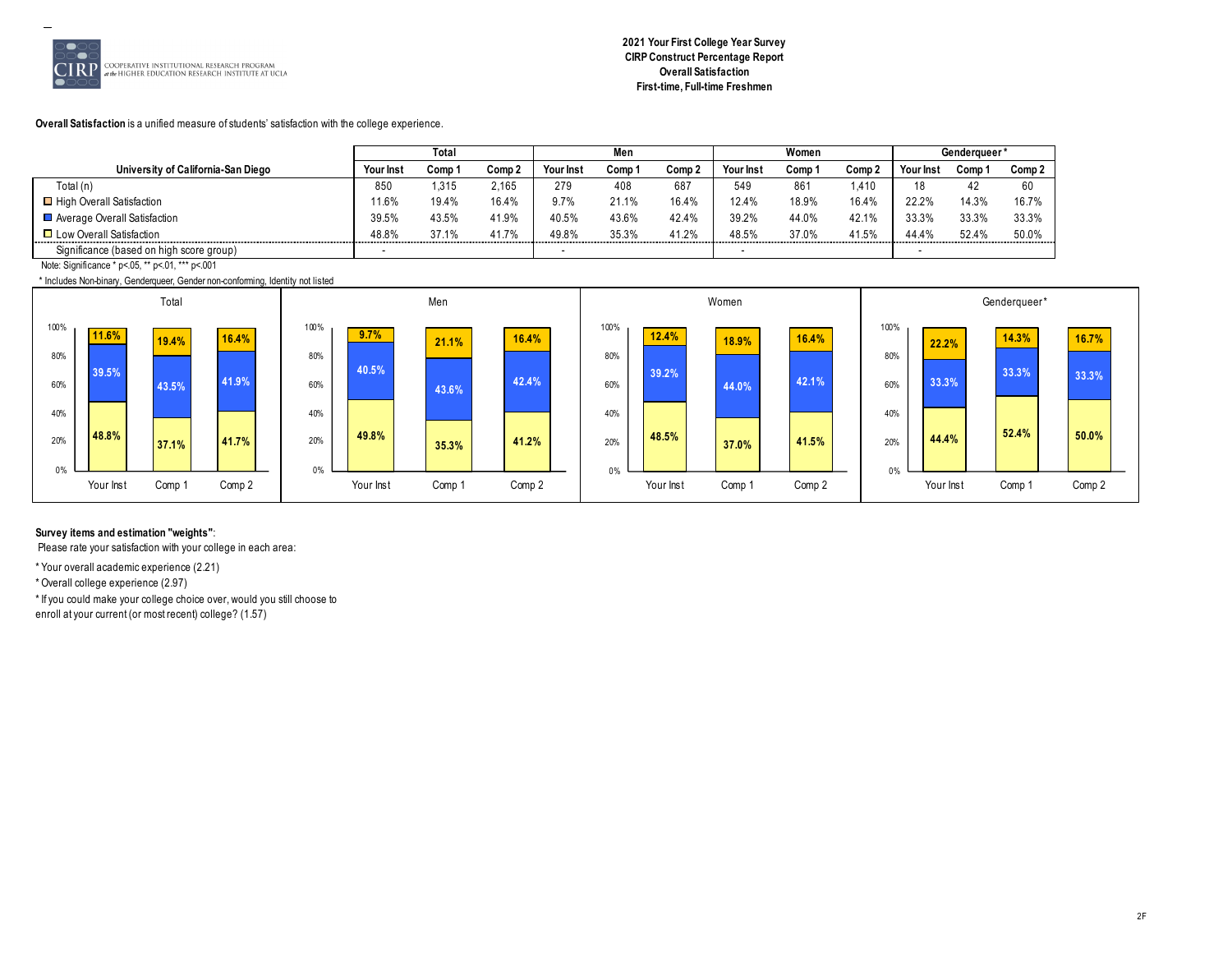

# **2021 Your First College Year Survey CIRP Construct Percentage Report Overall Satisfaction First-time, Full-time Freshmen**

#### **Overall Satisfaction** is a unified measure of students' satisfaction with the college experience.

|                                          |                  | Total  |        |                  | Men    |            |           | Women  |            |                  | <b>Genderaueer</b> |        |
|------------------------------------------|------------------|--------|--------|------------------|--------|------------|-----------|--------|------------|------------------|--------------------|--------|
| University of California-San Diego       | <b>Your Inst</b> | Comp 1 | Comp 2 | <b>Your Inst</b> | Comp ' | Comp 2     | Your Inst | Comp 1 | Comp 2     | <b>Your Inst</b> | Comp '             | Comp 2 |
| Total (n)                                | 850              | .315   | 2,165  | 279              | 408    | 687        | 549       | 861    | 1.410      | 1 O              | 42                 | 60     |
| □ High Overall Satisfaction              | 1.6%             | 19.4%  | 16.4%  | 9.7%             | 21.1%  | 16.4%      | 12.4%     | 18.9%  | 16.4%      | 22.2%            | 14.3%              | 16.7%  |
| Average Overall Satisfaction             | 39.5%            | 43.5%  | 41.9%  | 40.5%            | 43.6%  | 42.4%      | 39.2%     | 44.0%  | 42.1%      | 33.3%            | 33.3%              | 33.3%  |
| □ Low Overall Satisfaction               | 48.8%<br>.       | 37.1%  | 41.7%  | 49.8%            | 35.3%  | 41.2%<br>. | 48.5%     | 37.0%  | 41.5%<br>. | 44.4%<br>.       | 52.4%              | 50.0%  |
| Significance (based on high score group) |                  |        |        |                  |        |            |           |        |            |                  |                    |        |

Note: Significance \* p<.05, \*\* p<.01, \*\*\* p<.001

\* Includes Non-binary, Genderqueer, Gender non-conforming, Identity not listed



# **Survey items and estimation "weights"**:

Please rate your satisfaction with your college in each area:

\* Your overall academic experience (2.21)

\* Overall college experience (2.97)

\* If you could make your college choice over, would you still choose to

enroll at your current (or most recent) college? (1.57)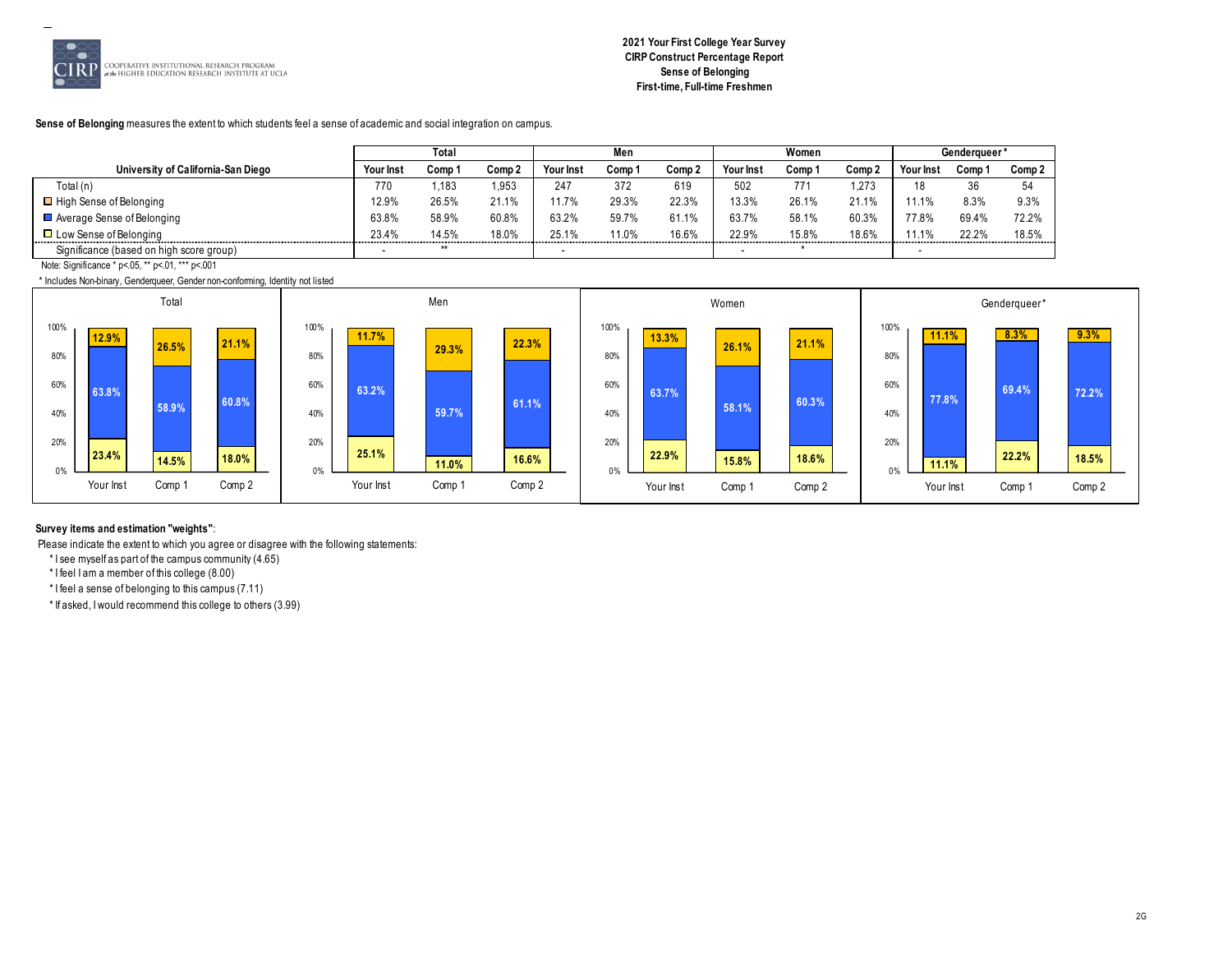

# **2021 Your First College Year Survey CIRP Construct Percentage Report Sense of Belonging First-time, Full-time Freshmen**

# Sense of Belonging measures the extent to which students feel a sense of academic and social integration on campus.

|                                          |                  | Total  |        |           | Men     |        |           | Women  |        |           | <b>Genderaueer</b> |          |
|------------------------------------------|------------------|--------|--------|-----------|---------|--------|-----------|--------|--------|-----------|--------------------|----------|
| University of California-San Diego       | <b>Your Inst</b> | Comp 1 | Comp 2 | Your Inst | Comp '  | Comp 2 | Your Inst | Comp ' | Comp 2 | Your Inst | Comp '             | Comp 2   |
| Total (n)                                | 770              | .183   | 1.953  | 247       | 372     | 619    | 502       | 771    | 1.273  |           | 36                 | 5/<br>J' |
| $\Box$ High Sense of Belonging           | 12.9%            | 26.5%  | 21.1%  | 1.7%      | 29.3%   | 22.3%  | 13.3%     | 26.1%  | 21.1%  | 11.1%     | 8.3%               | 9.3%     |
| ■ Average Sense of Belonging             | 63.8%            | 58.9%  | 60.8%  | 63.2%     | 59.7%   | 61.1%  | 63.7%     | 58.1%  | 60.3%  | 77.8%     | 69.4%              | 72.2%    |
| $\Box$ Low Sense of Belonging            | 23.4%            | 14.5%  | 18.0%  | 25.1%     | $1.0\%$ | 16.6%  | 22.9%     | 15.8%  | 18.6%  | $1.1\%$   | 22.2%              | 18.5%    |
| Significance (based on high score group) | -                | $***$  |        |           |         |        |           |        |        |           |                    |          |

Note: Significance \* p<.05, \*\* p<.01, \*\*\* p<.001

\* Includes Non-binary, Genderqueer, Gender non-conforming, Identity not listed



# **Survey items and estimation "weights"**:

Please indicate the extent to which you agree or disagree with the following statements:

\* I see myself as part of the campus community (4.65)

\* I feel I am a member of this college (8.00)

\* I feel a sense of belonging to this campus (7.11)

\* If asked, I would recommend this college to others (3.99)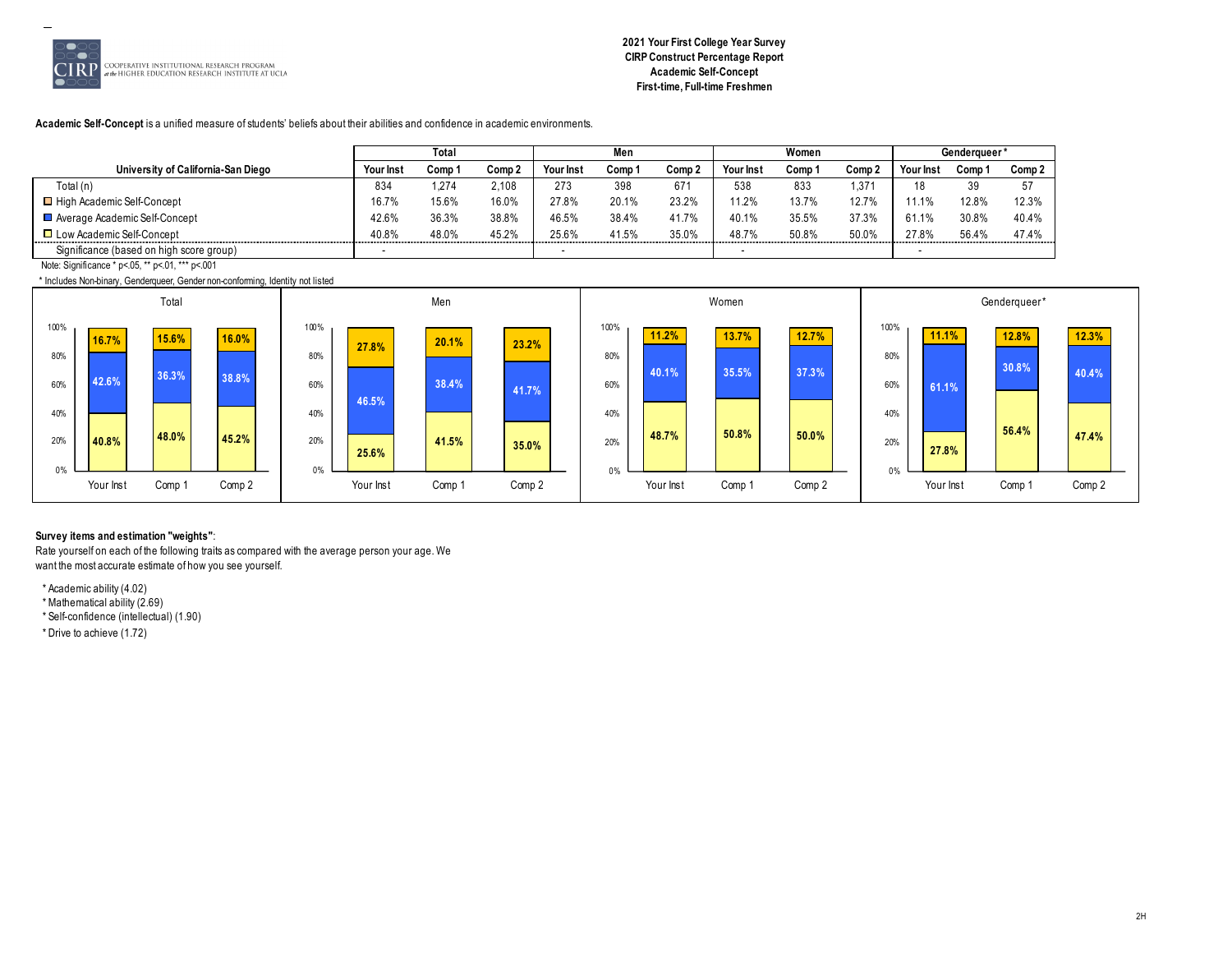

# **2021 Your First College Year Survey CIRP Construct Percentage Report Academic Self-Concept First-time, Full-time Freshmen**

**Academic Self-Concept** is a unified measure of students' beliefs about their abilities and confidence in academic environments.

|                                          |                  | Total  |        |            | Men    |        |                  | Women  |                   |            | Genderaueer' |        |
|------------------------------------------|------------------|--------|--------|------------|--------|--------|------------------|--------|-------------------|------------|--------------|--------|
| University of California-San Diego       | <b>Your Inst</b> | Comp 1 | Comp 2 | Your Inst  | Comp ' | Comp 2 | <b>Your Inst</b> | Comp 1 | Comp 2            | Your Ins   | Comp         | Comp 2 |
| Total (n)                                | 834              | .274   | 2,108  | 273        | 398    | 671    | 538              | 833    | 1.37 <sup>4</sup> | 18         | 39           | 57     |
| □ High Academic Self-Concept             | 16.7%            | 15.6%  | 16.0%  | 27.8%      | 20.1%  | 23.2%  | 11.2%            | 13.7%  | 12.7%             |            | 12.8%        | 12.3%  |
| Average Academic Self-Concept            | 42.6%            | 36.3%  | 38.8%  | 46.5%      | 38.4%  | 41.7%  | 40.1%            | 35.5%  | 37.3%             | 61.1%      | 30.8%        | 40.4%  |
| □ Low Academic Self-Concept              | 40.8%<br>.       | 48.0%  | 45.2%  | 25.6%<br>. | 41.5%  | 35.0%  | 48.7%<br>.       | 50.8%  | 50.0%             | 27.8%<br>. | 56.4%        | 47.4%  |
| Significance (based on high score group) |                  |        |        |            |        |        |                  |        |                   |            |              |        |

Note: Significance \* p<.05, \*\* p<.01, \*\*\* p<.001

\* Includes Non-binary, Genderqueer, Gender non-conforming, Identity not listed



# **Survey items and estimation "weights"**:

Rate yourself on each of the following traits as compared with the average person your age. We want the most accurate estimate of how you see yourself.

\* Academic ability (4.02)

\* Mathematical ability (2.69)

\* Self-confidence (intellectual) (1.90)

\* Drive to achieve (1.72)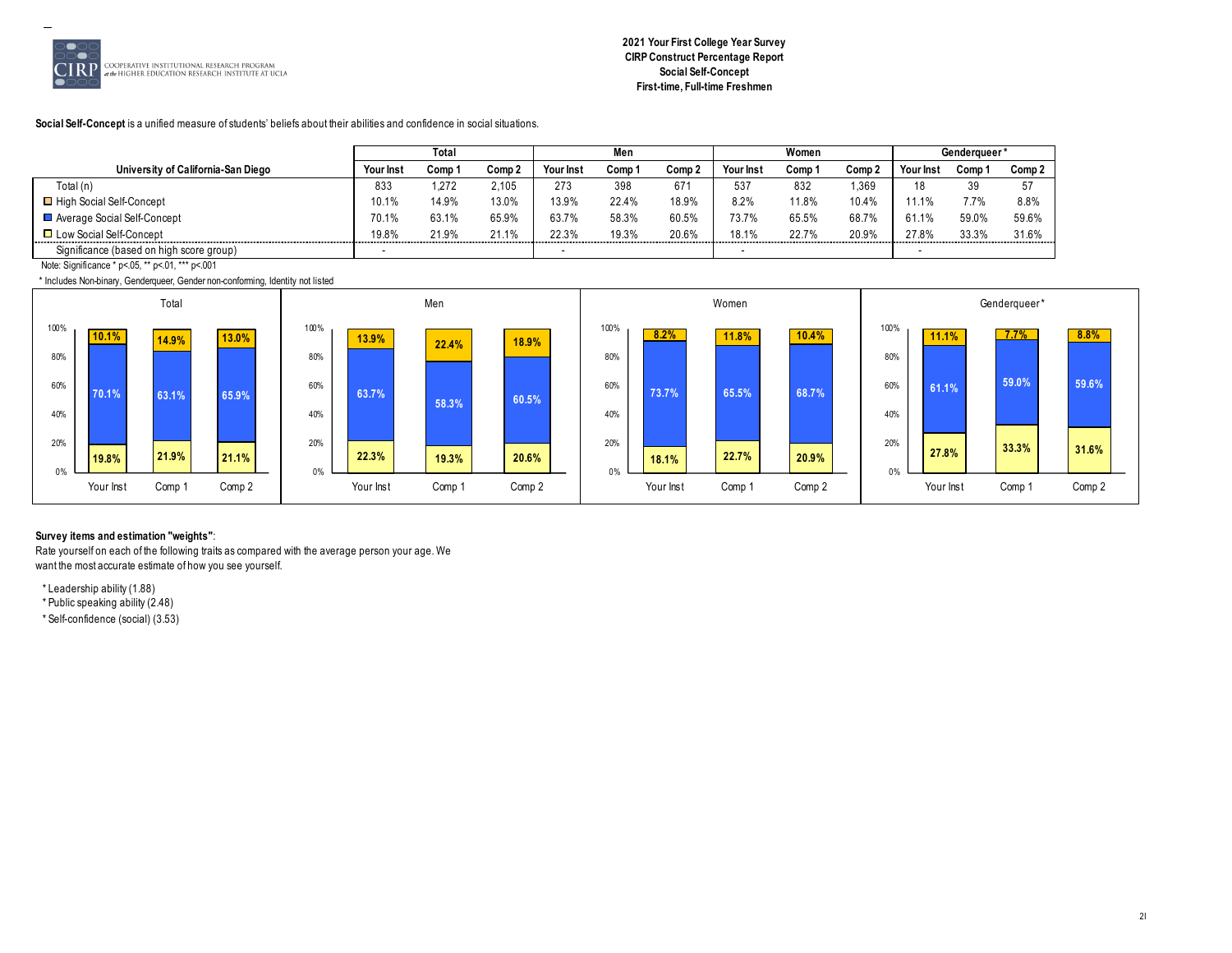

# **2021 Your First College Year Survey CIRP Construct Percentage Report Social Self-Concept First-time, Full-time Freshmen**

#### **Social Self-Concept** is a unified measure of students' beliefs about their abilities and confidence in social situations.

|                                          |                  | Total  |                   |           | Men    |            |                  | Women  |        |           | Genderaueer* |        |
|------------------------------------------|------------------|--------|-------------------|-----------|--------|------------|------------------|--------|--------|-----------|--------------|--------|
| University of California-San Diego       | <b>Your Inst</b> | Comp 1 | Comp <sub>2</sub> | Your Inst | Comp 1 | Comp 2     | <b>Your Inst</b> | Comp ' | Comp 2 | Your Inst | Comp         | Comp 2 |
| Total (n)                                | 833              | 1.272  | 2.105             | 273       | 398    | 67'        | 537              | 832    | 1,369  | 10.<br>١o | 39           | 57     |
| □ High Social Self-Concept               | 10.1%            | 14.9%  | 13.0%             | 13.9%     | 22.4%  | 18.9%      | 8.2%             | 11.8%  | 10.4%  | 11.1%     |              | 8.8%   |
| Average Social Self-Concept              | 70.1%            | 63.1%  | 65.9%             | 63.7%     | 58.3%  | 60.5%      | 73.7%            | 65.5%  | 68.7%  | 61.1%     | 59.0%        | 59.6%  |
| □ Low Social Self-Concept                | 19.8%<br>.       | 21.9%  | 21.1%             | 22.3%     | 19.3%  | 20.6%<br>. | 18.1%            | 22.7%  | 20.9%  | 27.8%     | 33.3%        | 31.6%  |
| Significance (based on high score group) |                  |        |                   |           |        |            |                  |        |        |           |              |        |

Note: Significance \* p<.05, \*\* p<.01, \*\*\* p<.001

\* Includes Non-binary, Genderqueer, Gender non-conforming, Identity not listed



#### **Survey items and estimation "weights"**:

Rate yourself on each of the following traits as compared with the average person your age. We want the most accurate estimate of how you see yourself.

\* Leadership ability (1.88)

\* Public speaking ability (2.48)

\* Self-confidence (social) (3.53)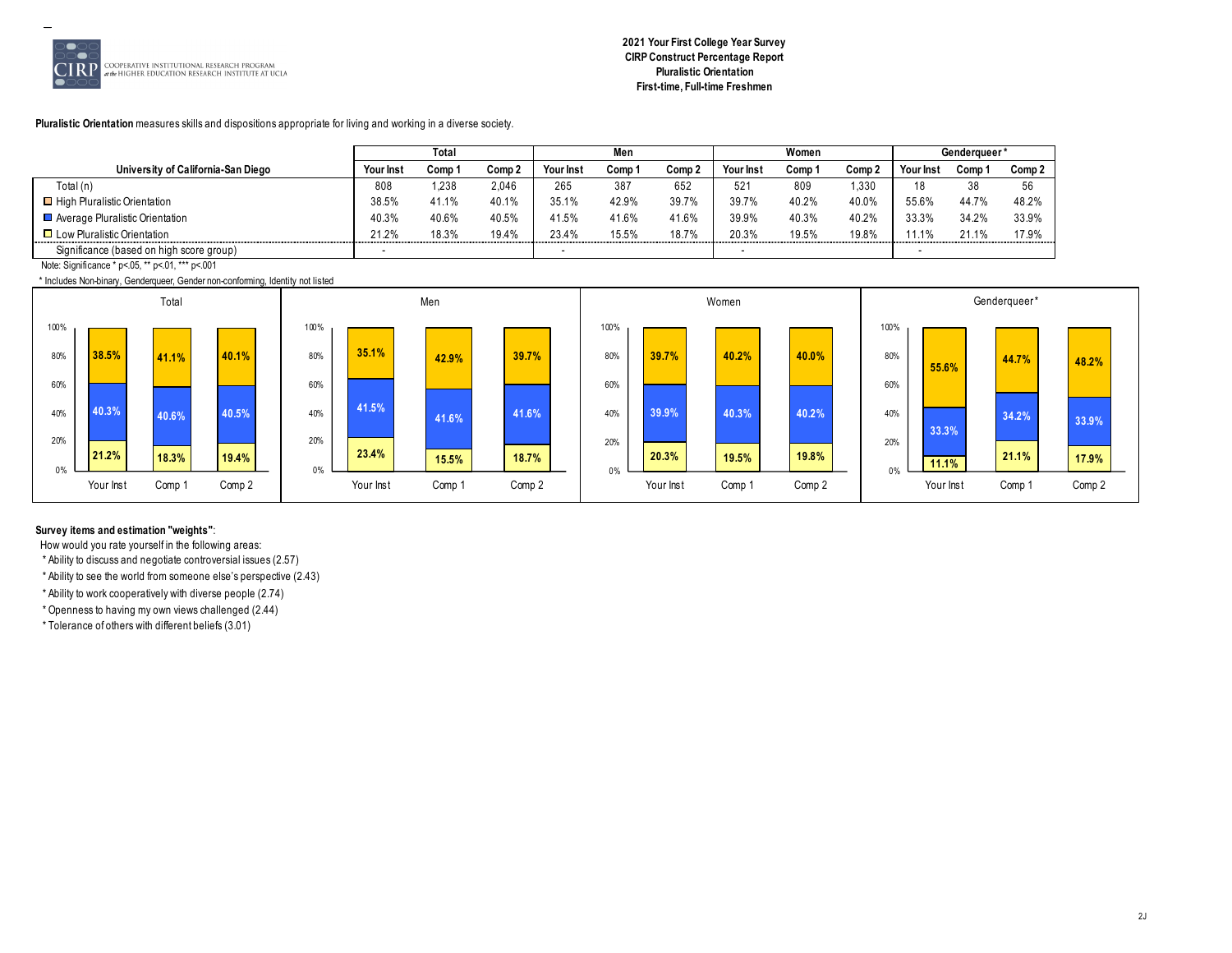

# **2021 Your First College Year Survey CIRP Construct Percentage Report Pluralistic Orientation First-time, Full-time Freshmen**

**Pluralistic Orientation** measures skills and dispositions appropriate for living and working in a diverse society.

|                                          |           | Total  |        |           | Men    |        |                 | Women  |        |          | Genderaueer' |        |
|------------------------------------------|-----------|--------|--------|-----------|--------|--------|-----------------|--------|--------|----------|--------------|--------|
| University of California-San Diego       | Your Inst | Comp 1 | Comp 2 | Your Inst | Comp 1 | Comp 2 | Your Inst       | Comp ' | Comp 2 | Your Ins | Comp         | Comp 2 |
| Total (n)                                | 808       | 1.238  | 2.046  | 265       | 387    | 652    | 52 <sup>′</sup> | 809    | 1.330  | 18       | 38           | 56     |
| High Pluralistic Orientation             | 38.5%     | 41.1%  | 40.1%  | 35.1%     | 42.9%  | 39.7%  | 39.7%           | 40.2%  | 40.0%  | 55.6%    | 44.7%        | 48.2%  |
| Average Pluralistic Orientation          | 40.3%     | 40.6%  | 40.5%  | 41.5%     | 41.6%  | 41.6%  | 39.9%           | 40.3%  | 40.2%  | 33.3%    | 34.2%        | 33.9%  |
| $\Box$ Low Pluralistic Orientation       | 21.2%     | 18.3%  | 19.4%  | 23.4%     | 15.5%  | 18.7%  | 20.3%           | 19.5%  | 19.8%  | .        | 21.1%        | 17.9%  |
| Significance (based on high score group) |           |        |        |           |        |        |                 |        |        |          |              |        |

Note: Significance \* p<.05, \*\* p<.01, \*\*\* p<.001

\* Includes Non-binary, Genderqueer, Gender non-conforming, Identity not listed



# **Survey items and estimation "weights"**:

How would you rate yourself in the following areas:

\* Ability to discuss and negotiate controversial issues (2.57)

\* Ability to see the world from someone else's perspective (2.43)

\* Ability to work cooperatively with diverse people (2.74)

\* Openness to having my own views challenged (2.44)

\* Tolerance of others with different beliefs (3.01)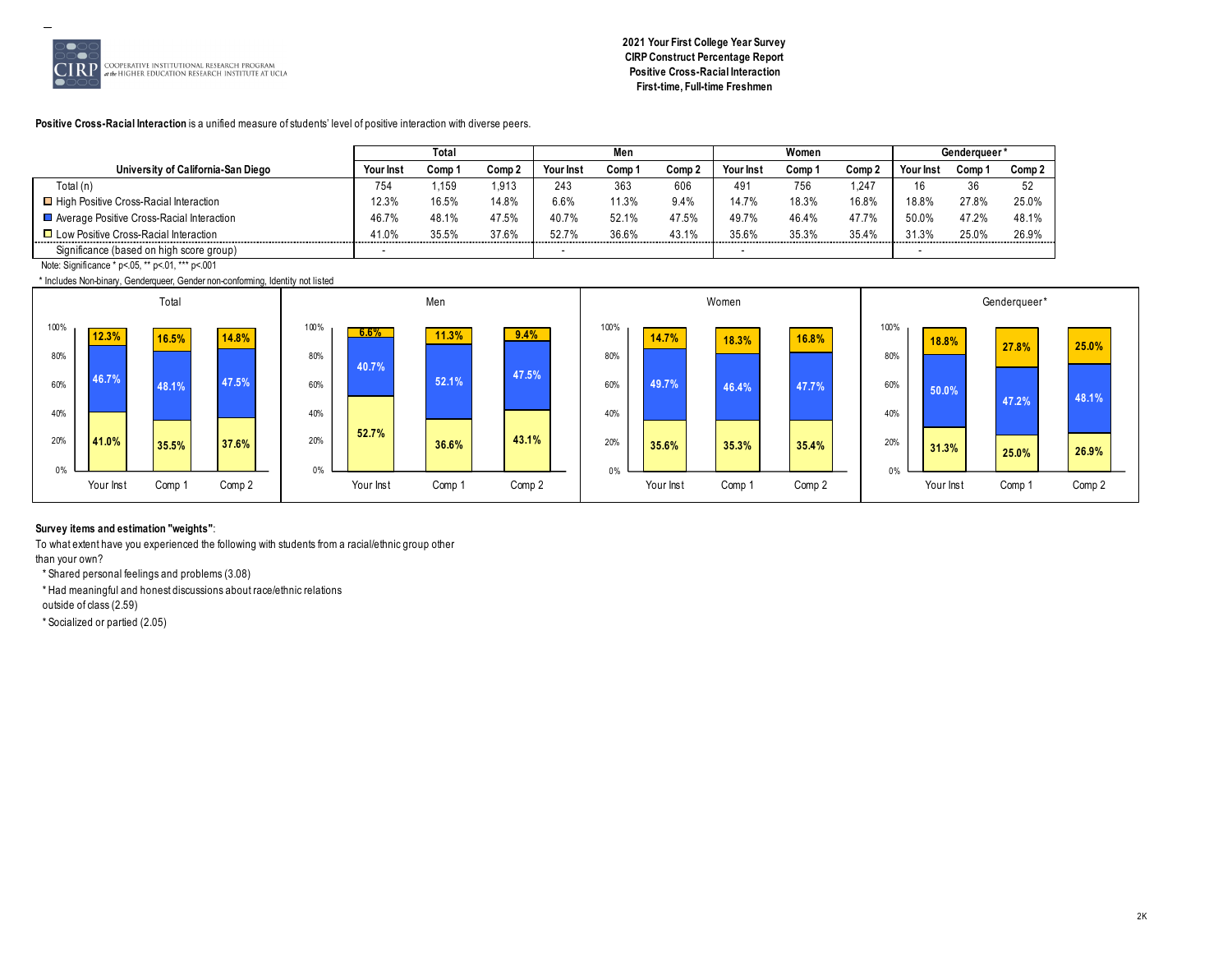

# **2021 Your First College Year Survey CIRP Construct Percentage Report Positive Cross-Racial Interaction First-time, Full-time Freshmen**

**Positive Cross-Racial Interaction** is a unified measure of students' level of positive interaction with diverse peers.

|                                           |           | Total  |                   |           |        |        |           | Women  |        |          | Genderaueer' |        |
|-------------------------------------------|-----------|--------|-------------------|-----------|--------|--------|-----------|--------|--------|----------|--------------|--------|
| University of California-San Diego        | Your Inst | Comp 1 | Comp <sub>2</sub> | Your Inst | Comp ' | Comp 2 | Your Inst | Comp 1 | Comp 2 | Your Ins | Comp         | Comp 2 |
| Total (n)                                 | 754       | .159   | 1,913             | 243       | 363    | 606    | 491       | 756    | 1.247  | 16       | 36           | 52     |
| □ High Positive Cross-Racial Interaction  | 12.3%     | 16.5%  | 14.8%             | 6.6%      | 1.3%   | 9.4%   | 14.7%     | 18.3%  | 16.8%  | 18.8%    | 27.8%        | 25.0%  |
| Average Positive Cross-Racial Interaction | 46.7%     | 48.1%  | 47.5%             | 40.7%     | 52.1%  | 47.5%  | 49.7%     | 46.4%  | 47.7%  | 50.0%    | 47.2%        | 48.1%  |
| □ Low Positive Cross-Racial Interaction   | 41.0%     | 35.5%  | 37.6%             | 52.7%     | 36.6%  | 43.1%  | 35.6%     | 35.3%  | 35.4%  | 31.3%    | 25.0%        | 26.9%  |
| Significance (based on high score group)  |           |        |                   |           |        |        |           |        |        |          |              |        |

Note: Significance \* p<.05, \*\* p<.01, \*\*\* p<.001

\* Includes Non-binary, Genderqueer, Gender non-conforming, Identity not listed



# **Survey items and estimation "weights"**:

To what extent have you experienced the following with students from a racial/ethnic group other

than your own?

\* Shared personal feelings and problems (3.08)

\* Had meaningful and honest discussions about race/ethnic relations

outside of class (2.59)

\* Socialized or partied (2.05)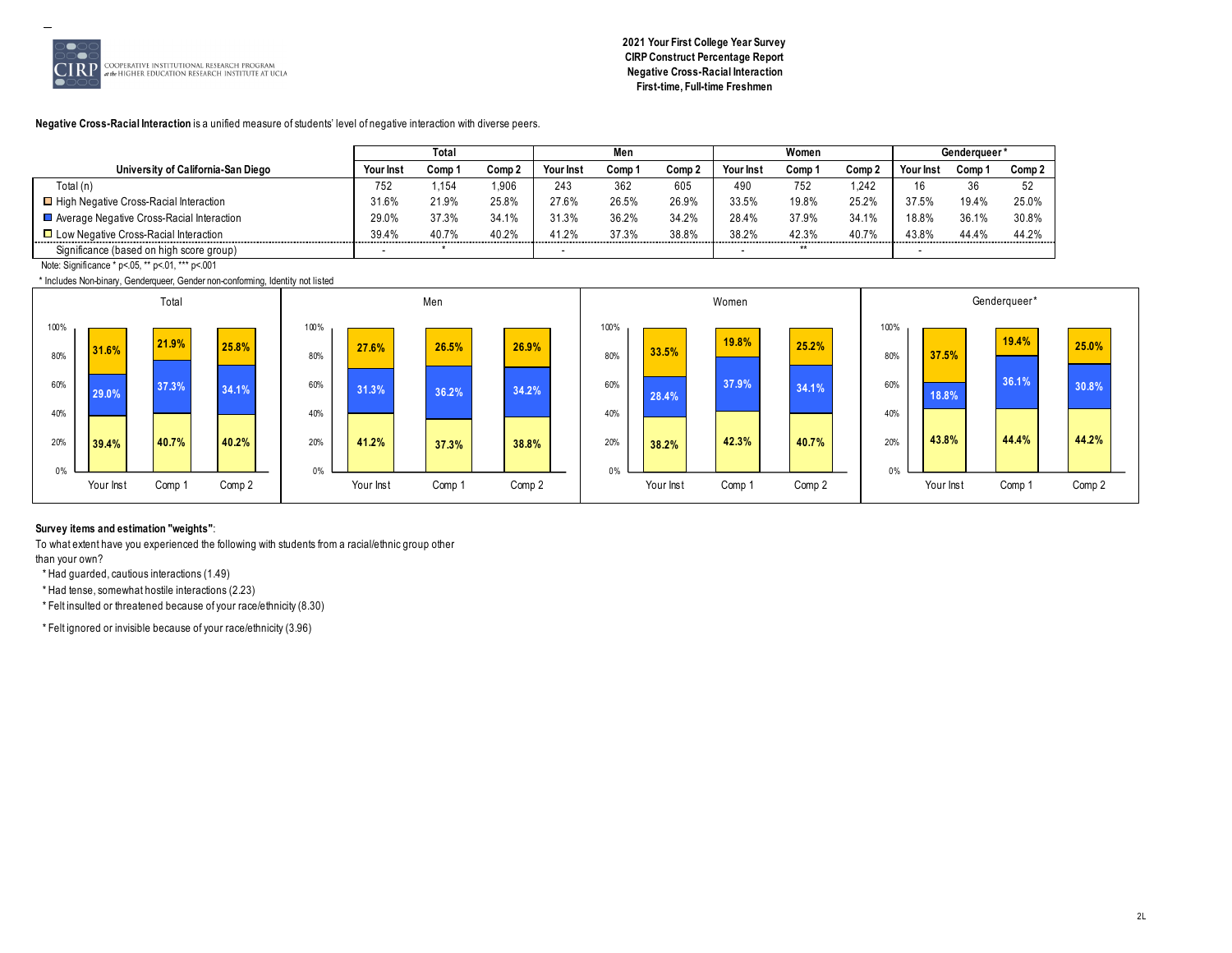

**2021 Your First College Year Survey CIRP Construct Percentage Report Negative Cross-Racial Interaction First-time, Full-time Freshmen**

**Negative Cross-Racial Interaction** is a unified measure of students' level of negative interaction with diverse peers.

|                                              |           | Total  |                   |           |        |        |           | Women  |        |          | Genderaueer' |        |
|----------------------------------------------|-----------|--------|-------------------|-----------|--------|--------|-----------|--------|--------|----------|--------------|--------|
| University of California-San Diego           | Your Inst | Comp 1 | Comp <sub>2</sub> | Your Inst | Comp ' | Comp 2 | Your Inst | Comp 1 | Comp 2 | Your Ins | Comp         | Comp 2 |
| Total (n)                                    | 752       | .154   | 906.              | 243       | 362    | 605    | 490       | 752    | 1.242  | 16       | 36           | 52     |
| □ High Negative Cross-Racial Interaction     | 31.6%     | 21.9%  | 25.8%             | 27.6%     | 26.5%  | 26.9%  | 33.5%     | 19.8%  | 25.2%  | 37.5%    | 19.4%        | 25.0%  |
| Average Negative Cross-Racial Interaction    | 29.0%     | 37.3%  | 34.1%             | 31.3%     | 36.2%  | 34.2%  | 28.4%     | 37.9%  | 34.1%  | 18.8%    | 36.1%        | 30.8%  |
| $\Box$ Low Negative Cross-Racial Interaction | 39.4%     | 40.7%  | 40.2%             | 41.2%     | 37.3%  | 38.8%  | 38.2%     | 42.3%  | 40.7%  | 43.8%    | 44.4%        | 44.2%  |
| Significance (based on high score group)     |           |        |                   |           |        |        |           | $**$   |        |          |              |        |

Note: Significance \* p<.05, \*\* p<.01, \*\*\* p<.001

\* Includes Non-binary, Genderqueer, Gender non-conforming, Identity not listed



# **Survey items and estimation "weights"**:

To what extent have you experienced the following with students from a racial/ethnic group other than your own?

\* Had guarded, cautious interactions (1.49) \* Had tense, somewhat hostile interactions (2.23)

\* Felt insulted or threatened because of your race/ethnicity (8.30)

\* Felt ignored or invisible because of your race/ethnicity (3.96)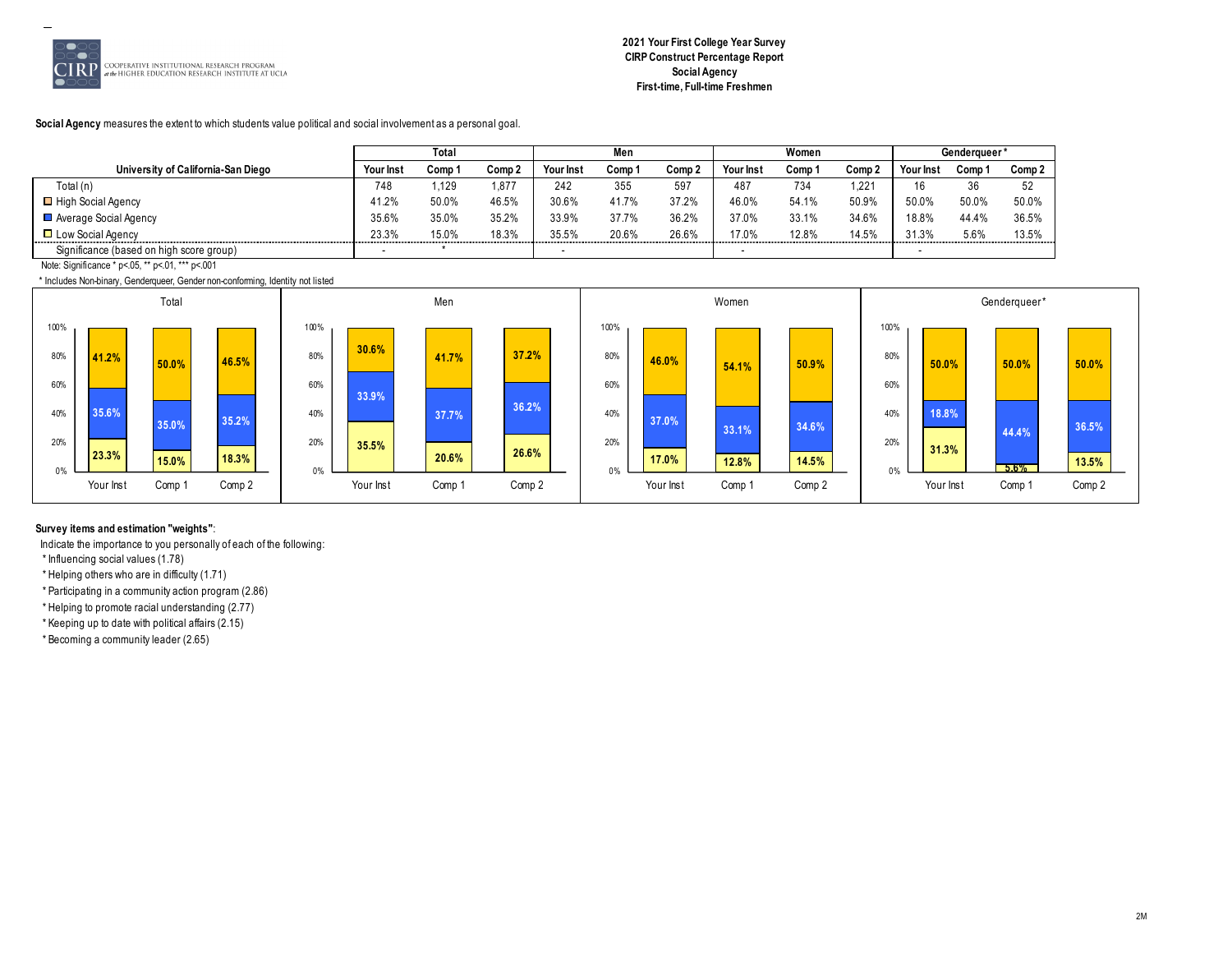

**Social Agency** measures the extent to which students value political and social involvement as a personal goal.

|                                          |                                   | Total  |        |           | Men    |                          |                  | Women  |        |           | Genderaueer* |        |
|------------------------------------------|-----------------------------------|--------|--------|-----------|--------|--------------------------|------------------|--------|--------|-----------|--------------|--------|
| University of California-San Diego       | <b>Your Inst</b>                  | Comp 1 | Comp 2 | Your Inst | Comp ' | Comp 2                   | <b>Your Inst</b> | Comp ' | Comp 2 | Your Inst | Comp '       | Comp 2 |
| Total (n)                                | 748                               | .129   | 877, ا | 242       | 355    | 597                      | 487              | 734    | 1.221  | 16        | 36           | 52     |
| □ High Social Agency                     | 41.2%                             | 50.0%  | 46.5%  | 30.6%     | 41.7%  | 37.2%                    | 46.0%            | 54.1%  | 50.9%  | 50.0%     | 50.0%        | 50.0%  |
| Average Social Agency                    | 35.6%                             | 35.0%  | 35.2%  | 33.9%     | 37.7%  | 36.2%                    | 37.0%            | 33.1%  | 34.6%  | 18.8%     | 44.4%        | 36.5%  |
| □ Low Social Agency                      | 23.3%<br>,,,,,,,,,,,,,,,,,,,,,,,, | 15.0%  | 18.3%  | 35.5%     | 20.6%  | 26.6%<br>,,,,,,,,,,,,,,, | 17.0%            | 12.8%  | 14.5%  | 31.3%     | 5.6%         | 13.5%  |
| Significance (based on high score group) |                                   |        |        |           |        |                          |                  |        |        |           |              |        |

Note: Significance \* p<.05, \*\* p<.01, \*\*\* p<.001

\* Includes Non-binary, Genderqueer, Gender non-conforming, Identity not listed



# **Survey items and estimation "weights"**:

Indicate the importance to you personally of each of the following:

\* Influencing social values (1.78)

\* Helping others who are in difficulty (1.71)

\* Participating in a community action program (2.86)

\* Helping to promote racial understanding (2.77)

\* Keeping up to date with political affairs (2.15)

\* Becoming a community leader (2.65)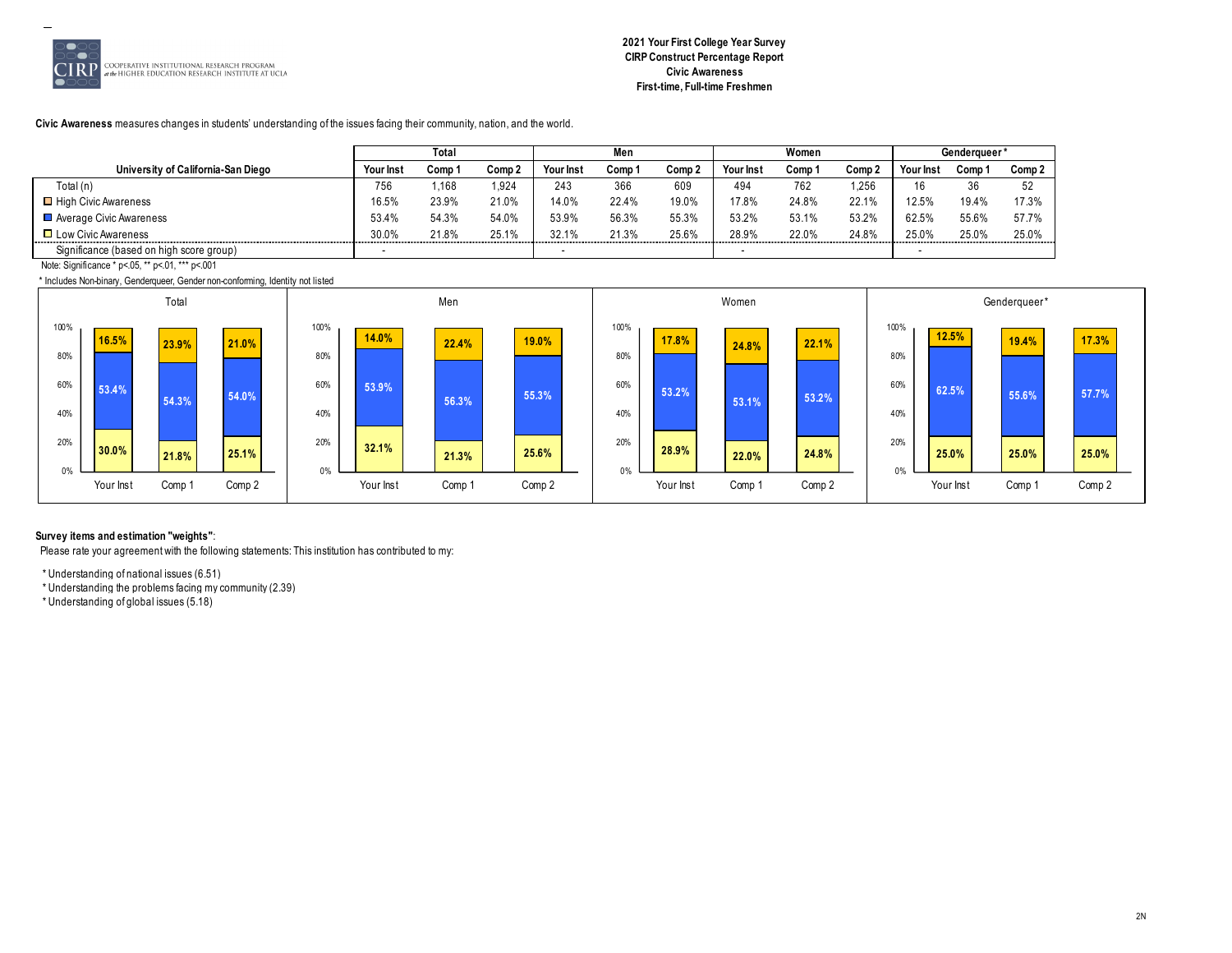

# **2021 Your First College Year Survey CIRP Construct Percentage Report Civic Awareness First-time, Full-time Freshmen**

**Civic Awareness** measures changes in students' understanding of the issues facing their community, nation, and the world.

|                                          |                  | Total  |        |            | Men    |                   |                       | Women  |        |           | Genderaueer' |        |
|------------------------------------------|------------------|--------|--------|------------|--------|-------------------|-----------------------|--------|--------|-----------|--------------|--------|
| University of California-San Diego       | <b>Your Inst</b> | Comp 1 | Comp 2 | Your Inst  | Comp 1 | Comp <sub>2</sub> | Your Inst             | Comp 1 | Comp 2 | Your Inst | Comp         | Comp 2 |
| Total (n)                                | 756              | .168   | .924   | 243        | 366    | 609               | 494                   | 762    | 1.256  |           | 36           | 52     |
| □ High Civic Awareness                   | 16.5%            | 23.9%  | 21.0%  | 14.0%      | 22.4%  | 19.0%             | 17.8%                 | 24.8%  | 22.1%  | 12.5%     | 19.4%        | 17.3%  |
| Average Civic Awareness                  | 53.4%            | 54.3%  | 54.0%  | 53.9%      | 56.3%  | 55.3%             | 53.2%                 | 53.1%  | 53.2%  | 62.5%     | 55.6%        | 57.7%  |
| $\Box$ Low Civic Awareness               | 30.0%<br>.       | 21.8%  | 25.1%  | 32.1%<br>. | 21.3%  | 25.6%             | 28.9%<br>------------ | 22.0%  | 24.8%  | 25.0%     | 25.0%        | 25.0%  |
| Significance (based on high score group) |                  |        |        |            |        |                   |                       |        |        |           |              |        |

Note: Significance \* p<.05, \*\* p<.01, \*\*\* p<.001

\* Includes Non-binary, Genderqueer, Gender non-conforming, Identity not listed



#### **Survey items and estimation "weights"**:

Please rate your agreement with the following statements: This institution has contributed to my:

\* Understanding of national issues (6.51)

\* Understanding the problems facing my community (2.39)

\* Understanding of global issues (5.18)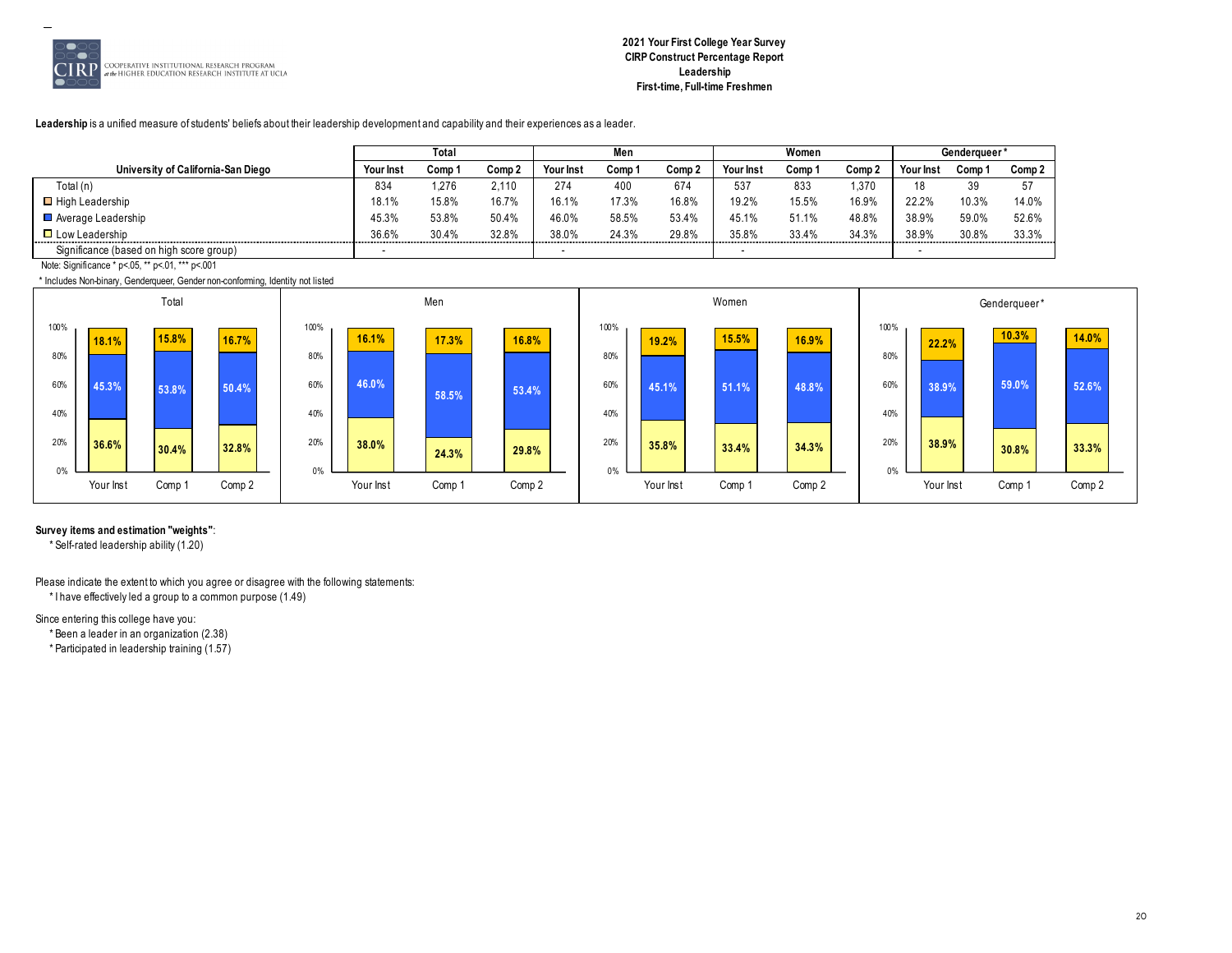

**Leadership** is a unified measure of students' beliefs about their leadership development and capability and their experiences as a leader.

|                                          | Tota             |        |        | Men       |       |        | Women     |        |       | Genderaueer* |       |        |
|------------------------------------------|------------------|--------|--------|-----------|-------|--------|-----------|--------|-------|--------------|-------|--------|
| University of California-San Diego       | <b>Your Inst</b> | Comp ' | Comp 2 | Your Inst | Comp  | Comp 2 | Your Inst | Comp 1 | Comp. | Your Inst    | Comp  | Comp 2 |
| Total (n)                                | 834              | 1.276  | 2.110  | 274       | 400   | 674    | 537       | 833    | 1,370 | 10<br>10     | 39    | -57    |
| $\blacksquare$ High Leadership           | 18.1%            | 15.8%  | 16.7%  | 16.1%     | 17.3% | 16.8%  | 19.2%     | 15.5%  | 16.9% | 22.2%        | 10.3% | 14.0%  |
| Average Leadership                       | 45.3%            | 53.8%  | 50.4%  | 46.0%     | 58.5% | 53.4%  | 45.1%     | 51.1%  | 48.8% | 38.9%        | 59.0% | 52.6%  |
| $\Box$ Low Leadership                    | 36.6%            | 30.4%  | 32.8%  | 38.0%     | 24.3% | 29.8%  | 35.8%     | 33.4%  | 34.3% | 38.9%        | 30.8% | 33.3%  |
| Significance (based on high score group) | -                |        |        |           |       |        |           |        |       |              |       |        |

Note: Significance \* p<.05, \*\* p<.01, \*\*\* p<.001

\* Includes Non-binary, Genderqueer, Gender non-conforming, Identity not listed



**Survey items and estimation "weights"**:

\* Self-rated leadership ability (1.20)

Please indicate the extent to which you agree or disagree with the following statements: \* I have effectively led a group to a common purpose (1.49)

Since entering this college have you:

\* Been a leader in an organization (2.38)

\* Participated in leadership training (1.57)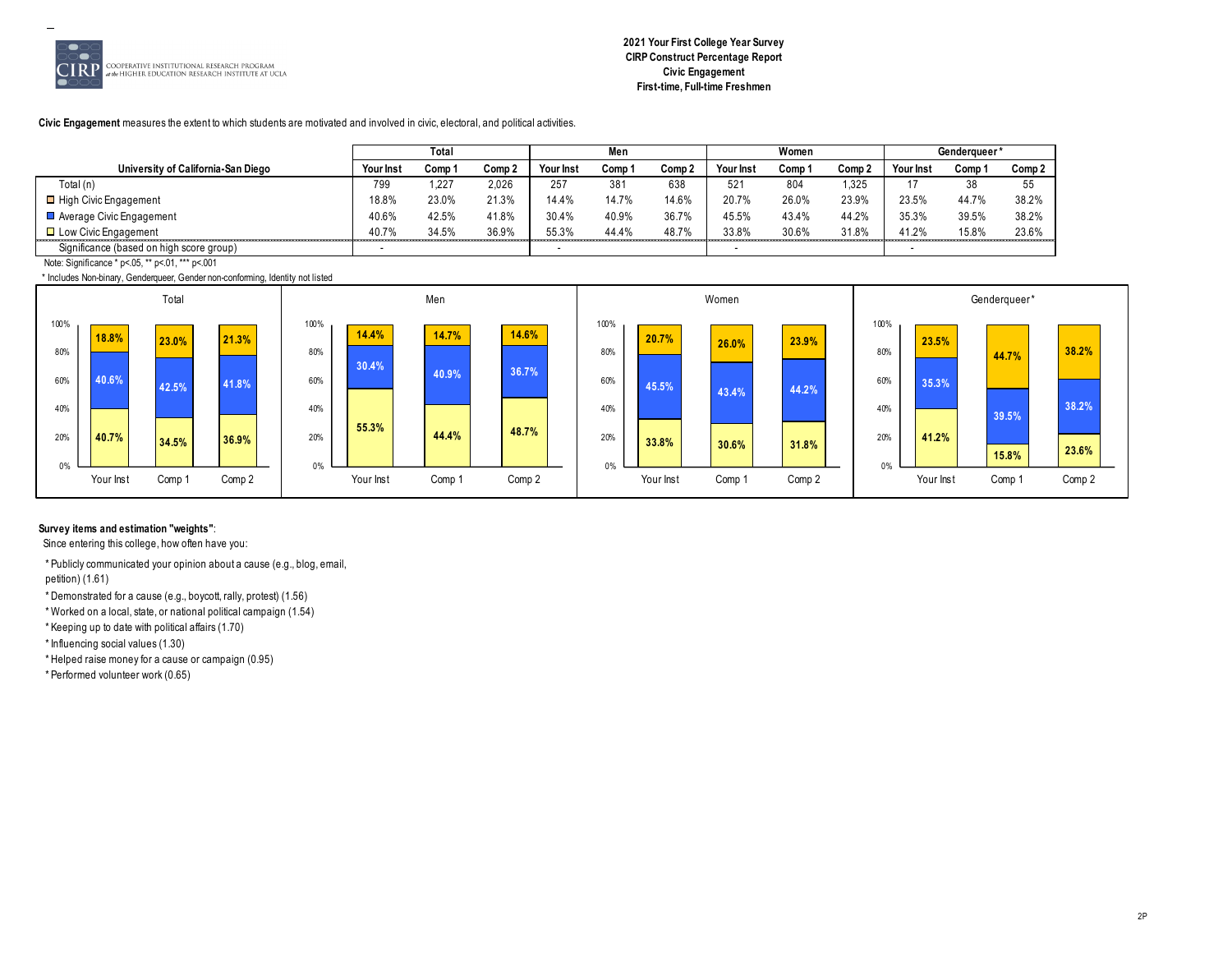

#### **Civic Engagement** measures the extent to which students are motivated and involved in civic, electoral, and political activities.

|                                          | Total            |        |        | Men       |        |        | Women     |        |                    | Genderaueer' |       |        |
|------------------------------------------|------------------|--------|--------|-----------|--------|--------|-----------|--------|--------------------|--------------|-------|--------|
|                                          |                  |        |        |           |        |        |           |        |                    |              |       |        |
| University of California-San Diego       | <b>Your Inst</b> | Comp 1 | Comp 2 | Your Inst | Comp : | Comp 2 | Your Inst | Comp 1 | Comp <sub>2</sub>  | Your Inst    | Comp  | Comp 2 |
| Total (n)                                | 799              | 1.227  | 2.026  | 257       | 381    | 638    | 521       | 804    | ,325               | $\mathbf{L}$ | 38    | 55     |
| □ High Civic Engagement                  | 18.8%            | 23.0%  | 21.3%  | 14.4%     | 14.7%  | 14.6%  | 20.7%     | 26.0%  | 23.9%              | 23.5%        | 44.7% | 38.2%  |
| Average Civic Engagement                 | 40.6%            | 42.5%  | 41.8%  | 30.4%     | 40.9%  | 36.7%  | 45.5%     | 43.4%  | 44.2%              | 35.3%        | 39.5% | 38.2%  |
| $\Box$ Low Civic Engagement              | 407%             | 34.5%  | 36.9%  | 55.3%     | 44.4%  | 48.7%  | 33.8%     | 30.6%  | 31.8%<br>--------- | 41.2%        | 15.8% | 23.6%  |
| Significance (based on high score group) |                  |        |        |           |        |        |           |        |                    |              |       |        |

Note: Significance \* p<.05, \*\* p<.01, \*\*\* p<.001

\* Includes Non-binary, Genderqueer, Gender non-conforming, Identity not listed



# **Survey items and estimation "weights"**:

Since entering this college, how often have you:

\* Publicly communicated your opinion about a cause (e.g., blog, email, petition) (1.61)

- \* Demonstrated for a cause (e.g., boycott, rally, protest) (1.56)
- \* Worked on a local, state, or national political campaign (1.54)
- \* Keeping up to date with political affairs (1.70)

\* Influencing social values (1.30)

\* Helped raise money for a cause or campaign (0.95)

\* Performed volunteer work (0.65)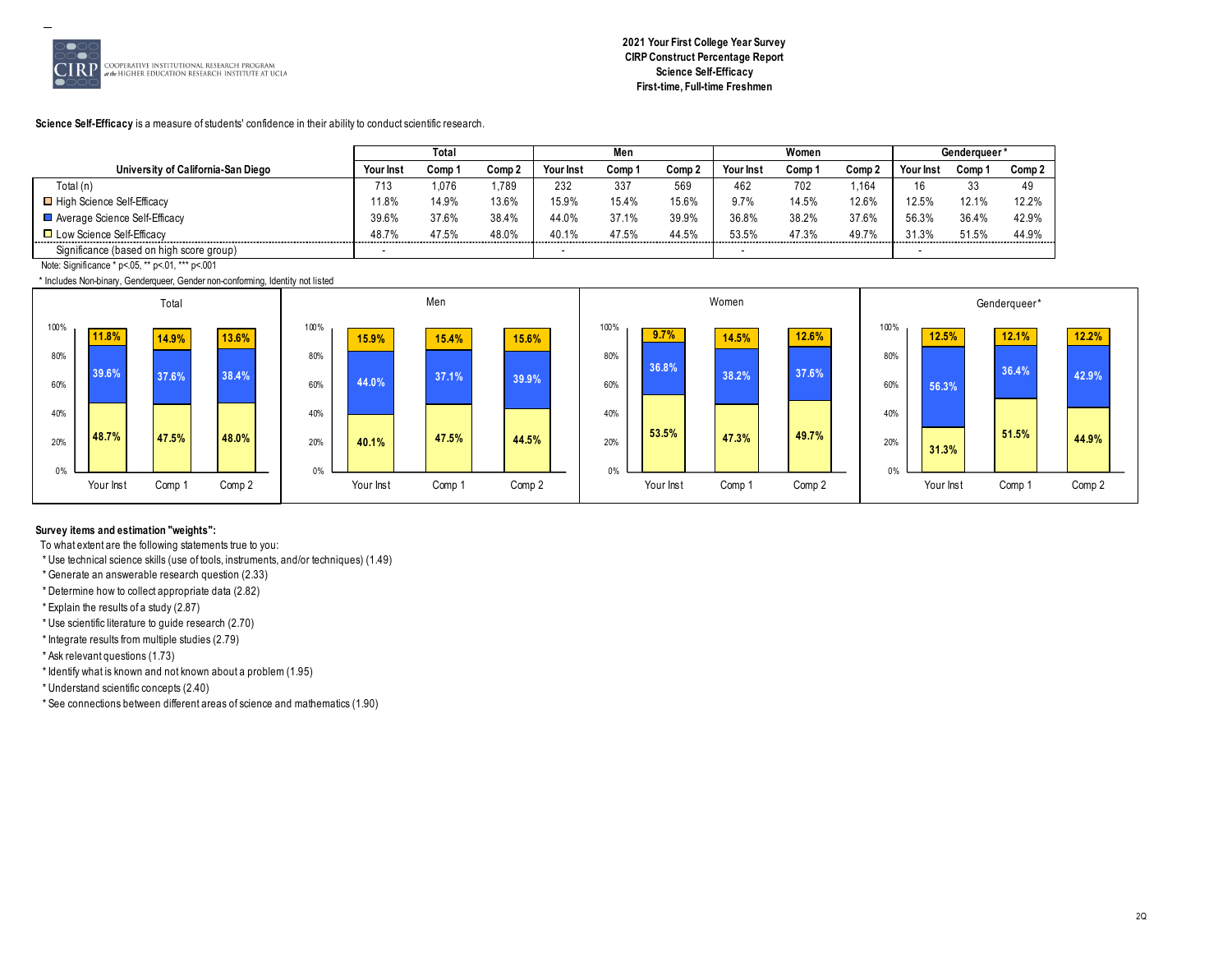

**Science Self-Efficacy** is a measure of students' confidence in their ability to conduct scientific research.

|                                          | Total                    |        |        | Men        |                   |        | Women            |        |        | Genderaueer' |       |        |
|------------------------------------------|--------------------------|--------|--------|------------|-------------------|--------|------------------|--------|--------|--------------|-------|--------|
| University of California-San Diego       | <b>Your Inst</b>         | Comp 1 | Comp 2 | Your Inst  | Comp <sup>.</sup> | Comp 2 | <b>Your Inst</b> | Comp 1 | Comp 2 | Your Ins     | Comp  | Comp 2 |
| Total (n)                                | 713                      | 1.076  | .789   | 232        | 337               | 569    | 462              | 702    | 16⁄،،  | 16           | ັບປ   | 49     |
| □ High Science Self-Efficacy             | $1.8\%$                  | 14.9%  | 13.6%  | 15.9%      | 15.4%             | 15.6%  | 9.7%             | 14.5%  | 12.6%  | 12.5%        | 12.1% | 12.2%  |
| Average Science Self-Efficacy            | 39.6%                    | 37.6%  | 38.4%  | 44.0%      | 37.1%             | 39.9%  | 36.8%            | 38.2%  | 37.6%  | 56.3%        | 36.4% | 42.9%  |
| □ Low Science Self-Efficacy              | 48.7%                    | 47.5%  | 48.0%  | 40.1%<br>. | 47.5%             | 44.5%  | 53.5%            | 47.3%  | 49.7%  | 31.3%<br>.   | 51.5% | 44.9%  |
| Significance (based on high score group) | $\overline{\phantom{a}}$ |        |        |            |                   |        |                  |        |        |              |       |        |

Note: Significance \* p<.05, \*\* p<.01, \*\*\* p<.001

\* Includes Non-binary, Genderqueer, Gender non-conforming, Identity not listed



# **Survey items and estimation "weights":**

To what extent are the following statements true to you:

\* Use technical science skills (use of tools, instruments, and/or techniques) (1.49)

\* Generate an answerable research question (2.33)

\* Determine how to collect appropriate data (2.82)

\* Explain the results of a study (2.87)

\* Use scientific literature to guide research (2.70)

\* Integrate results from multiple studies (2.79)

\* Ask relevant questions (1.73)

\* Identify what is known and not known about a problem (1.95)

\* Understand scientific concepts (2.40)

\* See connections between different areas of science and mathematics (1.90)